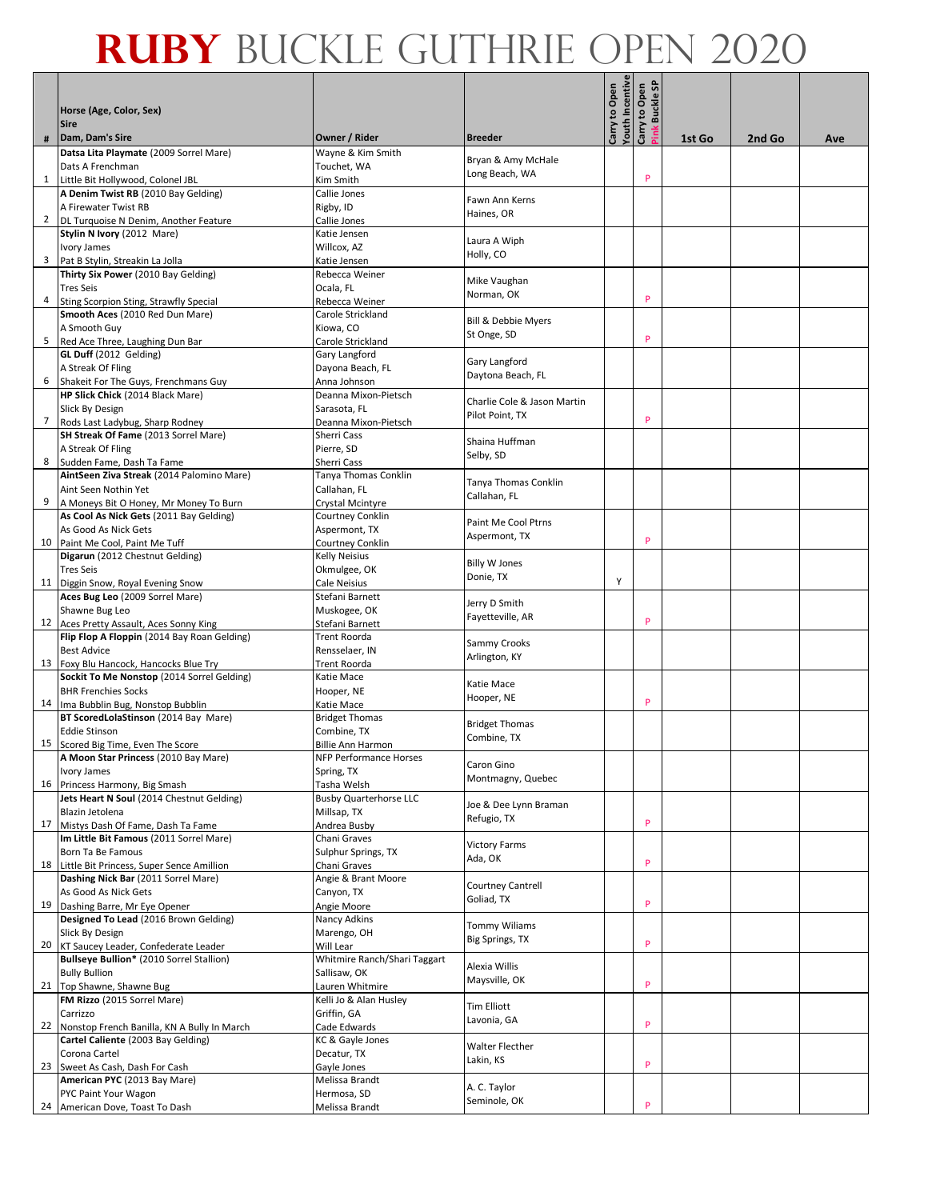|   |                                                                                      |                                      |                                      |                                  | <b>Buckle SP</b> |        |        |     |
|---|--------------------------------------------------------------------------------------|--------------------------------------|--------------------------------------|----------------------------------|------------------|--------|--------|-----|
|   | Horse (Age, Color, Sex)<br><b>Sire</b>                                               |                                      |                                      | Youth Incentive<br>Carry to Open | Carry to Open    |        |        |     |
| # | Dam, Dam's Sire                                                                      | Owner / Rider                        | <b>Breeder</b>                       |                                  | ink              | 1st Go | 2nd Go | Ave |
|   | Datsa Lita Playmate (2009 Sorrel Mare)<br>Dats A Frenchman                           | Wayne & Kim Smith<br>Touchet, WA     | Bryan & Amy McHale                   |                                  |                  |        |        |     |
|   | 1 Little Bit Hollywood, Colonel JBL                                                  | Kim Smith                            | Long Beach, WA                       |                                  | P                |        |        |     |
|   | A Denim Twist RB (2010 Bay Gelding)                                                  | Callie Jones                         |                                      |                                  |                  |        |        |     |
|   | A Firewater Twist RB                                                                 | Rigby, ID                            | Fawn Ann Kerns<br>Haines, OR         |                                  |                  |        |        |     |
|   | 2   DL Turquoise N Denim, Another Feature                                            | Callie Jones                         |                                      |                                  |                  |        |        |     |
|   | Stylin N Ivory (2012 Mare)                                                           | Katie Jensen                         | Laura A Wiph                         |                                  |                  |        |        |     |
|   | <b>Ivory James</b><br>3 Pat B Stylin, Streakin La Jolla                              | Willcox, AZ<br>Katie Jensen          | Holly, CO                            |                                  |                  |        |        |     |
|   | Thirty Six Power (2010 Bay Gelding)                                                  | Rebecca Weiner                       |                                      |                                  |                  |        |        |     |
|   | <b>Tres Seis</b>                                                                     | Ocala, FL                            | Mike Vaughan                         |                                  |                  |        |        |     |
| 4 | Sting Scorpion Sting, Strawfly Special                                               | Rebecca Weiner                       | Norman, OK                           |                                  | P                |        |        |     |
|   | Smooth Aces (2010 Red Dun Mare)                                                      | Carole Strickland                    | Bill & Debbie Myers                  |                                  |                  |        |        |     |
|   | A Smooth Guy                                                                         | Kiowa, CO                            | St Onge, SD                          |                                  |                  |        |        |     |
| 5 | Red Ace Three, Laughing Dun Bar                                                      | Carole Strickland                    |                                      |                                  | P                |        |        |     |
|   | GL Duff (2012 Gelding)                                                               | Gary Langford                        | Gary Langford                        |                                  |                  |        |        |     |
|   | A Streak Of Fling                                                                    | Dayona Beach, FL                     | Daytona Beach, FL                    |                                  |                  |        |        |     |
|   | 6 Shakeit For The Guys, Frenchmans Guy<br>HP Slick Chick (2014 Black Mare)           | Anna Johnson<br>Deanna Mixon-Pietsch |                                      |                                  |                  |        |        |     |
|   | Slick By Design                                                                      | Sarasota, FL                         | Charlie Cole & Jason Martin          |                                  |                  |        |        |     |
| 7 | Rods Last Ladybug, Sharp Rodney                                                      | Deanna Mixon-Pietsch                 | Pilot Point, TX                      |                                  | P                |        |        |     |
|   | SH Streak Of Fame (2013 Sorrel Mare)                                                 | Sherri Cass                          | Shaina Huffman                       |                                  |                  |        |        |     |
|   | A Streak Of Fling                                                                    | Pierre, SD                           | Selby, SD                            |                                  |                  |        |        |     |
| 8 | Sudden Fame, Dash Ta Fame                                                            | Sherri Cass                          |                                      |                                  |                  |        |        |     |
|   | AintSeen Ziva Streak (2014 Palomino Mare)                                            | Tanya Thomas Conklin                 | Tanya Thomas Conklin                 |                                  |                  |        |        |     |
| 9 | Aint Seen Nothin Yet<br>A Moneys Bit O Honey, Mr Money To Burn                       | Callahan, FL<br>Crystal Mcintyre     | Callahan, FL                         |                                  |                  |        |        |     |
|   | As Cool As Nick Gets (2011 Bay Gelding)                                              | <b>Courtney Conklin</b>              |                                      |                                  |                  |        |        |     |
|   | As Good As Nick Gets                                                                 | Aspermont, TX                        | Paint Me Cool Ptrns                  |                                  |                  |        |        |     |
|   | 10 Paint Me Cool, Paint Me Tuff                                                      | <b>Courtney Conklin</b>              | Aspermont, TX                        |                                  | P                |        |        |     |
|   | Digarun (2012 Chestnut Gelding)                                                      | <b>Kelly Neisius</b>                 | <b>Billy W Jones</b>                 |                                  |                  |        |        |     |
|   | <b>Tres Seis</b>                                                                     | Okmulgee, OK                         | Donie, TX                            | Υ                                |                  |        |        |     |
|   | 11   Diggin Snow, Royal Evening Snow<br>Aces Bug Leo (2009 Sorrel Mare)              | Cale Neisius<br>Stefani Barnett      |                                      |                                  |                  |        |        |     |
|   | Shawne Bug Leo                                                                       | Muskogee, OK                         | Jerry D Smith                        |                                  |                  |        |        |     |
|   | 12 Aces Pretty Assault, Aces Sonny King                                              | Stefani Barnett                      | Fayetteville, AR                     |                                  | P                |        |        |     |
|   | Flip Flop A Floppin (2014 Bay Roan Gelding)                                          | <b>Trent Roorda</b>                  | Sammy Crooks                         |                                  |                  |        |        |     |
|   | <b>Best Advice</b>                                                                   | Rensselaer, IN                       | Arlington, KY                        |                                  |                  |        |        |     |
|   | 13 Foxy Blu Hancock, Hancocks Blue Try<br>Sockit To Me Nonstop (2014 Sorrel Gelding) | <b>Trent Roorda</b>                  |                                      |                                  |                  |        |        |     |
|   | <b>BHR Frenchies Socks</b>                                                           | Katie Mace<br>Hooper, NE             | Katie Mace                           |                                  |                  |        |        |     |
|   | 14 Ima Bubblin Bug, Nonstop Bubblin                                                  | Katie Mace                           | Hooper, NE                           |                                  | P                |        |        |     |
|   | BT ScoredLolaStinson (2014 Bay Mare)                                                 | <b>Bridget Thomas</b>                |                                      |                                  |                  |        |        |     |
|   | <b>Eddie Stinson</b>                                                                 | Combine, TX                          | <b>Bridget Thomas</b><br>Combine, TX |                                  |                  |        |        |     |
|   | 15 Scored Big Time, Even The Score                                                   | <b>Billie Ann Harmon</b>             |                                      |                                  |                  |        |        |     |
|   | A Moon Star Princess (2010 Bay Mare)<br>Ivory James                                  | NFP Performance Horses<br>Spring, TX | Caron Gino                           |                                  |                  |        |        |     |
|   | 16 Princess Harmony, Big Smash                                                       | Tasha Welsh                          | Montmagny, Quebec                    |                                  |                  |        |        |     |
|   | Jets Heart N Soul (2014 Chestnut Gelding)                                            | <b>Busby Quarterhorse LLC</b>        |                                      |                                  |                  |        |        |     |
|   | Blazin Jetolena                                                                      | Millsap, TX                          | Joe & Dee Lynn Braman<br>Refugio, TX |                                  |                  |        |        |     |
|   | 17 Mistys Dash Of Fame, Dash Ta Fame                                                 | Andrea Busby                         |                                      |                                  | P                |        |        |     |
|   | Im Little Bit Famous (2011 Sorrel Mare)<br>Born Ta Be Famous                         | Chani Graves<br>Sulphur Springs, TX  | <b>Victory Farms</b>                 |                                  |                  |        |        |     |
|   | 18 Little Bit Princess, Super Sence Amillion                                         | Chani Graves                         | Ada, OK                              |                                  | P                |        |        |     |
|   | Dashing Nick Bar (2011 Sorrel Mare)                                                  | Angie & Brant Moore                  |                                      |                                  |                  |        |        |     |
|   | As Good As Nick Gets                                                                 | Canyon, TX                           | Courtney Cantrell<br>Goliad, TX      |                                  |                  |        |        |     |
|   | 19 Dashing Barre, Mr Eye Opener                                                      | Angie Moore                          |                                      |                                  | P                |        |        |     |
|   | Designed To Lead (2016 Brown Gelding)                                                | Nancy Adkins                         | Tommy Wiliams                        |                                  |                  |        |        |     |
|   | Slick By Design<br>20 KT Saucey Leader, Confederate Leader                           | Marengo, OH<br>Will Lear             | Big Springs, TX                      |                                  | P                |        |        |     |
|   | Bullseye Bullion* (2010 Sorrel Stallion)                                             | Whitmire Ranch/Shari Taggart         |                                      |                                  |                  |        |        |     |
|   | <b>Bully Bullion</b>                                                                 | Sallisaw, OK                         | Alexia Willis                        |                                  |                  |        |        |     |
|   | 21 Top Shawne, Shawne Bug                                                            | Lauren Whitmire                      | Maysville, OK                        |                                  | P                |        |        |     |
|   | FM Rizzo (2015 Sorrel Mare)                                                          | Kelli Jo & Alan Husley               | Tim Elliott                          |                                  |                  |        |        |     |
|   | Carrizzo                                                                             | Griffin, GA                          | Lavonia, GA                          |                                  | P                |        |        |     |
|   | 22 Nonstop French Banilla, KN A Bully In March<br>Cartel Caliente (2003 Bay Gelding) | Cade Edwards<br>KC & Gayle Jones     |                                      |                                  |                  |        |        |     |
|   | Corona Cartel                                                                        | Decatur, TX                          | Walter Flecther                      |                                  |                  |        |        |     |
|   | 23 Sweet As Cash, Dash For Cash                                                      | Gayle Jones                          | Lakin, KS                            |                                  | P                |        |        |     |
|   | American PYC (2013 Bay Mare)                                                         | Melissa Brandt                       | A. C. Taylor                         |                                  |                  |        |        |     |
|   | PYC Paint Your Wagon                                                                 | Hermosa, SD                          | Seminole, OK                         |                                  |                  |        |        |     |
|   | 24 American Dove, Toast To Dash                                                      | Melissa Brandt                       |                                      |                                  | P                |        |        |     |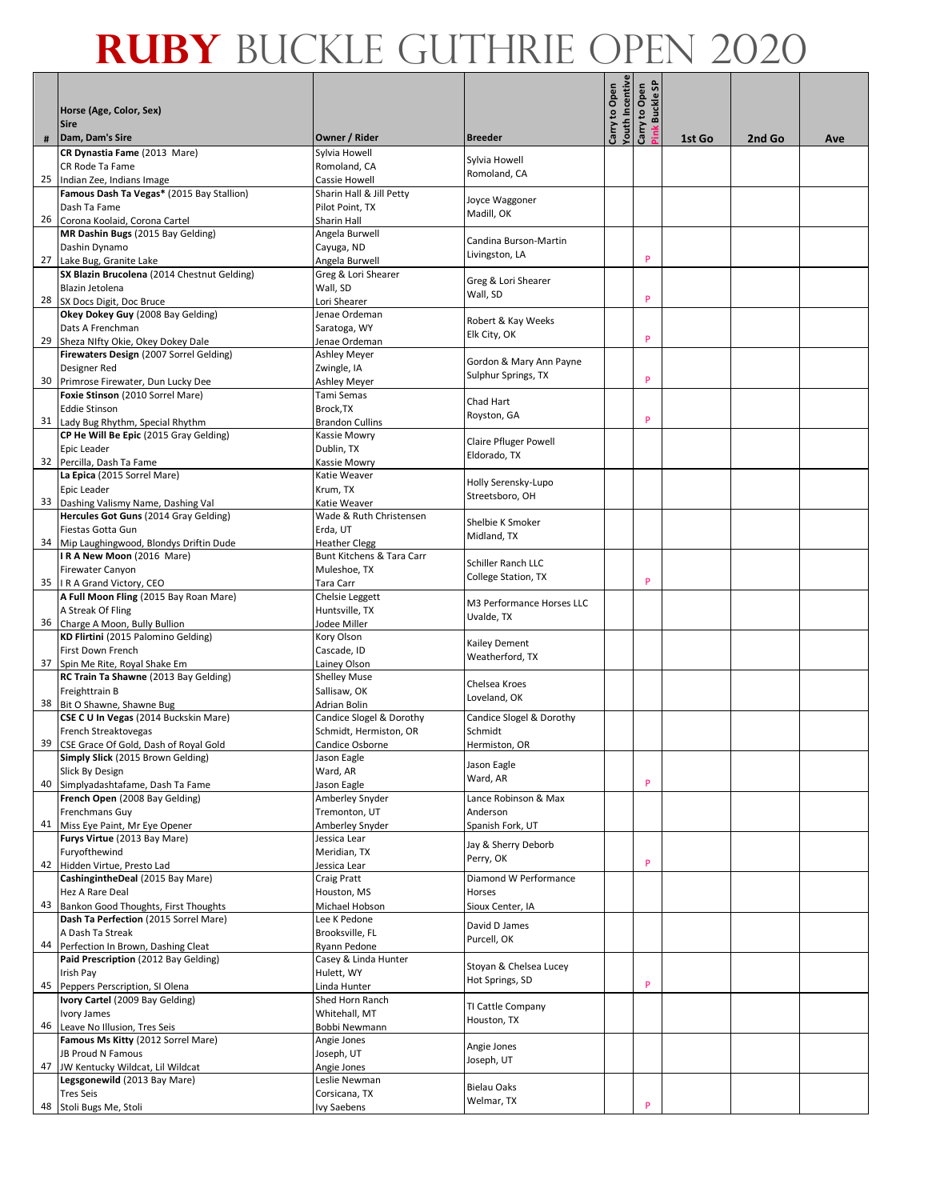|    | Horse (Age, Color, Sex)                                                          |                                    |                                           | outh Incentive<br>Carry to Open | န<br>Carry to Open<br><b>Buckle</b> |        |        |     |
|----|----------------------------------------------------------------------------------|------------------------------------|-------------------------------------------|---------------------------------|-------------------------------------|--------|--------|-----|
|    | <b>Sire</b>                                                                      |                                    |                                           |                                 | ink                                 |        |        |     |
| #  | Dam, Dam's Sire<br>CR Dynastia Fame (2013 Mare)                                  | Owner / Rider<br>Sylvia Howell     | <b>Breeder</b>                            |                                 |                                     | 1st Go | 2nd Go | Ave |
|    | CR Rode Ta Fame                                                                  | Romoland, CA                       | Sylvia Howell                             |                                 |                                     |        |        |     |
| 25 | Indian Zee, Indians Image                                                        | Cassie Howell                      | Romoland, CA                              |                                 |                                     |        |        |     |
|    | Famous Dash Ta Vegas* (2015 Bay Stallion)                                        | Sharin Hall & Jill Petty           | Joyce Waggoner                            |                                 |                                     |        |        |     |
|    | Dash Ta Fame                                                                     | Pilot Point, TX                    | Madill, OK                                |                                 |                                     |        |        |     |
| 26 | Corona Koolaid, Corona Cartel                                                    | Sharin Hall                        |                                           |                                 |                                     |        |        |     |
|    | MR Dashin Bugs (2015 Bay Gelding)<br>Dashin Dynamo                               | Angela Burwell<br>Cayuga, ND       | Candina Burson-Martin                     |                                 |                                     |        |        |     |
|    | 27 Lake Bug, Granite Lake                                                        | Angela Burwell                     | Livingston, LA                            |                                 | P                                   |        |        |     |
|    | SX Blazin Brucolena (2014 Chestnut Gelding)                                      | Greg & Lori Shearer                |                                           |                                 |                                     |        |        |     |
|    | Blazin Jetolena                                                                  | Wall, SD                           | Greg & Lori Shearer                       |                                 |                                     |        |        |     |
| 28 | SX Docs Digit, Doc Bruce                                                         | Lori Shearer                       | Wall, SD                                  |                                 | P                                   |        |        |     |
|    | Okey Dokey Guy (2008 Bay Gelding)                                                | Jenae Ordeman                      | Robert & Kay Weeks                        |                                 |                                     |        |        |     |
|    | Dats A Frenchman                                                                 | Saratoga, WY                       | Elk City, OK                              |                                 | P                                   |        |        |     |
| 29 | Sheza NIfty Okie, Okey Dokey Dale<br>Firewaters Design (2007 Sorrel Gelding)     | Jenae Ordeman                      |                                           |                                 |                                     |        |        |     |
|    | Designer Red                                                                     | <b>Ashley Meyer</b><br>Zwingle, IA | Gordon & Mary Ann Payne                   |                                 |                                     |        |        |     |
|    | 30 Primrose Firewater, Dun Lucky Dee                                             | Ashley Meyer                       | Sulphur Springs, TX                       |                                 | P                                   |        |        |     |
|    | Foxie Stinson (2010 Sorrel Mare)                                                 | Tami Semas                         |                                           |                                 |                                     |        |        |     |
|    | <b>Eddie Stinson</b>                                                             | Brock, TX                          | Chad Hart<br>Royston, GA                  |                                 |                                     |        |        |     |
|    | 31 Lady Bug Rhythm, Special Rhythm                                               | <b>Brandon Cullins</b>             |                                           |                                 | P                                   |        |        |     |
|    | CP He Will Be Epic (2015 Gray Gelding)                                           | Kassie Mowry                       | Claire Pfluger Powell                     |                                 |                                     |        |        |     |
| 32 | Epic Leader                                                                      | Dublin, TX                         | Eldorado, TX                              |                                 |                                     |        |        |     |
|    | Percilla, Dash Ta Fame<br>La Epica (2015 Sorrel Mare)                            | Kassie Mowry<br>Katie Weaver       |                                           |                                 |                                     |        |        |     |
|    | Epic Leader                                                                      | Krum, TX                           | Holly Serensky-Lupo                       |                                 |                                     |        |        |     |
| 33 | Dashing Valismy Name, Dashing Val                                                | Katie Weaver                       | Streetsboro, OH                           |                                 |                                     |        |        |     |
|    | Hercules Got Guns (2014 Gray Gelding)                                            | Wade & Ruth Christensen            | Shelbie K Smoker                          |                                 |                                     |        |        |     |
|    | Fiestas Gotta Gun                                                                | Erda, UT                           | Midland, TX                               |                                 |                                     |        |        |     |
|    | 34 Mip Laughingwood, Blondys Driftin Dude                                        | <b>Heather Clegg</b>               |                                           |                                 |                                     |        |        |     |
|    | IRA New Moon (2016 Mare)                                                         | Bunt Kitchens & Tara Carr          | Schiller Ranch LLC                        |                                 |                                     |        |        |     |
|    | <b>Firewater Canyon</b><br>35   I R A Grand Victory, CEO                         | Muleshoe, TX                       | College Station, TX                       |                                 | P                                   |        |        |     |
|    | A Full Moon Fling (2015 Bay Roan Mare)                                           | Tara Carr<br>Chelsie Leggett       |                                           |                                 |                                     |        |        |     |
|    | A Streak Of Fling                                                                | Huntsville, TX                     | M3 Performance Horses LLC                 |                                 |                                     |        |        |     |
|    | 36 Charge A Moon, Bully Bullion                                                  | Jodee Miller                       | Uvalde, TX                                |                                 |                                     |        |        |     |
|    | KD Flirtini (2015 Palomino Gelding)                                              | Kory Olson                         | Kailey Dement                             |                                 |                                     |        |        |     |
|    | First Down French                                                                | Cascade, ID                        | Weatherford, TX                           |                                 |                                     |        |        |     |
| 37 | Spin Me Rite, Royal Shake Em                                                     | Lainey Olson                       |                                           |                                 |                                     |        |        |     |
|    | RC Train Ta Shawne (2013 Bay Gelding)                                            | <b>Shelley Muse</b>                | Chelsea Kroes                             |                                 |                                     |        |        |     |
|    | Freighttrain B<br>38 Bit O Shawne, Shawne Bug                                    | Sallisaw, OK<br>Adrian Bolin       | Loveland, OK                              |                                 |                                     |        |        |     |
|    | CSE C U In Vegas (2014 Buckskin Mare)                                            | Candice Slogel & Dorothy           | Candice Slogel & Dorothy                  |                                 |                                     |        |        |     |
|    | French Streaktovegas                                                             | Schmidt, Hermiston, OR             | Schmidt                                   |                                 |                                     |        |        |     |
|    | 39 CSE Grace Of Gold, Dash of Royal Gold                                         | Candice Osborne                    | Hermiston, OR                             |                                 |                                     |        |        |     |
|    | Simply Slick (2015 Brown Gelding)                                                | Jason Eagle                        | Jason Eagle                               |                                 |                                     |        |        |     |
|    | Slick By Design                                                                  | Ward, AR                           | Ward, AR                                  |                                 |                                     |        |        |     |
|    | 40 Simplyadashtafame, Dash Ta Fame                                               | Jason Eagle                        |                                           |                                 | P                                   |        |        |     |
|    | French Open (2008 Bay Gelding)<br>Frenchmans Guy                                 | Amberley Snyder<br>Tremonton, UT   | Lance Robinson & Max<br>Anderson          |                                 |                                     |        |        |     |
|    | 41 Miss Eye Paint, Mr Eye Opener                                                 | Amberley Snyder                    | Spanish Fork, UT                          |                                 |                                     |        |        |     |
|    | Furys Virtue (2013 Bay Mare)                                                     | Jessica Lear                       |                                           |                                 |                                     |        |        |     |
|    | Furyofthewind                                                                    | Meridian, TX                       | Jay & Sherry Deborb<br>Perry, OK          |                                 |                                     |        |        |     |
|    | 42 Hidden Virtue, Presto Lad                                                     | Jessica Lear                       |                                           |                                 | P                                   |        |        |     |
|    | CashingintheDeal (2015 Bay Mare)                                                 | Craig Pratt                        | Diamond W Performance                     |                                 |                                     |        |        |     |
|    | Hez A Rare Deal                                                                  | Houston, MS                        | Horses                                    |                                 |                                     |        |        |     |
|    | 43 Bankon Good Thoughts, First Thoughts<br>Dash Ta Perfection (2015 Sorrel Mare) | Michael Hobson<br>Lee K Pedone     | Sioux Center, IA                          |                                 |                                     |        |        |     |
|    | A Dash Ta Streak                                                                 | Brooksville, FL                    | David D James                             |                                 |                                     |        |        |     |
| 44 | Perfection In Brown, Dashing Cleat                                               | Ryann Pedone                       | Purcell, OK                               |                                 |                                     |        |        |     |
|    | Paid Prescription (2012 Bay Gelding)                                             | Casey & Linda Hunter               |                                           |                                 |                                     |        |        |     |
|    | Irish Pay                                                                        | Hulett, WY                         | Stoyan & Chelsea Lucey<br>Hot Springs, SD |                                 |                                     |        |        |     |
|    | 45 Peppers Perscription, SI Olena                                                | Linda Hunter                       |                                           |                                 | P                                   |        |        |     |
|    | Ivory Cartel (2009 Bay Gelding)                                                  | Shed Horn Ranch                    | TI Cattle Company                         |                                 |                                     |        |        |     |
|    | Ivory James                                                                      | Whitehall, MT                      | Houston, TX                               |                                 |                                     |        |        |     |
| 46 | Leave No Illusion, Tres Seis<br>Famous Ms Kitty (2012 Sorrel Mare)               | Bobbi Newmann<br>Angie Jones       |                                           |                                 |                                     |        |        |     |
|    | JB Proud N Famous                                                                | Joseph, UT                         | Angie Jones                               |                                 |                                     |        |        |     |
| 47 | JW Kentucky Wildcat, Lil Wildcat                                                 | Angie Jones                        | Joseph, UT                                |                                 |                                     |        |        |     |
|    | Legsgonewild (2013 Bay Mare)                                                     | Leslie Newman                      | <b>Bielau Oaks</b>                        |                                 |                                     |        |        |     |
|    | <b>Tres Seis</b>                                                                 | Corsicana, TX                      | Welmar, TX                                |                                 |                                     |        |        |     |
|    | 48 Stoli Bugs Me, Stoli                                                          | Ivy Saebens                        |                                           |                                 | P                                   |        |        |     |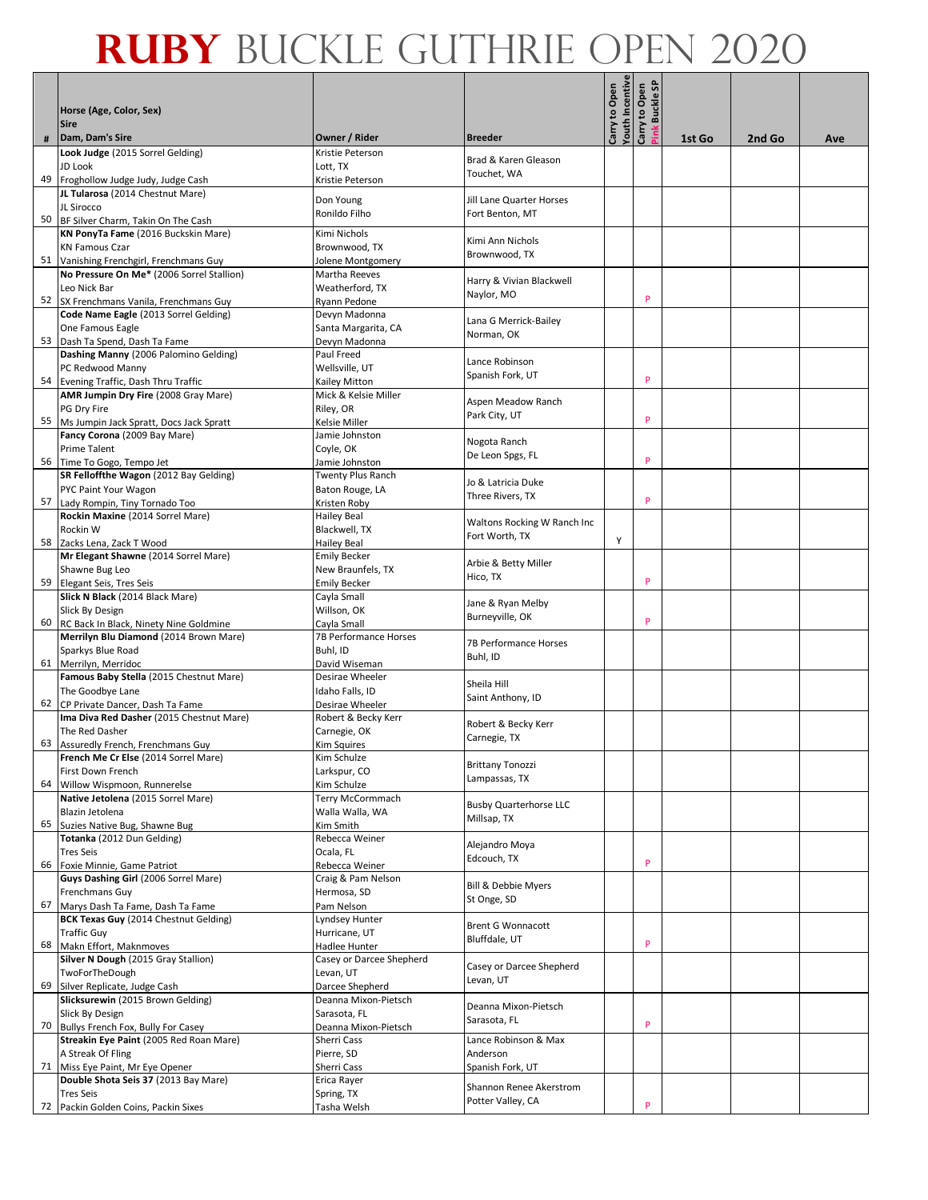|    | Horse (Age, Color, Sex)                                                             |                                         |                                              | outh Incentive<br>Carry to Open | ္တ<br>Carry to Open<br><b>Buckle</b> |        |        |     |
|----|-------------------------------------------------------------------------------------|-----------------------------------------|----------------------------------------------|---------------------------------|--------------------------------------|--------|--------|-----|
|    | <b>Sire</b>                                                                         |                                         |                                              |                                 |                                      |        |        |     |
| #  | Dam, Dam's Sire                                                                     | Owner / Rider                           | <b>Breeder</b>                               |                                 | ink                                  | 1st Go | 2nd Go | Ave |
|    | Look Judge (2015 Sorrel Gelding)                                                    | Kristie Peterson                        | Brad & Karen Gleason                         |                                 |                                      |        |        |     |
|    | JD Look<br>49 Froghollow Judge Judy, Judge Cash                                     | Lott, TX<br>Kristie Peterson            | Touchet, WA                                  |                                 |                                      |        |        |     |
|    | JL Tularosa (2014 Chestnut Mare)                                                    |                                         |                                              |                                 |                                      |        |        |     |
|    | JL Sirocco                                                                          | Don Young<br>Ronildo Filho              | Jill Lane Quarter Horses<br>Fort Benton, MT  |                                 |                                      |        |        |     |
|    | 50 BF Silver Charm, Takin On The Cash                                               |                                         |                                              |                                 |                                      |        |        |     |
|    | KN PonyTa Fame (2016 Buckskin Mare)<br><b>KN Famous Czar</b>                        | Kimi Nichols<br>Brownwood, TX           | Kimi Ann Nichols                             |                                 |                                      |        |        |     |
|    | 51 Vanishing Frenchgirl, Frenchmans Guy                                             | Jolene Montgomery                       | Brownwood, TX                                |                                 |                                      |        |        |     |
|    | No Pressure On Me* (2006 Sorrel Stallion)                                           | Martha Reeves                           | Harry & Vivian Blackwell                     |                                 |                                      |        |        |     |
|    | Leo Nick Bar                                                                        | Weatherford, TX                         | Naylor, MO                                   |                                 | P                                    |        |        |     |
| 52 | SX Frenchmans Vanila, Frenchmans Guy<br>Code Name Eagle (2013 Sorrel Gelding)       | Ryann Pedone<br>Devyn Madonna           |                                              |                                 |                                      |        |        |     |
|    | One Famous Eagle                                                                    | Santa Margarita, CA                     | Lana G Merrick-Bailey                        |                                 |                                      |        |        |     |
|    | 53 Dash Ta Spend, Dash Ta Fame                                                      | Devyn Madonna                           | Norman, OK                                   |                                 |                                      |        |        |     |
|    | Dashing Manny (2006 Palomino Gelding)                                               | Paul Freed                              | Lance Robinson                               |                                 |                                      |        |        |     |
| 54 | PC Redwood Manny                                                                    | Wellsville, UT                          | Spanish Fork, UT                             |                                 | P                                    |        |        |     |
|    | Evening Traffic, Dash Thru Traffic<br>AMR Jumpin Dry Fire (2008 Gray Mare)          | Kailey Mitton<br>Mick & Kelsie Miller   |                                              |                                 |                                      |        |        |     |
|    | PG Dry Fire                                                                         | Riley, OR                               | Aspen Meadow Ranch<br>Park City, UT          |                                 |                                      |        |        |     |
|    | 55 Ms Jumpin Jack Spratt, Docs Jack Spratt                                          | Kelsie Miller                           |                                              |                                 | P                                    |        |        |     |
|    | Fancy Corona (2009 Bay Mare)<br><b>Prime Talent</b>                                 | Jamie Johnston<br>Coyle, OK             | Nogota Ranch                                 |                                 |                                      |        |        |     |
|    | 56 Time To Gogo, Tempo Jet                                                          | Jamie Johnston                          | De Leon Spgs, FL                             |                                 | P                                    |        |        |     |
|    | SR Felloffthe Wagon (2012 Bay Gelding)                                              | Twenty Plus Ranch                       | Jo & Latricia Duke                           |                                 |                                      |        |        |     |
|    | PYC Paint Your Wagon                                                                | Baton Rouge, LA                         | Three Rivers, TX                             |                                 |                                      |        |        |     |
| 57 | Lady Rompin, Tiny Tornado Too<br>Rockin Maxine (2014 Sorrel Mare)                   | Kristen Roby<br><b>Hailey Beal</b>      |                                              |                                 | P                                    |        |        |     |
|    | Rockin W                                                                            | Blackwell, TX                           | Waltons Rocking W Ranch Inc                  |                                 |                                      |        |        |     |
|    | 58 Zacks Lena, Zack T Wood                                                          | Hailey Beal                             | Fort Worth, TX                               | Y                               |                                      |        |        |     |
|    | Mr Elegant Shawne (2014 Sorrel Mare)                                                | <b>Emily Becker</b>                     | Arbie & Betty Miller                         |                                 |                                      |        |        |     |
|    | Shawne Bug Leo                                                                      | New Braunfels, TX                       | Hico, TX                                     |                                 | P                                    |        |        |     |
|    | 59 Elegant Seis, Tres Seis<br>Slick N Black (2014 Black Mare)                       | <b>Emily Becker</b><br>Cayla Small      |                                              |                                 |                                      |        |        |     |
|    | Slick By Design                                                                     | Willson, OK                             | Jane & Ryan Melby                            |                                 |                                      |        |        |     |
|    | 60 RC Back In Black, Ninety Nine Goldmine                                           | Cayla Small                             | Burneyville, OK                              |                                 | P                                    |        |        |     |
|    | Merrilyn Blu Diamond (2014 Brown Mare)                                              | <b>7B Performance Horses</b>            | <b>7B Performance Horses</b>                 |                                 |                                      |        |        |     |
|    | Sparkys Blue Road<br>61 Merrilyn, Merridoc                                          | Buhl, ID<br>David Wiseman               | Buhl, ID                                     |                                 |                                      |        |        |     |
|    | Famous Baby Stella (2015 Chestnut Mare)                                             | Desirae Wheeler                         |                                              |                                 |                                      |        |        |     |
|    | The Goodbye Lane                                                                    | Idaho Falls, ID                         | Sheila Hill<br>Saint Anthony, ID             |                                 |                                      |        |        |     |
|    | 62 CP Private Dancer, Dash Ta Fame                                                  | Desirae Wheeler                         |                                              |                                 |                                      |        |        |     |
|    | Ima Diva Red Dasher (2015 Chestnut Mare)<br>The Red Dasher                          | Robert & Becky Kerr<br>Carnegie, OK     | Robert & Becky Kerr                          |                                 |                                      |        |        |     |
|    | 63 Assuredly French, Frenchmans Guy                                                 | Kim Squires                             | Carnegie, TX                                 |                                 |                                      |        |        |     |
|    | French Me Cr Else (2014 Sorrel Mare)                                                | Kim Schuize                             | <b>Brittany Tonozzi</b>                      |                                 |                                      |        |        |     |
|    | First Down French                                                                   | Larkspur, CO                            | Lampassas, TX                                |                                 |                                      |        |        |     |
|    | 64 Willow Wispmoon, Runnerelse<br>Native Jetolena (2015 Sorrel Mare)                | Kim Schulze<br>Terry McCormmach         |                                              |                                 |                                      |        |        |     |
|    | Blazin Jetolena                                                                     | Walla Walla, WA                         | <b>Busby Quarterhorse LLC</b>                |                                 |                                      |        |        |     |
| 65 | Suzies Native Bug, Shawne Bug                                                       | Kim Smith                               | Millsap, TX                                  |                                 |                                      |        |        |     |
|    | Totanka (2012 Dun Gelding)                                                          | Rebecca Weiner                          | Alejandro Moya                               |                                 |                                      |        |        |     |
|    | <b>Tres Seis</b><br>66 Foxie Minnie, Game Patriot                                   | Ocala, FL<br>Rebecca Weiner             | Edcouch, TX                                  |                                 | P                                    |        |        |     |
|    | Guys Dashing Girl (2006 Sorrel Mare)                                                | Craig & Pam Nelson                      | <b>Bill &amp; Debbie Myers</b>               |                                 |                                      |        |        |     |
|    | Frenchmans Guy                                                                      | Hermosa, SD                             | St Onge, SD                                  |                                 |                                      |        |        |     |
|    | 67 Marys Dash Ta Fame, Dash Ta Fame<br><b>BCK Texas Guy (2014 Chestnut Gelding)</b> | Pam Nelson<br>Lyndsey Hunter            |                                              |                                 |                                      |        |        |     |
|    | <b>Traffic Guy</b>                                                                  | Hurricane, UT                           | <b>Brent G Wonnacott</b>                     |                                 |                                      |        |        |     |
|    | 68 Makn Effort, Maknmoves                                                           | Hadlee Hunter                           | Bluffdale, UT                                |                                 | P                                    |        |        |     |
|    | Silver N Dough (2015 Gray Stallion)                                                 | Casey or Darcee Shepherd                | Casey or Darcee Shepherd                     |                                 |                                      |        |        |     |
| 69 | TwoForTheDough                                                                      | Levan, UT                               | Levan, UT                                    |                                 |                                      |        |        |     |
|    | Silver Replicate, Judge Cash<br>Slicksurewin (2015 Brown Gelding)                   | Darcee Shepherd<br>Deanna Mixon-Pietsch |                                              |                                 |                                      |        |        |     |
|    | Slick By Design                                                                     | Sarasota, FL                            | Deanna Mixon-Pietsch                         |                                 |                                      |        |        |     |
|    | 70 Bullys French Fox, Bully For Casey                                               | Deanna Mixon-Pietsch                    | Sarasota, FL                                 |                                 | P                                    |        |        |     |
|    | Streakin Eye Paint (2005 Red Roan Mare)                                             | Sherri Cass                             | Lance Robinson & Max                         |                                 |                                      |        |        |     |
|    | A Streak Of Fling<br>71 Miss Eye Paint, Mr Eye Opener                               | Pierre, SD<br>Sherri Cass               | Anderson<br>Spanish Fork, UT                 |                                 |                                      |        |        |     |
|    | Double Shota Seis 37 (2013 Bay Mare)                                                | Erica Rayer                             |                                              |                                 |                                      |        |        |     |
|    | <b>Tres Seis</b>                                                                    | Spring, TX                              | Shannon Renee Akerstrom<br>Potter Valley, CA |                                 |                                      |        |        |     |
|    | 72 Packin Golden Coins, Packin Sixes                                                | Tasha Welsh                             |                                              |                                 | P                                    |        |        |     |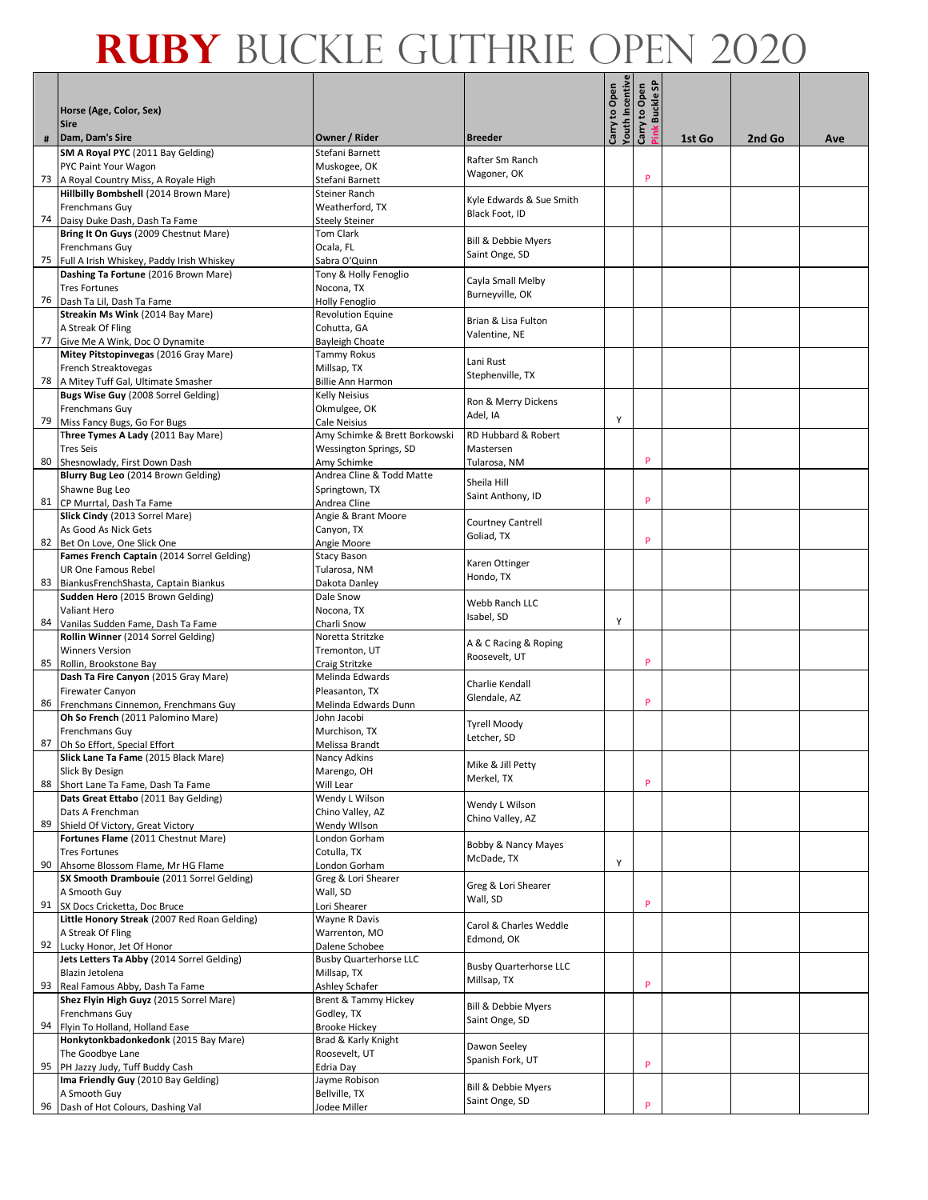|    | Horse (Age, Color, Sex)                                                  |                                               |                                      | outh Incentive<br>Carry to Open | န္တ<br>Carry to Open<br><b>Buckle</b> |        |        |     |
|----|--------------------------------------------------------------------------|-----------------------------------------------|--------------------------------------|---------------------------------|---------------------------------------|--------|--------|-----|
|    | <b>Sire</b>                                                              |                                               |                                      |                                 | ink                                   |        |        |     |
| #  | Dam, Dam's Sire<br>SM A Royal PYC (2011 Bay Gelding)                     | Owner / Rider<br>Stefani Barnett              | <b>Breeder</b>                       |                                 |                                       | 1st Go | 2nd Go | Ave |
|    | PYC Paint Your Wagon                                                     | Muskogee, OK                                  | Rafter Sm Ranch                      |                                 |                                       |        |        |     |
|    | 73 A Royal Country Miss, A Royale High                                   | Stefani Barnett                               | Wagoner, OK                          |                                 | P                                     |        |        |     |
|    | Hillbilly Bombshell (2014 Brown Mare)                                    | Steiner Ranch                                 | Kyle Edwards & Sue Smith             |                                 |                                       |        |        |     |
|    | <b>Frenchmans Guy</b>                                                    | Weatherford, TX                               | Black Foot, ID                       |                                 |                                       |        |        |     |
|    | 74 Daisy Duke Dash, Dash Ta Fame                                         | <b>Steely Steiner</b><br><b>Tom Clark</b>     |                                      |                                 |                                       |        |        |     |
|    | Bring It On Guys (2009 Chestnut Mare)<br>Frenchmans Guy                  | Ocala, FL                                     | <b>Bill &amp; Debbie Myers</b>       |                                 |                                       |        |        |     |
|    | 75 Full A Irish Whiskey, Paddy Irish Whiskey                             | Sabra O'Quinn                                 | Saint Onge, SD                       |                                 |                                       |        |        |     |
|    | Dashing Ta Fortune (2016 Brown Mare)                                     | Tony & Holly Fenoglio                         |                                      |                                 |                                       |        |        |     |
|    | <b>Tres Fortunes</b>                                                     | Nocona, TX                                    | Cayla Small Melby<br>Burneyville, OK |                                 |                                       |        |        |     |
|    | 76   Dash Ta Lil, Dash Ta Fame                                           | Holly Fenoglio                                |                                      |                                 |                                       |        |        |     |
|    | Streakin Ms Wink (2014 Bay Mare)                                         | <b>Revolution Equine</b>                      | Brian & Lisa Fulton                  |                                 |                                       |        |        |     |
| 77 | A Streak Of Fling<br>Give Me A Wink, Doc O Dynamite                      | Cohutta, GA<br>Bayleigh Choate                | Valentine, NE                        |                                 |                                       |        |        |     |
|    | Mitey Pitstopinvegas (2016 Gray Mare)                                    | <b>Tammy Rokus</b>                            |                                      |                                 |                                       |        |        |     |
|    | French Streaktovegas                                                     | Millsap, TX                                   | Lani Rust                            |                                 |                                       |        |        |     |
|    | 78 A Mitey Tuff Gal, Ultimate Smasher                                    | Billie Ann Harmon                             | Stephenville, TX                     |                                 |                                       |        |        |     |
|    | Bugs Wise Guy (2008 Sorrel Gelding)                                      | Kelly Neisius                                 | Ron & Merry Dickens                  |                                 |                                       |        |        |     |
|    | Frenchmans Guy                                                           | Okmulgee, OK                                  | Adel, IA                             |                                 |                                       |        |        |     |
| 79 | Miss Fancy Bugs, Go For Bugs<br>Three Tymes A Lady (2011 Bay Mare)       | Cale Neisius<br>Amy Schimke & Brett Borkowski | RD Hubbard & Robert                  | Y                               |                                       |        |        |     |
|    | <b>Tres Seis</b>                                                         | Wessington Springs, SD                        | Mastersen                            |                                 |                                       |        |        |     |
| 80 | Shesnowlady, First Down Dash                                             | Amy Schimke                                   | Tularosa, NM                         |                                 | P                                     |        |        |     |
|    | Blurry Bug Leo (2014 Brown Gelding)                                      | Andrea Cline & Todd Matte                     |                                      |                                 |                                       |        |        |     |
|    | Shawne Bug Leo                                                           | Springtown, TX                                | Sheila Hill<br>Saint Anthony, ID     |                                 |                                       |        |        |     |
| 81 | CP Murrtal, Dash Ta Fame                                                 | Andrea Cline                                  |                                      |                                 | P                                     |        |        |     |
|    | Slick Cindy (2013 Sorrel Mare)                                           | Angie & Brant Moore                           | Courtney Cantrell                    |                                 |                                       |        |        |     |
| 82 | As Good As Nick Gets<br>Bet On Love, One Slick One                       | Canyon, TX<br>Angie Moore                     | Goliad, TX                           |                                 | P                                     |        |        |     |
|    | Fames French Captain (2014 Sorrel Gelding)                               | <b>Stacy Bason</b>                            |                                      |                                 |                                       |        |        |     |
|    | <b>UR One Famous Rebel</b>                                               | Tularosa, NM                                  | Karen Ottinger                       |                                 |                                       |        |        |     |
| 83 | BiankusFrenchShasta, Captain Biankus                                     | Dakota Danley                                 | Hondo, TX                            |                                 |                                       |        |        |     |
|    | Sudden Hero (2015 Brown Gelding)                                         | Dale Snow                                     | Webb Ranch LLC                       |                                 |                                       |        |        |     |
|    | <b>Valiant Hero</b>                                                      | Nocona, TX                                    | Isabel, SD                           | Y                               |                                       |        |        |     |
| 84 | Vanilas Sudden Fame, Dash Ta Fame<br>Rollin Winner (2014 Sorrel Gelding) | Charli Snow<br>Noretta Stritzke               |                                      |                                 |                                       |        |        |     |
|    | <b>Winners Version</b>                                                   | Tremonton, UT                                 | A & C Racing & Roping                |                                 |                                       |        |        |     |
| 85 | Rollin, Brookstone Bay                                                   | Craig Stritzke                                | Roosevelt, UT                        |                                 | P                                     |        |        |     |
|    | Dash Ta Fire Canyon (2015 Gray Mare)                                     | Melinda Edwards                               | Charlie Kendall                      |                                 |                                       |        |        |     |
|    | <b>Firewater Canyon</b>                                                  | Pleasanton, TX                                | Glendale, AZ                         |                                 |                                       |        |        |     |
|    | 86 Frenchmans Cinnemon, Frenchmans Guy                                   | Melinda Edwards Dunn                          |                                      |                                 | P                                     |        |        |     |
|    | Oh So French (2011 Palomino Mare)<br>Frenchmans Guy                      | John Jacobi<br>Murchison, TX                  | <b>Tyrell Moody</b>                  |                                 |                                       |        |        |     |
| 87 | Oh So Effort, Special Effort                                             | Melissa Brandt                                | Letcher, SD                          |                                 |                                       |        |        |     |
|    | Slick Lane Ta Fame (2015 Black Mare)                                     | Nancy Adkins                                  | Mike & Jill Petty                    |                                 |                                       |        |        |     |
|    | Slick By Design                                                          | Marengo, OH                                   | Merkel, TX                           |                                 |                                       |        |        |     |
| 88 | Short Lane Ta Fame, Dash Ta Fame                                         | Will Lear                                     |                                      |                                 | P                                     |        |        |     |
|    | Dats Great Ettabo (2011 Bay Gelding)<br>Dats A Frenchman                 | Wendy L Wilson<br>Chino Valley, AZ            | Wendy L Wilson                       |                                 |                                       |        |        |     |
| 89 | Shield Of Victory, Great Victory                                         | Wendy Wilson                                  | Chino Valley, AZ                     |                                 |                                       |        |        |     |
|    | Fortunes Flame (2011 Chestnut Mare)                                      | London Gorham                                 |                                      |                                 |                                       |        |        |     |
|    | <b>Tres Fortunes</b>                                                     | Cotulla, TX                                   | Bobby & Nancy Mayes                  |                                 |                                       |        |        |     |
|    | 90 Ahsome Blossom Flame, Mr HG Flame                                     | London Gorham                                 | McDade, TX                           | Y                               |                                       |        |        |     |
|    | SX Smooth Drambouie (2011 Sorrel Gelding)                                | Greg & Lori Shearer                           | Greg & Lori Shearer                  |                                 |                                       |        |        |     |
|    | A Smooth Guy<br>91 SX Docs Cricketta, Doc Bruce                          | Wall, SD                                      | Wall, SD                             |                                 | P                                     |        |        |     |
|    | Little Honory Streak (2007 Red Roan Gelding)                             | Lori Shearer<br>Wayne R Davis                 |                                      |                                 |                                       |        |        |     |
|    | A Streak Of Fling                                                        | Warrenton, MO                                 | Carol & Charles Weddle               |                                 |                                       |        |        |     |
|    | 92 Lucky Honor, Jet Of Honor                                             | Dalene Schobee                                | Edmond, OK                           |                                 |                                       |        |        |     |
|    | Jets Letters Ta Abby (2014 Sorrel Gelding)                               | <b>Busby Quarterhorse LLC</b>                 | <b>Busby Quarterhorse LLC</b>        |                                 |                                       |        |        |     |
|    | Blazin Jetolena                                                          | Millsap, TX                                   | Millsap, TX                          |                                 | P                                     |        |        |     |
| 93 | Real Famous Abby, Dash Ta Fame                                           | Ashley Schafer                                |                                      |                                 |                                       |        |        |     |
|    | Shez Flyin High Guyz (2015 Sorrel Mare)<br>Frenchmans Guy                | <b>Brent &amp; Tammy Hickey</b><br>Godley, TX | Bill & Debbie Myers                  |                                 |                                       |        |        |     |
|    | 94 Flyin To Holland, Holland Ease                                        | <b>Brooke Hickey</b>                          | Saint Onge, SD                       |                                 |                                       |        |        |     |
|    | Honkytonkbadonkedonk (2015 Bay Mare)                                     | Brad & Karly Knight                           |                                      |                                 |                                       |        |        |     |
|    | The Goodbye Lane                                                         | Roosevelt, UT                                 | Dawon Seeley<br>Spanish Fork, UT     |                                 |                                       |        |        |     |
|    | 95 PH Jazzy Judy, Tuff Buddy Cash                                        | Edria Day                                     |                                      |                                 | P                                     |        |        |     |
|    | Ima Friendly Guy (2010 Bay Gelding)                                      | Jayme Robison                                 | Bill & Debbie Myers                  |                                 |                                       |        |        |     |
|    | A Smooth Guy<br>96 Dash of Hot Colours, Dashing Val                      | Bellville, TX<br>Jodee Miller                 | Saint Onge, SD                       |                                 | P                                     |        |        |     |
|    |                                                                          |                                               |                                      |                                 |                                       |        |        |     |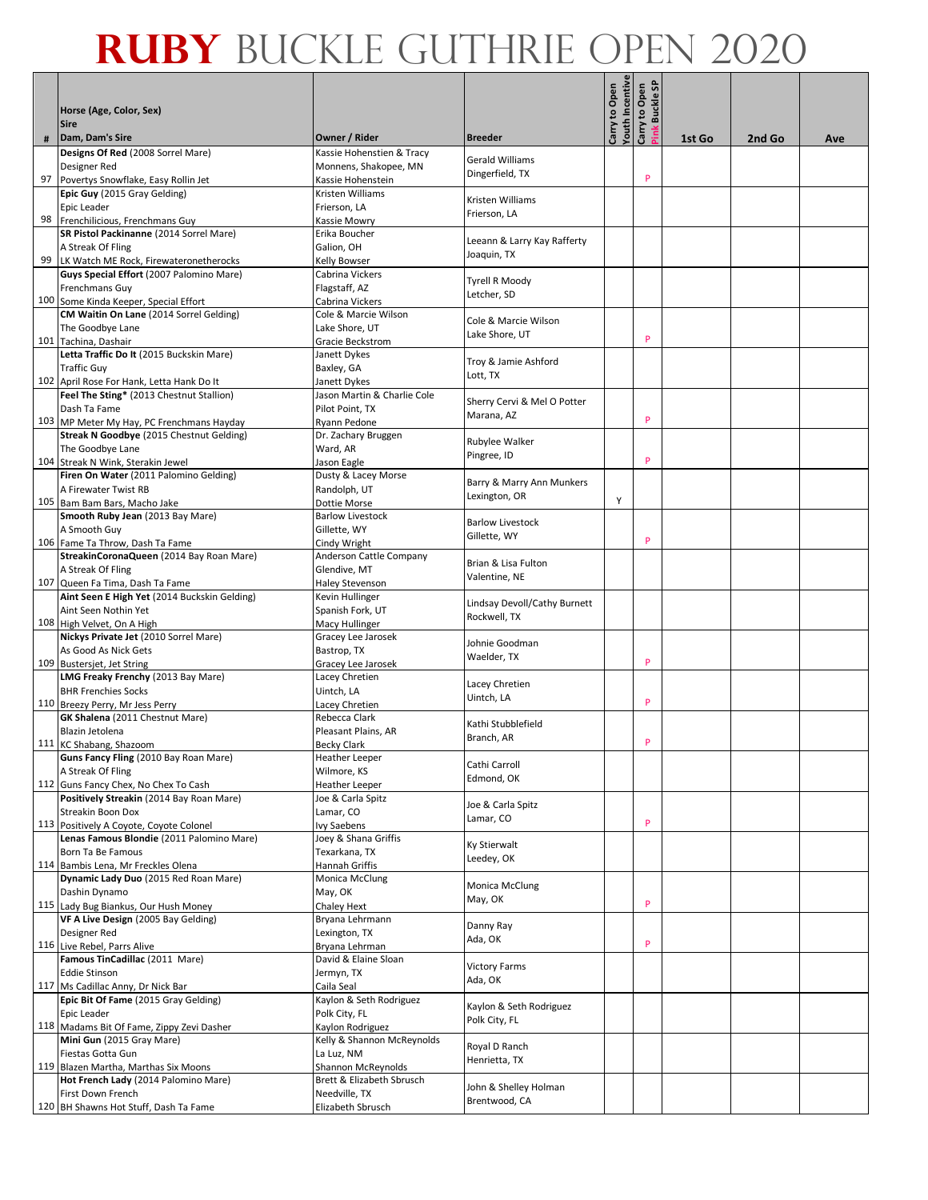|    | Horse (Age, Color, Sex)                                                          |                                                    |                                            | <b>Touth Incentive</b><br>Carry to Open | <b>Buckle SP</b><br>Carry to Open |        |        |     |
|----|----------------------------------------------------------------------------------|----------------------------------------------------|--------------------------------------------|-----------------------------------------|-----------------------------------|--------|--------|-----|
|    | <b>Sire</b>                                                                      |                                                    |                                            |                                         | <b>Mulk</b>                       |        |        |     |
| #  | Dam, Dam's Sire<br>Designs Of Red (2008 Sorrel Mare)                             | Owner / Rider                                      | <b>Breeder</b>                             |                                         |                                   | 1st Go | 2nd Go | Ave |
|    | Designer Red                                                                     | Kassie Hohenstien & Tracy<br>Monnens, Shakopee, MN | Gerald Williams                            |                                         |                                   |        |        |     |
| 97 | Povertys Snowflake, Easy Rollin Jet                                              | Kassie Hohenstein                                  | Dingerfield, TX                            |                                         | P                                 |        |        |     |
|    | Epic Guy (2015 Gray Gelding)                                                     | Kristen Williams                                   | Kristen Williams                           |                                         |                                   |        |        |     |
|    | Epic Leader<br>98 Frenchilicious, Frenchmans Guy                                 | Frierson, LA<br>Kassie Mowry                       | Frierson, LA                               |                                         |                                   |        |        |     |
|    | SR Pistol Packinanne (2014 Sorrel Mare)                                          | Erika Boucher                                      |                                            |                                         |                                   |        |        |     |
|    | A Streak Of Fling                                                                | Galion. OH                                         | Leeann & Larry Kay Rafferty<br>Joaquin, TX |                                         |                                   |        |        |     |
|    | 99 LK Watch ME Rock, Firewateronetherocks                                        | Kelly Bowser                                       |                                            |                                         |                                   |        |        |     |
|    | Guys Special Effort (2007 Palomino Mare)<br><b>Frenchmans Guy</b>                | Cabrina Vickers<br>Flagstaff, AZ                   | Tyrell R Moody                             |                                         |                                   |        |        |     |
|    | 100 Some Kinda Keeper, Special Effort                                            | Cabrina Vickers                                    | Letcher, SD                                |                                         |                                   |        |        |     |
|    | CM Waitin On Lane (2014 Sorrel Gelding)                                          | Cole & Marcie Wilson                               | Cole & Marcie Wilson                       |                                         |                                   |        |        |     |
|    | The Goodbye Lane                                                                 | Lake Shore, UT                                     | Lake Shore, UT                             |                                         | P                                 |        |        |     |
|    | 101 Tachina, Dashair<br>Letta Traffic Do It (2015 Buckskin Mare)                 | Gracie Beckstrom<br>Janett Dykes                   |                                            |                                         |                                   |        |        |     |
|    | <b>Traffic Guy</b>                                                               | Baxley, GA                                         | Troy & Jamie Ashford                       |                                         |                                   |        |        |     |
|    | 102 April Rose For Hank, Letta Hank Do It                                        | Janett Dykes                                       | Lott, TX                                   |                                         |                                   |        |        |     |
|    | Feel The Sting* (2013 Chestnut Stallion)                                         | Jason Martin & Charlie Cole                        | Sherry Cervi & Mel O Potter                |                                         |                                   |        |        |     |
|    | Dash Ta Fame<br>103 MP Meter My Hay, PC Frenchmans Hayday                        | Pilot Point, TX<br>Ryann Pedone                    | Marana, AZ                                 |                                         | P                                 |        |        |     |
|    | Streak N Goodbye (2015 Chestnut Gelding)                                         | Dr. Zachary Bruggen                                |                                            |                                         |                                   |        |        |     |
|    | The Goodbye Lane                                                                 | Ward, AR                                           | Rubylee Walker<br>Pingree, ID              |                                         |                                   |        |        |     |
|    | 104 Streak N Wink, Sterakin Jewel                                                | Jason Eagle                                        |                                            |                                         | P                                 |        |        |     |
|    | Firen On Water (2011 Palomino Gelding)<br>A Firewater Twist RB                   | Dusty & Lacey Morse<br>Randolph, UT                | Barry & Marry Ann Munkers                  |                                         |                                   |        |        |     |
|    | 105 Bam Bam Bars, Macho Jake                                                     | <b>Dottie Morse</b>                                | Lexington, OR                              | Υ                                       |                                   |        |        |     |
|    | Smooth Ruby Jean (2013 Bay Mare)                                                 | <b>Barlow Livestock</b>                            | <b>Barlow Livestock</b>                    |                                         |                                   |        |        |     |
|    | A Smooth Guy<br>106 Fame Ta Throw, Dash Ta Fame                                  | Gillette, WY                                       | Gillette, WY                               |                                         | P                                 |        |        |     |
|    | StreakinCoronaQueen (2014 Bay Roan Mare)                                         | Cindy Wright<br>Anderson Cattle Company            |                                            |                                         |                                   |        |        |     |
|    | A Streak Of Fling                                                                | Glendive, MT                                       | Brian & Lisa Fulton<br>Valentine, NE       |                                         |                                   |        |        |     |
|    | 107 Queen Fa Tima, Dash Ta Fame                                                  | <b>Haley Stevenson</b>                             |                                            |                                         |                                   |        |        |     |
|    | Aint Seen E High Yet (2014 Buckskin Gelding)<br>Aint Seen Nothin Yet             | Kevin Hullinger<br>Spanish Fork, UT                | Lindsay Devoll/Cathy Burnett               |                                         |                                   |        |        |     |
|    | 108 High Velvet, On A High                                                       | Macy Hullinger                                     | Rockwell, TX                               |                                         |                                   |        |        |     |
|    | Nickys Private Jet (2010 Sorrel Mare)                                            | Gracey Lee Jarosek                                 | Johnie Goodman                             |                                         |                                   |        |        |     |
|    | As Good As Nick Gets                                                             | Bastrop, TX                                        | Waelder, TX                                |                                         | P                                 |        |        |     |
|    | 109 Bustersjet, Jet String<br>LMG Freaky Frenchy (2013 Bay Mare)                 | Gracey Lee Jarosek<br>Lacey Chretien               |                                            |                                         |                                   |        |        |     |
|    | <b>BHR Frenchies Socks</b>                                                       | Uintch, LA                                         | Lacey Chretien                             |                                         |                                   |        |        |     |
|    | 110 Breezy Perry, Mr Jess Perry                                                  | Lacey Chretien                                     | Uintch, LA                                 |                                         | P                                 |        |        |     |
|    | GK Shalena (2011 Chestnut Mare)<br>Blazin Jetolena                               | Rebecca Clark                                      | Kathi Stubblefield                         |                                         |                                   |        |        |     |
|    | 111 KC Shabang, Shazoom                                                          | Pleasant Plains, AR<br><b>Becky Clark</b>          | Branch, AR                                 |                                         | P                                 |        |        |     |
|    | Guns Fancy Fling (2010 Bay Roan Mare)                                            | Heatner Leeper                                     | Cathi Carroll                              |                                         |                                   |        |        |     |
|    | A Streak Of Fling                                                                | Wilmore, KS                                        | Edmond, OK                                 |                                         |                                   |        |        |     |
|    | 112 Guns Fancy Chex, No Chex To Cash<br>Positively Streakin (2014 Bay Roan Mare) | <b>Heather Leeper</b><br>Joe & Carla Spitz         |                                            |                                         |                                   |        |        |     |
|    | Streakin Boon Dox                                                                | Lamar, CO                                          | Joe & Carla Spitz                          |                                         |                                   |        |        |     |
|    | 113 Positively A Coyote, Coyote Colonel                                          | Ivy Saebens                                        | Lamar, CO                                  |                                         | P                                 |        |        |     |
|    | Lenas Famous Blondie (2011 Palomino Mare)<br>Born Ta Be Famous                   | Joey & Shana Griffis<br>Texarkana, TX              | Ky Stierwalt                               |                                         |                                   |        |        |     |
|    | 114 Bambis Lena, Mr Freckles Olena                                               | Hannah Griffis                                     | Leedey, OK                                 |                                         |                                   |        |        |     |
|    | Dynamic Lady Duo (2015 Red Roan Mare)                                            | Monica McClung                                     | Monica McClung                             |                                         |                                   |        |        |     |
|    | Dashin Dynamo                                                                    | May, OK                                            | May, OK                                    |                                         | P                                 |        |        |     |
|    | 115 Lady Bug Biankus, Our Hush Money<br>VF A Live Design (2005 Bay Gelding)      | <b>Chaley Hext</b><br>Bryana Lehrmann              |                                            |                                         |                                   |        |        |     |
|    | Designer Red                                                                     | Lexington, TX                                      | Danny Ray                                  |                                         |                                   |        |        |     |
|    | 116 Live Rebel, Parrs Alive                                                      | Bryana Lehrman                                     | Ada, OK                                    |                                         | P                                 |        |        |     |
|    | Famous TinCadillac (2011 Mare)                                                   | David & Elaine Sloan                               | <b>Victory Farms</b>                       |                                         |                                   |        |        |     |
|    | <b>Eddie Stinson</b><br>117 Ms Cadillac Anny, Dr Nick Bar                        | Jermyn, TX<br>Caila Seal                           | Ada, OK                                    |                                         |                                   |        |        |     |
|    | Epic Bit Of Fame (2015 Gray Gelding)                                             | Kaylon & Seth Rodriguez                            |                                            |                                         |                                   |        |        |     |
|    | Epic Leader                                                                      | Polk City, FL                                      | Kaylon & Seth Rodriguez<br>Polk City, FL   |                                         |                                   |        |        |     |
|    | 118 Madams Bit Of Fame, Zippy Zevi Dasher<br>Mini Gun (2015 Gray Mare)           | Kaylon Rodriguez<br>Kelly & Shannon McReynolds     |                                            |                                         |                                   |        |        |     |
|    | Fiestas Gotta Gun                                                                | La Luz, NM                                         | Royal D Ranch                              |                                         |                                   |        |        |     |
|    | 119 Blazen Martha, Marthas Six Moons                                             | Shannon McReynolds                                 | Henrietta, TX                              |                                         |                                   |        |        |     |
|    | Hot French Lady (2014 Palomino Mare)                                             | Brett & Elizabeth Sbrusch                          | John & Shelley Holman                      |                                         |                                   |        |        |     |
|    | First Down French<br>120 BH Shawns Hot Stuff, Dash Ta Fame                       | Needville, TX<br>Elizabeth Sbrusch                 | Brentwood, CA                              |                                         |                                   |        |        |     |
|    |                                                                                  |                                                    |                                            |                                         |                                   |        |        |     |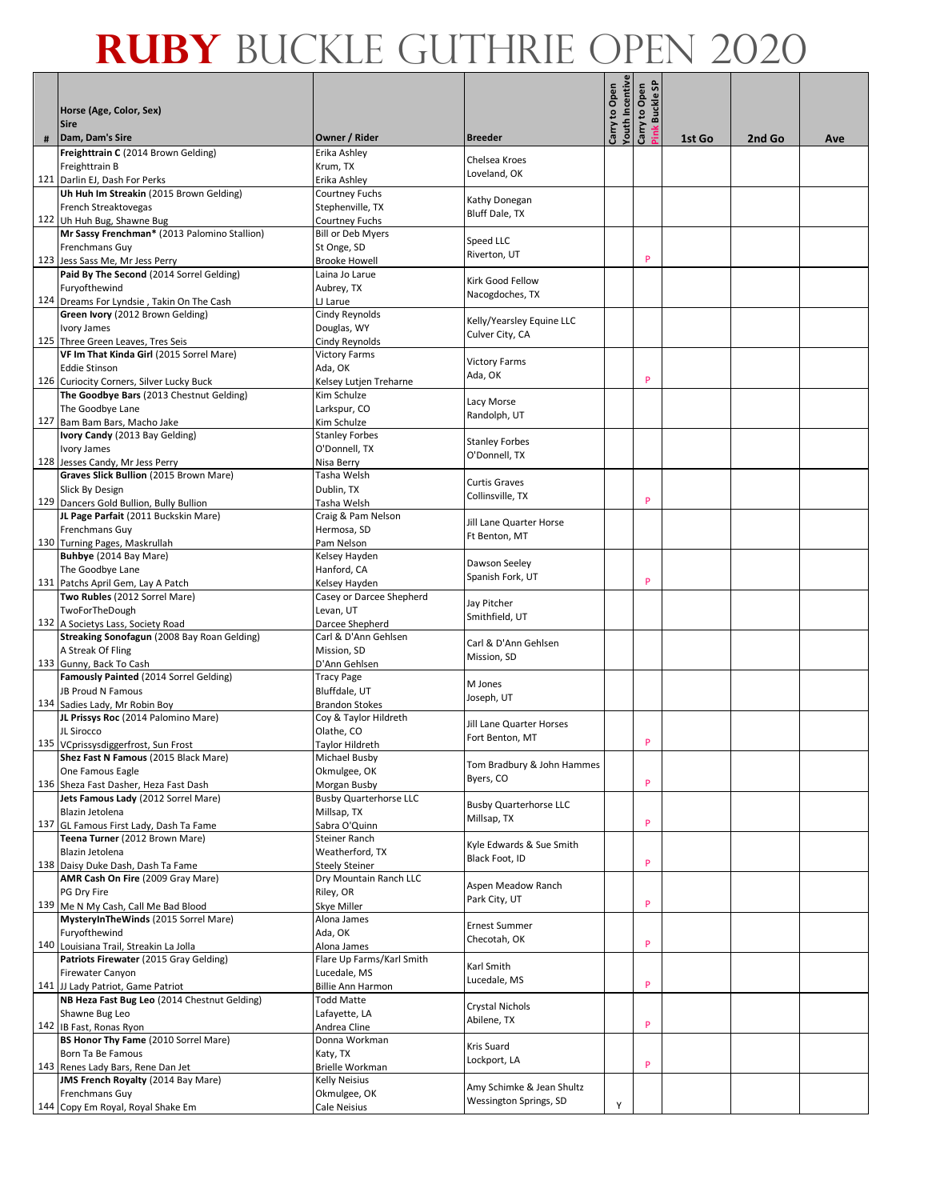|     | Horse (Age, Color, Sex)                                                     |                                              |                                          | outh Incentive<br>Carry to Open | န္တ<br>Carry to Open<br><b>Buckle</b> |        |        |     |
|-----|-----------------------------------------------------------------------------|----------------------------------------------|------------------------------------------|---------------------------------|---------------------------------------|--------|--------|-----|
|     | <b>Sire</b><br>Dam, Dam's Sire                                              | Owner / Rider                                | <b>Breeder</b>                           |                                 |                                       |        | 2nd Go |     |
| #   | Freighttrain C (2014 Brown Gelding)                                         | Erika Ashley                                 |                                          |                                 |                                       | 1st Go |        | Ave |
|     | Freighttrain B                                                              | Krum, TX                                     | Chelsea Kroes                            |                                 |                                       |        |        |     |
|     | 121 Darlin EJ, Dash For Perks                                               | Erika Ashley                                 | Loveland, OK                             |                                 |                                       |        |        |     |
|     | Uh Huh Im Streakin (2015 Brown Gelding)                                     | Courtney Fuchs                               |                                          |                                 |                                       |        |        |     |
|     | French Streaktovegas                                                        | Stephenville, TX                             | Kathy Donegan<br>Bluff Dale, TX          |                                 |                                       |        |        |     |
|     | 122 Uh Huh Bug, Shawne Bug                                                  | <b>Courtney Fuchs</b>                        |                                          |                                 |                                       |        |        |     |
|     | Mr Sassy Frenchman* (2013 Palomino Stallion)<br>Frenchmans Guy              | <b>Bill or Deb Myers</b><br>St Onge, SD      | Speed LLC                                |                                 |                                       |        |        |     |
|     | 123 Jess Sass Me, Mr Jess Perry                                             | <b>Brooke Howell</b>                         | Riverton, UT                             |                                 | P                                     |        |        |     |
|     | Paid By The Second (2014 Sorrel Gelding)                                    | Laina Jo Larue                               |                                          |                                 |                                       |        |        |     |
|     | Furyofthewind                                                               | Aubrey, TX                                   | Kirk Good Fellow                         |                                 |                                       |        |        |     |
|     | 124 Dreams For Lyndsie, Takin On The Cash                                   | LJ Larue                                     | Nacogdoches, TX                          |                                 |                                       |        |        |     |
|     | Green Ivory (2012 Brown Gelding)                                            | Cindy Reynolds                               | Kelly/Yearsley Equine LLC                |                                 |                                       |        |        |     |
|     | Ivory James                                                                 | Douglas, WY                                  | Culver City, CA                          |                                 |                                       |        |        |     |
|     | 125 Three Green Leaves, Tres Seis                                           | Cindy Reynolds                               |                                          |                                 |                                       |        |        |     |
|     | VF Im That Kinda Girl (2015 Sorrel Mare)<br><b>Eddie Stinson</b>            | <b>Victory Farms</b><br>Ada, OK              | <b>Victory Farms</b>                     |                                 |                                       |        |        |     |
|     | 126 Curiocity Corners, Silver Lucky Buck                                    | Kelsey Lutjen Treharne                       | Ada, OK                                  |                                 | P                                     |        |        |     |
|     | The Goodbye Bars (2013 Chestnut Gelding)                                    | Kim Schulze                                  |                                          |                                 |                                       |        |        |     |
|     | The Goodbye Lane                                                            | Larkspur, CO                                 | Lacy Morse<br>Randolph, UT               |                                 |                                       |        |        |     |
| 127 | Bam Bam Bars, Macho Jake                                                    | Kim Schulze                                  |                                          |                                 |                                       |        |        |     |
|     | Ivory Candy (2013 Bay Gelding)                                              | <b>Stanley Forbes</b>                        | <b>Stanley Forbes</b>                    |                                 |                                       |        |        |     |
|     | Ivory James                                                                 | O'Donnell, TX                                | O'Donnell, TX                            |                                 |                                       |        |        |     |
|     | 128 Jesses Candy, Mr Jess Perry<br>Graves Slick Bullion (2015 Brown Mare)   | Nisa Berry<br>Tasha Welsh                    |                                          |                                 |                                       |        |        |     |
|     | Slick By Design                                                             | Dublin, TX                                   | <b>Curtis Graves</b>                     |                                 |                                       |        |        |     |
|     | 129 Dancers Gold Bullion, Bully Bullion                                     | Tasha Welsh                                  | Collinsville, TX                         |                                 | P                                     |        |        |     |
|     | JL Page Parfait (2011 Buckskin Mare)                                        | Craig & Pam Nelson                           |                                          |                                 |                                       |        |        |     |
|     | Frenchmans Guy                                                              | Hermosa, SD                                  | Jill Lane Quarter Horse<br>Ft Benton, MT |                                 |                                       |        |        |     |
|     | 130 Turning Pages, Maskrullah                                               | Pam Nelson                                   |                                          |                                 |                                       |        |        |     |
|     | Buhbye (2014 Bay Mare)                                                      | Kelsey Hayden                                | Dawson Seeley                            |                                 |                                       |        |        |     |
|     | The Goodbye Lane                                                            | Hanford, CA                                  | Spanish Fork, UT                         |                                 | P                                     |        |        |     |
|     | 131 Patchs April Gem, Lay A Patch<br>Two Rubles (2012 Sorrel Mare)          | Kelsey Hayden<br>Casey or Darcee Shepherd    |                                          |                                 |                                       |        |        |     |
|     | TwoForTheDough                                                              | Levan, UT                                    | Jay Pitcher                              |                                 |                                       |        |        |     |
|     | 132 A Societys Lass, Society Road                                           | Darcee Shepherd                              | Smithfield, UT                           |                                 |                                       |        |        |     |
|     | Streaking Sonofagun (2008 Bay Roan Gelding)                                 | Carl & D'Ann Gehlsen                         | Carl & D'Ann Gehlsen                     |                                 |                                       |        |        |     |
|     | A Streak Of Fling                                                           | Mission, SD                                  | Mission, SD                              |                                 |                                       |        |        |     |
|     | 133 Gunny, Back To Cash                                                     | D'Ann Gehlsen                                |                                          |                                 |                                       |        |        |     |
|     | Famously Painted (2014 Sorrel Gelding)                                      | <b>Tracy Page</b>                            | M Jones                                  |                                 |                                       |        |        |     |
|     | JB Proud N Famous<br>134 Sadies Lady, Mr Robin Boy                          | Bluffdale, UT<br>Brandon Stokes              | Joseph, UT                               |                                 |                                       |        |        |     |
|     | JL Prissys Roc (2014 Palomino Mare)                                         | Coy & Taylor Hildreth                        |                                          |                                 |                                       |        |        |     |
|     | JL Sirocco                                                                  | Olathe, CO                                   | Jill Lane Quarter Horses                 |                                 |                                       |        |        |     |
|     | 135 VCprissysdiggerfrost, Sun Frost                                         | <b>Taylor Hildreth</b>                       | Fort Benton, MT                          |                                 | P                                     |        |        |     |
|     | Shez Fast N Famous (2015 Black Mare)                                        | Michael Busby                                | Tom Bradbury & John Hammes               |                                 |                                       |        |        |     |
|     | One Famous Eagle                                                            | Okmulgee, OK                                 | Byers, CO                                |                                 |                                       |        |        |     |
|     | 136 Sheza Fast Dasher, Heza Fast Dash                                       | Morgan Busby                                 |                                          |                                 | P                                     |        |        |     |
|     | Jets Famous Lady (2012 Sorrel Mare)<br>Blazin Jetolena                      | <b>Busby Quarterhorse LLC</b><br>Millsap, TX | <b>Busby Quarterhorse LLC</b>            |                                 |                                       |        |        |     |
|     | 137 GL Famous First Lady, Dash Ta Fame                                      | Sabra O'Quinn                                | Millsap, TX                              |                                 | P                                     |        |        |     |
|     | Teena Turner (2012 Brown Mare)                                              | Steiner Ranch                                |                                          |                                 |                                       |        |        |     |
|     | Blazin Jetolena                                                             | Weatherford, TX                              | Kyle Edwards & Sue Smith                 |                                 |                                       |        |        |     |
|     | 138 Daisy Duke Dash, Dash Ta Fame                                           | <b>Steely Steiner</b>                        | Black Foot, ID                           |                                 | P                                     |        |        |     |
|     | AMR Cash On Fire (2009 Gray Mare)                                           | Dry Mountain Ranch LLC                       | Aspen Meadow Ranch                       |                                 |                                       |        |        |     |
|     | PG Dry Fire                                                                 | Riley, OR                                    | Park City, UT                            |                                 | P                                     |        |        |     |
|     | 139 Me N My Cash, Call Me Bad Blood<br>MysteryInTheWinds (2015 Sorrel Mare) | Skye Miller<br>Alona James                   |                                          |                                 |                                       |        |        |     |
|     | Furyofthewind                                                               | Ada, OK                                      | <b>Ernest Summer</b>                     |                                 |                                       |        |        |     |
|     | 140 Louisiana Trail, Streakin La Jolla                                      | Alona James                                  | Checotah, OK                             |                                 | P                                     |        |        |     |
|     | Patriots Firewater (2015 Gray Gelding)                                      | Flare Up Farms/Karl Smith                    |                                          |                                 |                                       |        |        |     |
|     | Firewater Canyon                                                            | Lucedale, MS                                 | Karl Smith<br>Lucedale, MS               |                                 |                                       |        |        |     |
|     | 141 JJ Lady Patriot, Game Patriot                                           | Billie Ann Harmon                            |                                          |                                 | P                                     |        |        |     |
|     | NB Heza Fast Bug Leo (2014 Chestnut Gelding)                                | <b>Todd Matte</b>                            | Crystal Nichols                          |                                 |                                       |        |        |     |
|     | Shawne Bug Leo                                                              | Lafayette, LA                                | Abilene, TX                              |                                 | P                                     |        |        |     |
|     | 142 IB Fast, Ronas Ryon<br>BS Honor Thy Fame (2010 Sorrel Mare)             | Andrea Cline<br>Donna Workman                |                                          |                                 |                                       |        |        |     |
|     | Born Ta Be Famous                                                           | Katy, TX                                     | Kris Suard                               |                                 |                                       |        |        |     |
|     | 143 Renes Lady Bars, Rene Dan Jet                                           | Brielle Workman                              | Lockport, LA                             |                                 | P                                     |        |        |     |
|     | JMS French Royalty (2014 Bay Mare)                                          | Kelly Neisius                                | Amy Schimke & Jean Shultz                |                                 |                                       |        |        |     |
|     | Frenchmans Guy                                                              | Okmulgee, OK                                 | Wessington Springs, SD                   |                                 |                                       |        |        |     |
|     | 144 Copy Em Royal, Royal Shake Em                                           | Cale Neisius                                 |                                          | Y                               |                                       |        |        |     |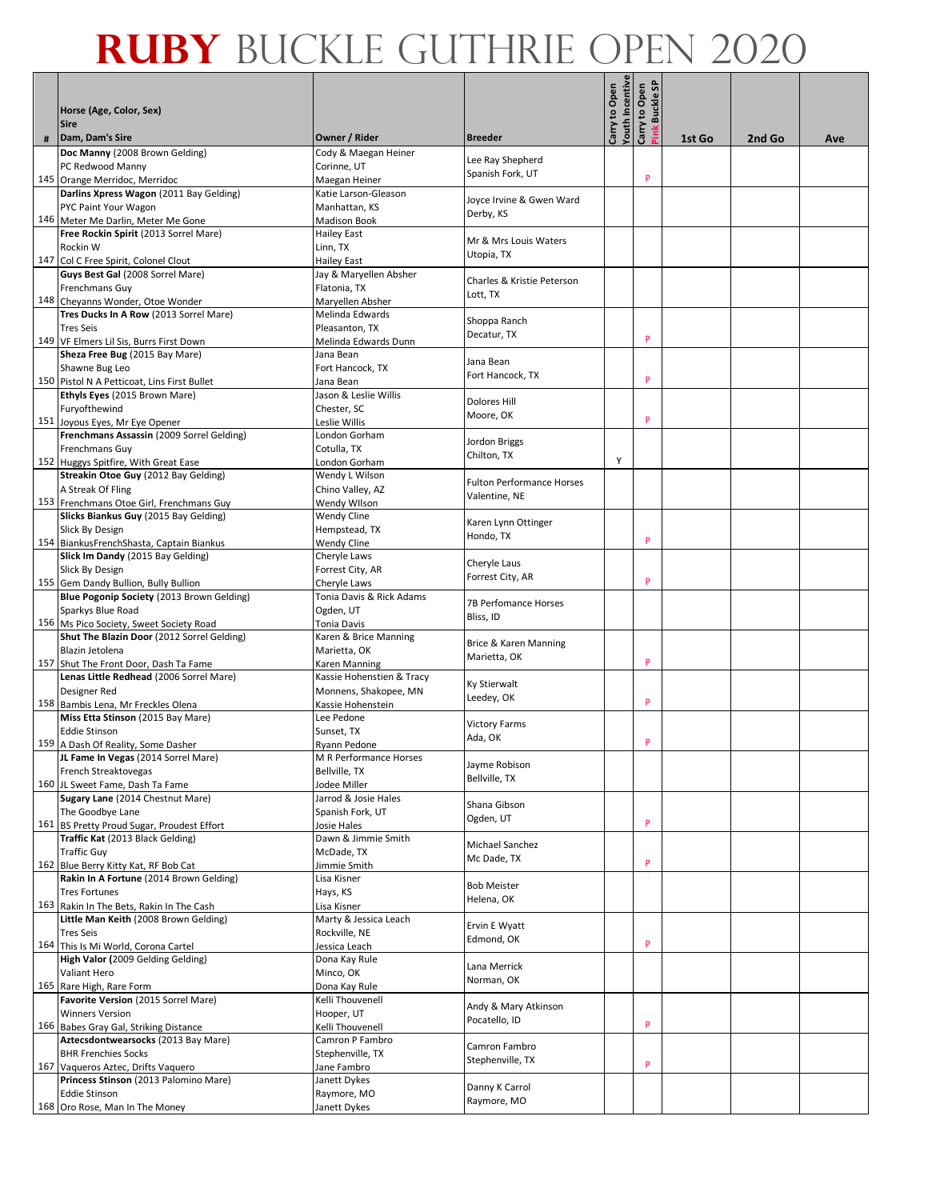|   | Horse (Age, Color, Sex)                                                           |                                            |                                       | outh Incentive<br>Carry to Open | န္တ<br>Carry to Open<br><b>Buckle</b> |        |        |     |
|---|-----------------------------------------------------------------------------------|--------------------------------------------|---------------------------------------|---------------------------------|---------------------------------------|--------|--------|-----|
|   | <b>Sire</b><br>Dam, Dam's Sire                                                    | Owner / Rider                              | <b>Breeder</b>                        |                                 |                                       |        |        |     |
| # | Doc Manny (2008 Brown Gelding)                                                    | Cody & Maegan Heiner                       |                                       |                                 |                                       | 1st Go | 2nd Go | Ave |
|   | PC Redwood Manny                                                                  | Corinne, UT                                | Lee Ray Shepherd                      |                                 |                                       |        |        |     |
|   | 145 Orange Merridoc, Merridoc                                                     | Maegan Heiner                              | Spanish Fork, UT                      |                                 | P                                     |        |        |     |
|   | Darlins Xpress Wagon (2011 Bay Gelding)                                           | Katie Larson-Gleason                       | Joyce Irvine & Gwen Ward              |                                 |                                       |        |        |     |
|   | PYC Paint Your Wagon                                                              | Manhattan, KS                              | Derby, KS                             |                                 |                                       |        |        |     |
|   | 146 Meter Me Darlin, Meter Me Gone                                                | <b>Madison Book</b>                        |                                       |                                 |                                       |        |        |     |
|   | Free Rockin Spirit (2013 Sorrel Mare)                                             | <b>Hailey East</b>                         | Mr & Mrs Louis Waters                 |                                 |                                       |        |        |     |
|   | Rockin W<br>147 Col C Free Spirit, Colonel Clout                                  | Linn, TX<br><b>Hailey East</b>             | Utopia, TX                            |                                 |                                       |        |        |     |
|   | Guys Best Gal (2008 Sorrel Mare)                                                  | Jay & Maryellen Absher                     |                                       |                                 |                                       |        |        |     |
|   | Frenchmans Guy                                                                    | Flatonia, TX                               | Charles & Kristie Peterson            |                                 |                                       |        |        |     |
|   | 148 Cheyanns Wonder, Otoe Wonder                                                  | Maryellen Absher                           | Lott, TX                              |                                 |                                       |        |        |     |
|   | Tres Ducks In A Row (2013 Sorrel Mare)                                            | Melinda Edwards                            | Shoppa Ranch                          |                                 |                                       |        |        |     |
|   | <b>Tres Seis</b>                                                                  | Pleasanton, TX                             | Decatur, TX                           |                                 |                                       |        |        |     |
|   | 149 VF Elmers Lil Sis, Burrs First Down                                           | Melinda Edwards Dunn                       |                                       |                                 | P                                     |        |        |     |
|   | Sheza Free Bug (2015 Bay Mare)                                                    | Jana Bean                                  | Jana Bean                             |                                 |                                       |        |        |     |
|   | Shawne Bug Leo<br>150 Pistol N A Petticoat, Lins First Bullet                     | Fort Hancock, TX                           | Fort Hancock, TX                      |                                 | P                                     |        |        |     |
|   | Ethyls Eyes (2015 Brown Mare)                                                     | Jana Bean<br>Jason & Leslie Willis         |                                       |                                 |                                       |        |        |     |
|   | Furyofthewind                                                                     | Chester, SC                                | Dolores Hill                          |                                 |                                       |        |        |     |
|   | 151 Joyous Eyes, Mr Eye Opener                                                    | Leslie Willis                              | Moore, OK                             |                                 | P                                     |        |        |     |
|   | Frenchmans Assassin (2009 Sorrel Gelding)                                         | London Gorham                              | Jordon Briggs                         |                                 |                                       |        |        |     |
|   | Frenchmans Guy                                                                    | Cotulla, TX                                | Chilton, TX                           |                                 |                                       |        |        |     |
|   | 152 Huggys Spitfire, With Great Ease                                              | London Gorham                              |                                       | Y                               |                                       |        |        |     |
|   | Streakin Otoe Guy (2012 Bay Gelding)<br>A Streak Of Fling                         | Wendy L Wilson                             | <b>Fulton Performance Horses</b>      |                                 |                                       |        |        |     |
|   | 153 Frenchmans Otoe Girl, Frenchmans Guy                                          | Chino Valley, AZ<br>Wendy Wilson           | Valentine, NE                         |                                 |                                       |        |        |     |
|   | Slicks Biankus Guy (2015 Bay Gelding)                                             | Wendy Cline                                |                                       |                                 |                                       |        |        |     |
|   | Slick By Design                                                                   | Hempstead, TX                              | Karen Lynn Ottinger                   |                                 |                                       |        |        |     |
|   | 154 BiankusFrenchShasta, Captain Biankus                                          | Wendy Cline                                | Hondo, TX                             |                                 | P                                     |        |        |     |
|   | Slick Im Dandy (2015 Bay Gelding)                                                 | Cheryle Laws                               | Cheryle Laus                          |                                 |                                       |        |        |     |
|   | Slick By Design                                                                   | Forrest City, AR                           | Forrest City, AR                      |                                 | P                                     |        |        |     |
|   | 155 Gem Dandy Bullion, Bully Bullion<br>Blue Pogonip Society (2013 Brown Gelding) | Cheryle Laws<br>Tonia Davis & Rick Adams   |                                       |                                 |                                       |        |        |     |
|   | Sparkys Blue Road                                                                 | Ogden, UT                                  | <b>7B Perfomance Horses</b>           |                                 |                                       |        |        |     |
|   | 156 Ms Pico Society, Sweet Society Road                                           | Tonia Davis                                | Bliss, ID                             |                                 |                                       |        |        |     |
|   | Shut The Blazin Door (2012 Sorrel Gelding)                                        | Karen & Brice Manning                      |                                       |                                 |                                       |        |        |     |
|   | Blazin Jetolena                                                                   | Marietta, OK                               | Brice & Karen Manning<br>Marietta, OK |                                 |                                       |        |        |     |
|   | 157 Shut The Front Door, Dash Ta Fame                                             | Karen Manning                              |                                       |                                 | P                                     |        |        |     |
|   | Lenas Little Redhead (2006 Sorrel Mare)<br>Designer Red                           | Kassie Hohenstien & Tracy                  | Ky Stierwalt                          |                                 |                                       |        |        |     |
|   | 158 Bambis Lena, Mr Freckles Olena                                                | Monnens, Shakopee, MN<br>Kassie Hohenstein | Leedey, OK                            |                                 | P                                     |        |        |     |
|   | Miss Etta Stinson (2015 Bay Mare)                                                 | Lee Pedone                                 |                                       |                                 |                                       |        |        |     |
|   | <b>Eddie Stinson</b>                                                              | Sunset, TX                                 | Victory Farms                         |                                 |                                       |        |        |     |
|   | 159 A Dash Of Reality, Some Dasher                                                | Ryann Pedone                               | Ada, OK                               |                                 | P                                     |        |        |     |
|   | JL Fame In Vegas (2014 Sorrel Mare)                                               | M R Performance Horses                     | Jayme Robison                         |                                 |                                       |        |        |     |
|   | French Streaktovegas                                                              | Bellville, TX                              | Bellville, TX                         |                                 |                                       |        |        |     |
|   | 160 JL Sweet Fame, Dash Ta Fame<br>Sugary Lane (2014 Chestnut Mare)               | Jodee Miller<br>Jarrod & Josie Hales       |                                       |                                 |                                       |        |        |     |
|   | The Goodbye Lane                                                                  | Spanish Fork, UT                           | Shana Gibson                          |                                 |                                       |        |        |     |
|   | 161 BS Pretty Proud Sugar, Proudest Effort                                        | Josie Hales                                | Ogden, UT                             |                                 | P                                     |        |        |     |
|   | Traffic Kat (2013 Black Gelding)                                                  | Dawn & Jimmie Smith                        | Michael Sanchez                       |                                 |                                       |        |        |     |
|   | <b>Traffic Guy</b>                                                                | McDade, TX                                 | Mc Dade, TX                           |                                 | P                                     |        |        |     |
|   | 162 Blue Berry Kitty Kat, RF Bob Cat<br>Rakin In A Fortune (2014 Brown Gelding)   | Jimmie Smith<br>Lisa Kisner                |                                       |                                 |                                       |        |        |     |
|   | <b>Tres Fortunes</b>                                                              | Hays, KS                                   | <b>Bob Meister</b>                    |                                 |                                       |        |        |     |
|   | 163 Rakin In The Bets, Rakin In The Cash                                          | Lisa Kisner                                | Helena, OK                            |                                 |                                       |        |        |     |
|   | Little Man Keith (2008 Brown Gelding)                                             | Marty & Jessica Leach                      | Ervin E Wyatt                         |                                 |                                       |        |        |     |
|   | <b>Tres Seis</b>                                                                  | Rockville, NE                              | Edmond, OK                            |                                 |                                       |        |        |     |
|   | 164 This Is Mi World, Corona Cartel                                               | Jessica Leach                              |                                       |                                 | P                                     |        |        |     |
|   | High Valor (2009 Gelding Gelding)<br>Valiant Hero                                 | Dona Kay Rule                              | Lana Merrick                          |                                 |                                       |        |        |     |
|   | 165 Rare High, Rare Form                                                          | Minco, OK<br>Dona Kay Rule                 | Norman, OK                            |                                 |                                       |        |        |     |
|   | Favorite Version (2015 Sorrel Mare)                                               | Kelli Thouvenell                           |                                       |                                 |                                       |        |        |     |
|   | <b>Winners Version</b>                                                            | Hooper, UT                                 | Andy & Mary Atkinson                  |                                 |                                       |        |        |     |
|   | 166 Babes Gray Gal, Striking Distance                                             | Kelli Thouvenell                           | Pocatello, ID                         |                                 | P                                     |        |        |     |
|   | Aztecsdontwearsocks (2013 Bay Mare)                                               | Camron P Fambro                            | Camron Fambro                         |                                 |                                       |        |        |     |
|   | <b>BHR Frenchies Socks</b>                                                        | Stephenville, TX                           | Stephenville, TX                      |                                 | P                                     |        |        |     |
|   | 167 Vaqueros Aztec, Drifts Vaquero<br>Princess Stinson (2013 Palomino Mare)       | Jane Fambro<br>Janett Dykes                |                                       |                                 |                                       |        |        |     |
|   | <b>Eddie Stinson</b>                                                              | Raymore, MO                                | Danny K Carrol                        |                                 |                                       |        |        |     |
|   | 168 Oro Rose, Man In The Money                                                    | Janett Dykes                               | Raymore, MO                           |                                 |                                       |        |        |     |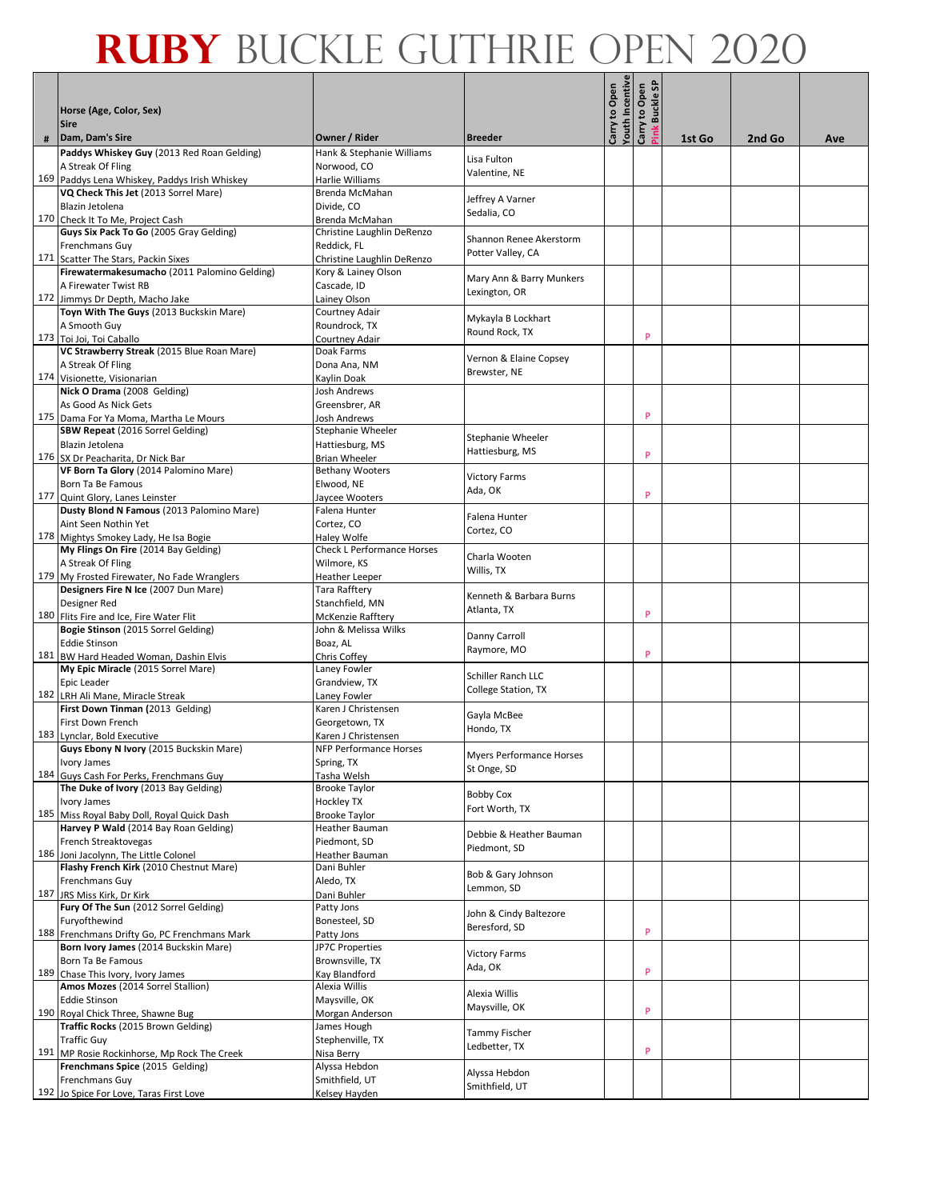|     | Horse (Age, Color, Sex)<br><b>Sire</b>                                                |                                                      |                          | outh Incentive<br>Carry to Open | န္တ<br>Carry to Open<br><b>Buckle</b> |        |        |     |
|-----|---------------------------------------------------------------------------------------|------------------------------------------------------|--------------------------|---------------------------------|---------------------------------------|--------|--------|-----|
| #   | Dam, Dam's Sire                                                                       | Owner / Rider                                        | <b>Breeder</b>           |                                 |                                       | 1st Go | 2nd Go | Ave |
|     | Paddys Whiskey Guy (2013 Red Roan Gelding)                                            | Hank & Stephanie Williams                            |                          |                                 |                                       |        |        |     |
|     | A Streak Of Fling                                                                     | Norwood, CO                                          | Lisa Fulton              |                                 |                                       |        |        |     |
|     | 169 Paddys Lena Whiskey, Paddys Irish Whiskey                                         | Harlie Williams                                      | Valentine, NE            |                                 |                                       |        |        |     |
|     | VQ Check This Jet (2013 Sorrel Mare)                                                  | Brenda McMahan                                       | Jeffrey A Varner         |                                 |                                       |        |        |     |
|     | Blazin Jetolena                                                                       | Divide, CO                                           | Sedalia, CO              |                                 |                                       |        |        |     |
|     | 170 Check It To Me, Project Cash                                                      | Brenda McMahan                                       |                          |                                 |                                       |        |        |     |
|     | Guys Six Pack To Go (2005 Gray Gelding)                                               | Christine Laughlin DeRenzo                           | Shannon Renee Akerstorm  |                                 |                                       |        |        |     |
|     | Frenchmans Guy<br>171 Scatter The Stars, Packin Sixes                                 | Reddick, FL<br>Christine Laughlin DeRenzo            | Potter Valley, CA        |                                 |                                       |        |        |     |
|     | Firewatermakesumacho (2011 Palomino Gelding)                                          | Kory & Lainey Olson                                  |                          |                                 |                                       |        |        |     |
|     | A Firewater Twist RB                                                                  | Cascade, ID                                          | Mary Ann & Barry Munkers |                                 |                                       |        |        |     |
|     | 172 Jimmys Dr Depth, Macho Jake                                                       | Lainey Olson                                         | Lexington, OR            |                                 |                                       |        |        |     |
|     | Toyn With The Guys (2013 Buckskin Mare)                                               | Courtney Adair                                       | Mykayla B Lockhart       |                                 |                                       |        |        |     |
|     | A Smooth Guy                                                                          | Roundrock, TX                                        | Round Rock, TX           |                                 |                                       |        |        |     |
|     | 173 Toi Joi, Toi Caballo                                                              | Courtney Adair                                       |                          |                                 | P                                     |        |        |     |
|     | VC Strawberry Streak (2015 Blue Roan Mare)                                            | Doak Farms                                           | Vernon & Elaine Copsey   |                                 |                                       |        |        |     |
|     | A Streak Of Fling                                                                     | Dona Ana, NM                                         | Brewster, NE             |                                 |                                       |        |        |     |
|     | 174 Visionette, Visionarian<br>Nick O Drama (2008 Gelding)                            | Kaylin Doak<br>Josh Andrews                          |                          |                                 |                                       |        |        |     |
|     | As Good As Nick Gets                                                                  | Greensbrer, AR                                       |                          |                                 |                                       |        |        |     |
|     | 175 Dama For Ya Moma, Martha Le Mours                                                 | <b>Josh Andrews</b>                                  |                          |                                 | P                                     |        |        |     |
|     | SBW Repeat (2016 Sorrel Gelding)                                                      | Stephanie Wheeler                                    | Stephanie Wheeler        |                                 |                                       |        |        |     |
|     | Blazin Jetolena                                                                       | Hattiesburg, MS                                      | Hattiesburg, MS          |                                 |                                       |        |        |     |
|     | 176 SX Dr Peacharita, Dr Nick Bar                                                     | <b>Brian Wheeler</b>                                 |                          |                                 | P                                     |        |        |     |
|     | VF Born Ta Glory (2014 Palomino Mare)                                                 | <b>Bethany Wooters</b>                               | <b>Victory Farms</b>     |                                 |                                       |        |        |     |
|     | Born Ta Be Famous                                                                     | Elwood, NE                                           | Ada, OK                  |                                 | P                                     |        |        |     |
|     | 177 Quint Glory, Lanes Leinster<br>Dusty Blond N Famous (2013 Palomino Mare)          | Javcee Wooters<br>Falena Hunter                      |                          |                                 |                                       |        |        |     |
|     | Aint Seen Nothin Yet                                                                  | Cortez, CO                                           | Falena Hunter            |                                 |                                       |        |        |     |
|     | 178 Mightys Smokey Lady, He Isa Bogie                                                 | Haley Wolfe                                          | Cortez, CO               |                                 |                                       |        |        |     |
|     | My Flings On Fire (2014 Bay Gelding)                                                  | <b>Check L Performance Horses</b>                    | Charla Wooten            |                                 |                                       |        |        |     |
|     | A Streak Of Fling                                                                     | Wilmore, KS                                          | Willis, TX               |                                 |                                       |        |        |     |
|     | 179 My Frosted Firewater, No Fade Wranglers                                           | <b>Heather Leeper</b>                                |                          |                                 |                                       |        |        |     |
|     | Designers Fire N Ice (2007 Dun Mare)                                                  | Tara Rafftery                                        | Kenneth & Barbara Burns  |                                 |                                       |        |        |     |
|     | Designer Red                                                                          | Stanchfield, MN                                      | Atlanta, TX              |                                 | P                                     |        |        |     |
|     | 180 Flits Fire and Ice, Fire Water Flit<br>Bogie Stinson (2015 Sorrel Gelding)        | <b>McKenzie Rafftery</b><br>John & Melissa Wilks     |                          |                                 |                                       |        |        |     |
|     | <b>Eddie Stinson</b>                                                                  | Boaz, AL                                             | Danny Carroll            |                                 |                                       |        |        |     |
|     | 181 BW Hard Headed Woman, Dashin Elvis                                                | Chris Coffey                                         | Raymore, MO              |                                 | P                                     |        |        |     |
|     | My Epic Miracle (2015 Sorrel Mare)                                                    | Laney Fowler                                         | Schiller Ranch LLC       |                                 |                                       |        |        |     |
|     | Epic Leader                                                                           | Grandview, TX                                        | College Station, TX      |                                 |                                       |        |        |     |
|     | 182 LRH Ali Mane, Miracle Streak                                                      | Laney Fowler                                         |                          |                                 |                                       |        |        |     |
|     | First Down Tinman (2013 Gelding)                                                      | Karen J Christensen                                  | Gayla McBee              |                                 |                                       |        |        |     |
| 183 | First Down French                                                                     | Georgetown, TX                                       | Hondo, TX                |                                 |                                       |        |        |     |
|     | Lynclar, Bold Executive<br>Guys Ebony N Ivory (2015 Buckskin Mare)                    | Karen J Christensen<br><b>NFP Performance Horses</b> |                          |                                 |                                       |        |        |     |
|     | Ivory James                                                                           | Spring, TX                                           | Myers Performance Horses |                                 |                                       |        |        |     |
|     | 184 Guys Cash For Perks, Frenchmans Guy                                               | Tasha Welsh                                          | St Onge, SD              |                                 |                                       |        |        |     |
|     | The Duke of Ivory (2013 Bay Gelding)                                                  | <b>Brooke Taylor</b>                                 | <b>Bobby Cox</b>         |                                 |                                       |        |        |     |
|     | Ivory James                                                                           | <b>Hockley TX</b>                                    | Fort Worth, TX           |                                 |                                       |        |        |     |
|     | 185 Miss Royal Baby Doll, Royal Quick Dash                                            | <b>Brooke Taylor</b>                                 |                          |                                 |                                       |        |        |     |
|     | Harvey P Wald (2014 Bay Roan Gelding)<br>French Streaktovegas                         | Heather Bauman<br>Piedmont, SD                       | Debbie & Heather Bauman  |                                 |                                       |        |        |     |
|     | 186 Joni Jacolynn, The Little Colonel                                                 | Heather Bauman                                       | Piedmont, SD             |                                 |                                       |        |        |     |
|     | Flashy French Kirk (2010 Chestnut Mare)                                               | Dani Buhler                                          |                          |                                 |                                       |        |        |     |
|     | Frenchmans Guy                                                                        | Aledo, TX                                            | Bob & Gary Johnson       |                                 |                                       |        |        |     |
|     | 187 JRS Miss Kirk, Dr Kirk                                                            | Dani Buhler                                          | Lemmon, SD               |                                 |                                       |        |        |     |
|     | Fury Of The Sun (2012 Sorrel Gelding)                                                 | Patty Jons                                           | John & Cindy Baltezore   |                                 |                                       |        |        |     |
|     | Furyofthewind                                                                         | Bonesteel, SD                                        | Beresford, SD            |                                 | P                                     |        |        |     |
|     | 188 Frenchmans Drifty Go, PC Frenchmans Mark<br>Born Ivory James (2014 Buckskin Mare) | Patty Jons                                           |                          |                                 |                                       |        |        |     |
|     | Born Ta Be Famous                                                                     | JP7C Properties<br>Brownsville, TX                   | <b>Victory Farms</b>     |                                 |                                       |        |        |     |
|     | 189 Chase This Ivory, Ivory James                                                     | Kay Blandford                                        | Ada, OK                  |                                 | P                                     |        |        |     |
|     | Amos Mozes (2014 Sorrel Stallion)                                                     | Alexia Willis                                        |                          |                                 |                                       |        |        |     |
|     | <b>Eddie Stinson</b>                                                                  | Maysville, OK                                        | Alexia Willis            |                                 |                                       |        |        |     |
|     | 190 Royal Chick Three, Shawne Bug                                                     | Morgan Anderson                                      | Maysville, OK            |                                 | P                                     |        |        |     |
|     | Traffic Rocks (2015 Brown Gelding)                                                    | James Hough                                          | Tammy Fischer            |                                 |                                       |        |        |     |
|     | Traffic Guy                                                                           | Stephenville, TX                                     | Ledbetter, TX            |                                 | P                                     |        |        |     |
|     | 191 MP Rosie Rockinhorse, Mp Rock The Creek<br>Frenchmans Spice (2015 Gelding)        | Nisa Berry<br>Alyssa Hebdon                          |                          |                                 |                                       |        |        |     |
|     | Frenchmans Guy                                                                        | Smithfield, UT                                       | Alyssa Hebdon            |                                 |                                       |        |        |     |
|     | 192 Jo Spice For Love, Taras First Love                                               | Kelsey Hayden                                        | Smithfield, UT           |                                 |                                       |        |        |     |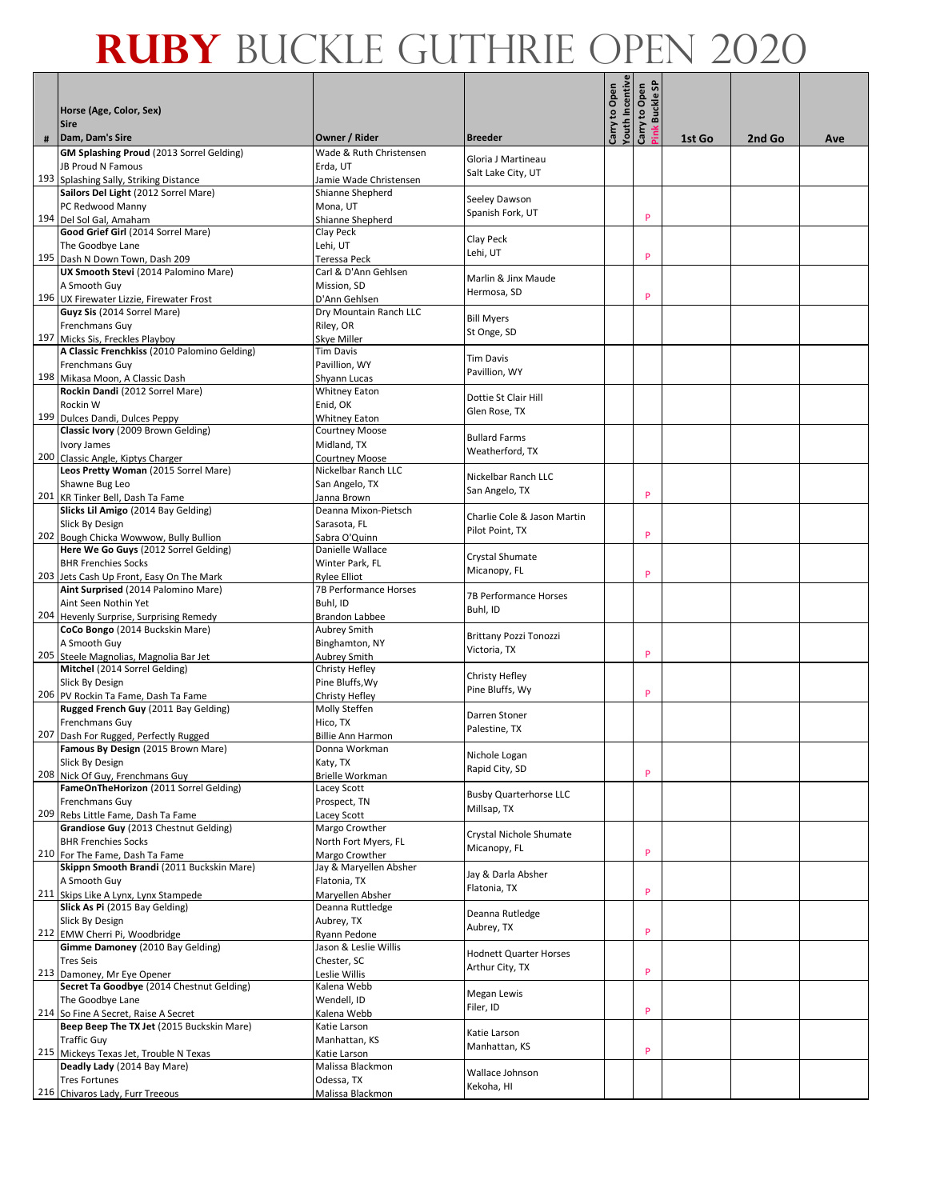|   | Horse (Age, Color, Sex)                                                     |                                           |                                   | outh Incentive<br>Carry to Open | န<br>Carry to Open<br><b>Buckle</b> |        |        |     |
|---|-----------------------------------------------------------------------------|-------------------------------------------|-----------------------------------|---------------------------------|-------------------------------------|--------|--------|-----|
|   | <b>Sire</b>                                                                 |                                           |                                   |                                 |                                     |        |        |     |
| # | Dam, Dam's Sire<br>GM Splashing Proud (2013 Sorrel Gelding)                 | Owner / Rider<br>Wade & Ruth Christensen  | <b>Breeder</b>                    |                                 |                                     | 1st Go | 2nd Go | Ave |
|   | <b>JB Proud N Famous</b>                                                    | Erda, UT                                  | Gloria J Martineau                |                                 |                                     |        |        |     |
|   | 193 Splashing Sally, Striking Distance                                      | Jamie Wade Christensen                    | Salt Lake City, UT                |                                 |                                     |        |        |     |
|   | Sailors Del Light (2012 Sorrel Mare)                                        | Shianne Shepherd                          |                                   |                                 |                                     |        |        |     |
|   | PC Redwood Manny                                                            | Mona, UT                                  | Seeley Dawson<br>Spanish Fork, UT |                                 |                                     |        |        |     |
|   | 194 Del Sol Gal, Amaham                                                     | Shianne Shepherd                          |                                   |                                 | P                                   |        |        |     |
|   | Good Grief Girl (2014 Sorrel Mare)                                          | Clay Peck                                 | Clay Peck                         |                                 |                                     |        |        |     |
|   | The Goodbye Lane<br>195 Dash N Down Town, Dash 209                          | Lehi, UT                                  | Lehi, UT                          |                                 | P                                   |        |        |     |
|   | UX Smooth Stevi (2014 Palomino Mare)                                        | Teressa Peck<br>Carl & D'Ann Gehlsen      |                                   |                                 |                                     |        |        |     |
|   | A Smooth Guy                                                                | Mission, SD                               | Marlin & Jinx Maude               |                                 |                                     |        |        |     |
|   | 196 UX Firewater Lizzie, Firewater Frost                                    | D'Ann Gehlsen                             | Hermosa, SD                       |                                 | P                                   |        |        |     |
|   | Guyz Sis (2014 Sorrel Mare)                                                 | Dry Mountain Ranch LLC                    | <b>Bill Myers</b>                 |                                 |                                     |        |        |     |
|   | Frenchmans Guy                                                              | Riley, OR                                 | St Onge, SD                       |                                 |                                     |        |        |     |
|   | 197 Micks Sis, Freckles Playboy                                             | Skye Miller                               |                                   |                                 |                                     |        |        |     |
|   | A Classic Frenchkiss (2010 Palomino Gelding)                                | <b>Tim Davis</b>                          | <b>Tim Davis</b>                  |                                 |                                     |        |        |     |
|   | Frenchmans Guy                                                              | Pavillion, WY                             | Pavillion, WY                     |                                 |                                     |        |        |     |
|   | 198 Mikasa Moon, A Classic Dash<br>Rockin Dandi (2012 Sorrel Mare)          | Shyann Lucas<br><b>Whitney Eaton</b>      |                                   |                                 |                                     |        |        |     |
|   | Rockin W                                                                    | Enid, OK                                  | Dottie St Clair Hill              |                                 |                                     |        |        |     |
|   | 199 Dulces Dandi, Dulces Peppy                                              | <b>Whitney Eaton</b>                      | Glen Rose, TX                     |                                 |                                     |        |        |     |
|   | Classic Ivory (2009 Brown Gelding)                                          | <b>Courtney Moose</b>                     | <b>Bullard Farms</b>              |                                 |                                     |        |        |     |
|   | <b>Ivory James</b>                                                          | Midland, TX                               | Weatherford, TX                   |                                 |                                     |        |        |     |
|   | 200 Classic Angle, Kiptys Charger                                           | <b>Courtney Moose</b>                     |                                   |                                 |                                     |        |        |     |
|   | Leos Pretty Woman (2015 Sorrel Mare)                                        | Nickelbar Ranch LLC                       | Nickelbar Ranch LLC               |                                 |                                     |        |        |     |
|   | Shawne Bug Leo                                                              | San Angelo, TX                            | San Angelo, TX                    |                                 | P                                   |        |        |     |
|   | 201 KR Tinker Bell, Dash Ta Fame<br>Slicks Lil Amigo (2014 Bay Gelding)     | Janna Brown<br>Deanna Mixon-Pietsch       |                                   |                                 |                                     |        |        |     |
|   | Slick By Design                                                             | Sarasota, FL                              | Charlie Cole & Jason Martin       |                                 |                                     |        |        |     |
|   | 202 Bough Chicka Wowwow, Bully Bullion                                      | Sabra O'Quinn                             | Pilot Point, TX                   |                                 | P                                   |        |        |     |
|   | Here We Go Guys (2012 Sorrel Gelding)                                       | Danielle Wallace                          |                                   |                                 |                                     |        |        |     |
|   | <b>BHR Frenchies Socks</b>                                                  | Winter Park, FL                           | Crystal Shumate<br>Micanopy, FL   |                                 |                                     |        |        |     |
|   | 203 Jets Cash Up Front, Easy On The Mark                                    | <b>Rylee Elliot</b>                       |                                   |                                 | P                                   |        |        |     |
|   | Aint Surprised (2014 Palomino Mare)                                         | 7B Performance Horses                     | 7B Performance Horses             |                                 |                                     |        |        |     |
|   | Aint Seen Nothin Yet<br>204 Hevenly Surprise, Surprising Remedy             | Buhl, ID                                  | Buhl, ID                          |                                 |                                     |        |        |     |
|   | CoCo Bongo (2014 Buckskin Mare)                                             | Brandon Labbee<br>Aubrey Smith            |                                   |                                 |                                     |        |        |     |
|   | A Smooth Guy                                                                | Binghamton, NY                            | <b>Brittany Pozzi Tonozzi</b>     |                                 |                                     |        |        |     |
|   | 205 Steele Magnolias, Magnolia Bar Jet                                      | <b>Aubrey Smith</b>                       | Victoria, TX                      |                                 | P                                   |        |        |     |
|   | Mitchel (2014 Sorrel Gelding)                                               | Christy Hefley                            | Christy Hefley                    |                                 |                                     |        |        |     |
|   | Slick By Design                                                             | Pine Bluffs, Wy                           | Pine Bluffs, Wy                   |                                 |                                     |        |        |     |
|   | 206 PV Rockin Ta Fame, Dash Ta Fame                                         | Christy Hefley                            |                                   |                                 | P                                   |        |        |     |
|   | Rugged French Guy (2011 Bay Gelding)                                        | Molly Steffen                             | Darren Stoner                     |                                 |                                     |        |        |     |
|   | Frenchmans Guy                                                              | Hico, TX                                  | Palestine, TX                     |                                 |                                     |        |        |     |
|   | 207 Dash For Rugged, Perfectly Rugged<br>Famous By Design (2015 Brown Mare) | <b>Billie Ann Harmon</b><br>Donna Workman |                                   |                                 |                                     |        |        |     |
|   | Slick By Design                                                             | Katy, TX                                  | Nichole Logan                     |                                 |                                     |        |        |     |
|   | 208 Nick Of Guy, Frenchmans Guy                                             | Brielle Workman                           | Rapid City, SD                    |                                 | P                                   |        |        |     |
|   | FameOnTheHorizon (2011 Sorrel Gelding)                                      | Lacey Scott                               | <b>Busby Quarterhorse LLC</b>     |                                 |                                     |        |        |     |
|   | Frenchmans Guy                                                              | Prospect, TN                              | Millsap, TX                       |                                 |                                     |        |        |     |
|   | 209 Rebs Little Fame, Dash Ta Fame                                          | Lacey Scott                               |                                   |                                 |                                     |        |        |     |
|   | Grandiose Guy (2013 Chestnut Gelding)<br><b>BHR Frenchies Socks</b>         | Margo Crowther                            | Crystal Nichole Shumate           |                                 |                                     |        |        |     |
|   | 210 For The Fame, Dash Ta Fame                                              | North Fort Myers, FL<br>Margo Crowther    | Micanopy, FL                      |                                 | P                                   |        |        |     |
|   | Skippn Smooth Brandi (2011 Buckskin Mare)                                   | Jay & Maryellen Absher                    |                                   |                                 |                                     |        |        |     |
|   | A Smooth Guy                                                                | Flatonia, TX                              | Jay & Darla Absher                |                                 |                                     |        |        |     |
|   | 211 Skips Like A Lynx, Lynx Stampede                                        | Maryellen Absher                          | Flatonia, TX                      |                                 | P                                   |        |        |     |
|   | Slick As Pi (2015 Bay Gelding)                                              | Deanna Ruttledge                          | Deanna Rutledge                   |                                 |                                     |        |        |     |
|   | Slick By Design                                                             | Aubrey, TX                                | Aubrey, TX                        |                                 |                                     |        |        |     |
|   | 212 EMW Cherri Pi, Woodbridge                                               | Ryann Pedone                              |                                   |                                 | P                                   |        |        |     |
|   | Gimme Damoney (2010 Bay Gelding)                                            | Jason & Leslie Willis                     | <b>Hodnett Quarter Horses</b>     |                                 |                                     |        |        |     |
|   | <b>Tres Seis</b><br>213 Damoney, Mr Eye Opener                              | Chester, SC<br>Leslie Willis              | Arthur City, TX                   |                                 | P                                   |        |        |     |
|   | Secret Ta Goodbye (2014 Chestnut Gelding)                                   | Kalena Webb                               |                                   |                                 |                                     |        |        |     |
|   | The Goodbye Lane                                                            | Wendell, ID                               | Megan Lewis                       |                                 |                                     |        |        |     |
|   | 214 So Fine A Secret, Raise A Secret                                        | Kalena Webb                               | Filer, ID                         |                                 | P                                   |        |        |     |
|   | Beep Beep The TX Jet (2015 Buckskin Mare)                                   | Katie Larson                              | Katie Larson                      |                                 |                                     |        |        |     |
|   | <b>Traffic Guy</b>                                                          | Manhattan, KS                             | Manhattan, KS                     |                                 |                                     |        |        |     |
|   | 215 Mickeys Texas Jet, Trouble N Texas                                      | Katie Larson                              |                                   |                                 | P                                   |        |        |     |
|   | Deadly Lady (2014 Bay Mare)<br><b>Tres Fortunes</b>                         | Malissa Blackmon<br>Odessa, TX            | Wallace Johnson                   |                                 |                                     |        |        |     |
|   | 216 Chivaros Lady, Furr Treeous                                             | Malissa Blackmon                          | Kekoha, HI                        |                                 |                                     |        |        |     |
|   |                                                                             |                                           |                                   |                                 |                                     |        |        |     |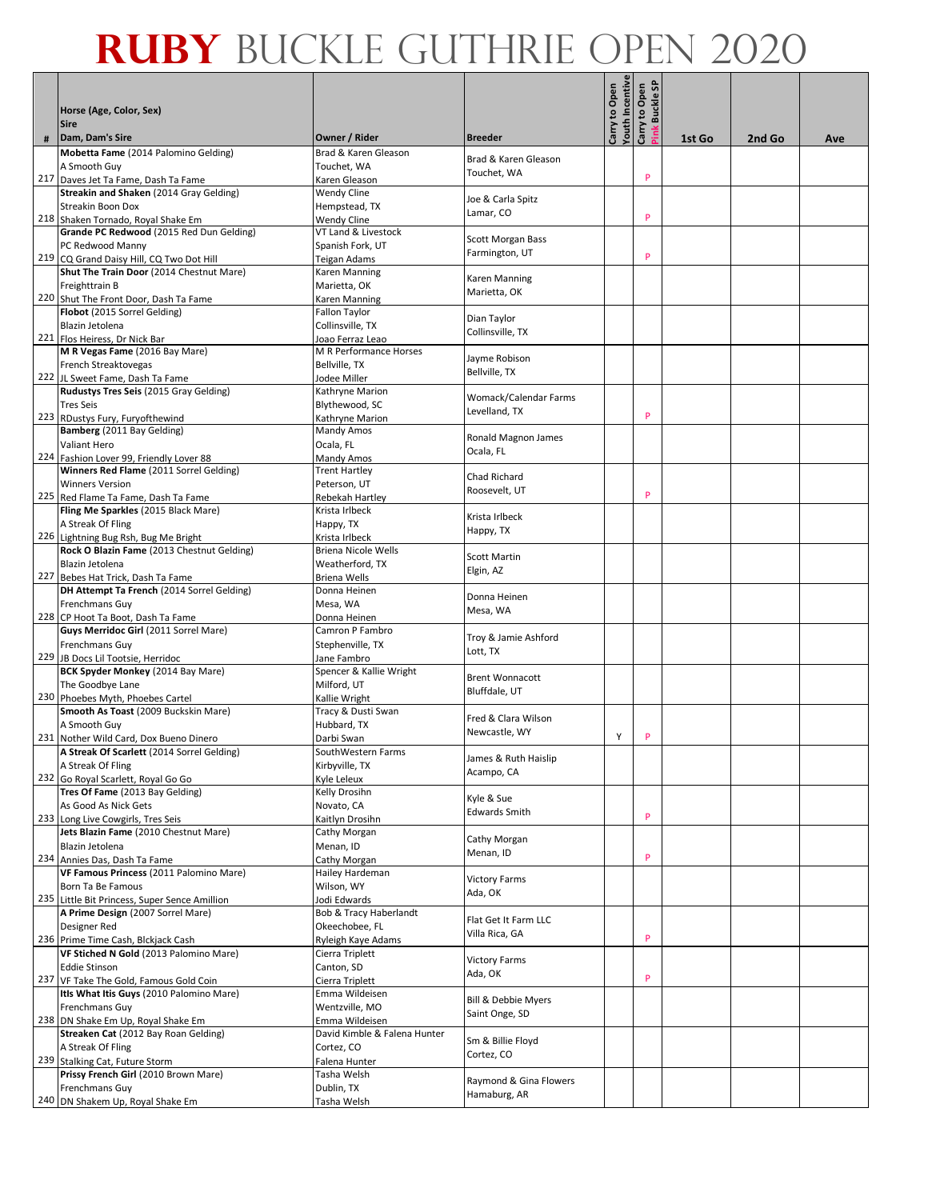|   | Horse (Age, Color, Sex)<br><b>Sire</b>                                               |                                          |                                | outh Incentive<br>Carry to Open | ္တ<br>Carry to Open<br><b>Buckle</b> |        |        |     |
|---|--------------------------------------------------------------------------------------|------------------------------------------|--------------------------------|---------------------------------|--------------------------------------|--------|--------|-----|
| # | Dam, Dam's Sire                                                                      | Owner / Rider                            | <b>Breeder</b>                 |                                 | ink                                  | 1st Go | 2nd Go | Ave |
|   | Mobetta Fame (2014 Palomino Gelding)                                                 | Brad & Karen Gleason                     | Brad & Karen Gleason           |                                 |                                      |        |        |     |
|   | A Smooth Guy                                                                         | Touchet, WA                              | Touchet, WA                    |                                 |                                      |        |        |     |
|   | 217 Daves Jet Ta Fame, Dash Ta Fame                                                  | Karen Gleason                            |                                |                                 | P                                    |        |        |     |
|   | Streakin and Shaken (2014 Gray Gelding)                                              | <b>Wendy Cline</b>                       | Joe & Carla Spitz              |                                 |                                      |        |        |     |
|   | <b>Streakin Boon Dox</b><br>218 Shaken Tornado, Royal Shake Em                       | Hempstead, TX                            | Lamar, CO                      |                                 | P                                    |        |        |     |
|   | Grande PC Redwood (2015 Red Dun Gelding)                                             | Wendy Cline<br>VT Land & Livestock       |                                |                                 |                                      |        |        |     |
|   | PC Redwood Manny                                                                     | Spanish Fork, UT                         | Scott Morgan Bass              |                                 |                                      |        |        |     |
|   | 219 CQ Grand Daisy Hill, CQ Two Dot Hill                                             | Teigan Adams                             | Farmington, UT                 |                                 | P                                    |        |        |     |
|   | Shut The Train Door (2014 Chestnut Mare)                                             | Karen Manning                            | Karen Manning                  |                                 |                                      |        |        |     |
|   | Freighttrain B                                                                       | Marietta, OK                             | Marietta, OK                   |                                 |                                      |        |        |     |
|   | 220 Shut The Front Door, Dash Ta Fame                                                | Karen Manning                            |                                |                                 |                                      |        |        |     |
|   | Flobot (2015 Sorrel Gelding)<br>Blazin Jetolena                                      | <b>Fallon Taylor</b><br>Collinsville, TX | Dian Taylor                    |                                 |                                      |        |        |     |
|   | 221 Flos Heiress, Dr Nick Bar                                                        | Joao Ferraz Leao                         | Collinsville, TX               |                                 |                                      |        |        |     |
|   | M R Vegas Fame (2016 Bay Mare)                                                       | M R Performance Horses                   |                                |                                 |                                      |        |        |     |
|   | French Streaktovegas                                                                 | Bellville, TX                            | Jayme Robison<br>Bellville, TX |                                 |                                      |        |        |     |
|   | 222 JL Sweet Fame, Dash Ta Fame                                                      | Jodee Miller                             |                                |                                 |                                      |        |        |     |
|   | Rudustys Tres Seis (2015 Gray Gelding)                                               | Kathryne Marion                          | Womack/Calendar Farms          |                                 |                                      |        |        |     |
|   | <b>Tres Seis</b><br>223 RDustys Fury, Furyofthewind                                  | Blythewood, SC                           | Levelland. TX                  |                                 | P                                    |        |        |     |
|   | Bamberg (2011 Bay Gelding)                                                           | Kathryne Marion<br>Mandy Amos            |                                |                                 |                                      |        |        |     |
|   | <b>Valiant Hero</b>                                                                  | Ocala, FL                                | Ronald Magnon James            |                                 |                                      |        |        |     |
|   | 224 Fashion Lover 99, Friendly Lover 88                                              | Mandy Amos                               | Ocala, FL                      |                                 |                                      |        |        |     |
|   | Winners Red Flame (2011 Sorrel Gelding)                                              | <b>Trent Hartley</b>                     | Chad Richard                   |                                 |                                      |        |        |     |
|   | <b>Winners Version</b><br>225 Red Flame Ta Fame, Dash Ta Fame                        | Peterson, UT                             | Roosevelt, UT                  |                                 | P                                    |        |        |     |
|   | Fling Me Sparkles (2015 Black Mare)                                                  | Rebekah Hartley<br>Krista Irlbeck        |                                |                                 |                                      |        |        |     |
|   | A Streak Of Fling                                                                    | Happy, TX                                | Krista Irlbeck                 |                                 |                                      |        |        |     |
|   | 226 Lightning Bug Rsh, Bug Me Bright                                                 | Krista Irlbeck                           | Happy, TX                      |                                 |                                      |        |        |     |
|   | Rock O Blazin Fame (2013 Chestnut Gelding)                                           | <b>Briena Nicole Wells</b>               | Scott Martin                   |                                 |                                      |        |        |     |
|   | Blazin Jetolena                                                                      | Weatherford, TX                          | Elgin, AZ                      |                                 |                                      |        |        |     |
|   | 227 Bebes Hat Trick, Dash Ta Fame<br>DH Attempt Ta French (2014 Sorrel Gelding)      | Briena Wells<br>Donna Heinen             |                                |                                 |                                      |        |        |     |
|   | Frenchmans Guy                                                                       | Mesa, WA                                 | Donna Heinen                   |                                 |                                      |        |        |     |
|   | 228 CP Hoot Ta Boot, Dash Ta Fame                                                    | Donna Heinen                             | Mesa, WA                       |                                 |                                      |        |        |     |
|   | Guys Merridoc Girl (2011 Sorrel Mare)                                                | Camron P Fambro                          | Troy & Jamie Ashford           |                                 |                                      |        |        |     |
|   | <b>Frenchmans Guy</b>                                                                | Stephenville, TX                         | Lott, TX                       |                                 |                                      |        |        |     |
|   | 229 JB Docs Lil Tootsie, Herridoc<br>BCK Spyder Monkey (2014 Bay Mare)               | Jane Fambro<br>Spencer & Kallie Wright   |                                |                                 |                                      |        |        |     |
|   | The Goodbye Lane                                                                     | Milford, UT                              | <b>Brent Wonnacott</b>         |                                 |                                      |        |        |     |
|   | 230 Phoebes Myth, Phoebes Cartel                                                     | Kallie Wright                            | Bluffdale, UT                  |                                 |                                      |        |        |     |
|   | Smooth As Toast (2009 Buckskin Mare)                                                 | Tracy & Dusti Swan                       | Fred & Clara Wilson            |                                 |                                      |        |        |     |
|   | A Smooth Guy                                                                         | Hubbard, TX                              | Newcastle, WY                  |                                 |                                      |        |        |     |
|   | 231 Nother Wild Card, Dox Bueno Dinero<br>A Streak Of Scarlett (2014 Sorrel Gelding) | Darbi Swan<br>SouthWestern Farms         |                                | Y                               | P                                    |        |        |     |
|   | A Streak Of Fling                                                                    | Kirbyville, TX                           | James & Ruth Haislip           |                                 |                                      |        |        |     |
|   | 232 Go Royal Scarlett, Royal Go Go                                                   | Kyle Leleux                              | Acampo, CA                     |                                 |                                      |        |        |     |
|   | Tres Of Fame (2013 Bay Gelding)                                                      | Kelly Drosihn                            | Kyle & Sue                     |                                 |                                      |        |        |     |
|   | As Good As Nick Gets                                                                 | Novato, CA                               | <b>Edwards Smith</b>           |                                 |                                      |        |        |     |
|   | 233 Long Live Cowgirls, Tres Seis<br>Jets Blazin Fame (2010 Chestnut Mare)           | Kaitlyn Drosihn<br>Cathy Morgan          |                                |                                 | P                                    |        |        |     |
|   | Blazin Jetolena                                                                      | Menan, ID                                | Cathy Morgan                   |                                 |                                      |        |        |     |
|   | 234 Annies Das, Dash Ta Fame                                                         | Cathy Morgan                             | Menan, ID                      |                                 | P                                    |        |        |     |
|   | VF Famous Princess (2011 Palomino Mare)                                              | Hailey Hardeman                          | <b>Victory Farms</b>           |                                 |                                      |        |        |     |
|   | Born Ta Be Famous                                                                    | Wilson, WY                               | Ada, OK                        |                                 |                                      |        |        |     |
|   | 235 Little Bit Princess, Super Sence Amillion<br>A Prime Design (2007 Sorrel Mare)   | Jodi Edwards<br>Bob & Tracy Haberlandt   |                                |                                 |                                      |        |        |     |
|   | Designer Red                                                                         | Okeechobee, FL                           | Flat Get It Farm LLC           |                                 |                                      |        |        |     |
|   | 236 Prime Time Cash, Blckjack Cash                                                   | Ryleigh Kaye Adams                       | Villa Rica, GA                 |                                 | P                                    |        |        |     |
|   | VF Stiched N Gold (2013 Palomino Mare)                                               | Cierra Triplett                          | <b>Victory Farms</b>           |                                 |                                      |        |        |     |
|   | <b>Eddie Stinson</b>                                                                 | Canton, SD                               | Ada, OK                        |                                 |                                      |        |        |     |
|   | 237 VF Take The Gold, Famous Gold Coin<br>Itls What Itis Guys (2010 Palomino Mare)   | Cierra Triplett                          |                                |                                 | P                                    |        |        |     |
|   | Frenchmans Guy                                                                       | Emma Wildeisen<br>Wentzville, MO         | Bill & Debbie Myers            |                                 |                                      |        |        |     |
|   | 238 DN Shake Em Up, Royal Shake Em                                                   | Emma Wildeisen                           | Saint Onge, SD                 |                                 |                                      |        |        |     |
|   | Streaken Cat (2012 Bay Roan Gelding)                                                 | David Kimble & Falena Hunter             | Sm & Billie Floyd              |                                 |                                      |        |        |     |
|   | A Streak Of Fling                                                                    | Cortez, CO                               | Cortez, CO                     |                                 |                                      |        |        |     |
|   | 239 Stalking Cat, Future Storm<br>Prissy French Girl (2010 Brown Mare)               | Falena Hunter<br>Tasha Welsh             |                                |                                 |                                      |        |        |     |
|   | Frenchmans Guy                                                                       | Dublin, TX                               | Raymond & Gina Flowers         |                                 |                                      |        |        |     |
|   | 240 DN Shakem Up, Royal Shake Em                                                     | Tasha Welsh                              | Hamaburg, AR                   |                                 |                                      |        |        |     |
|   |                                                                                      |                                          |                                |                                 |                                      |        |        |     |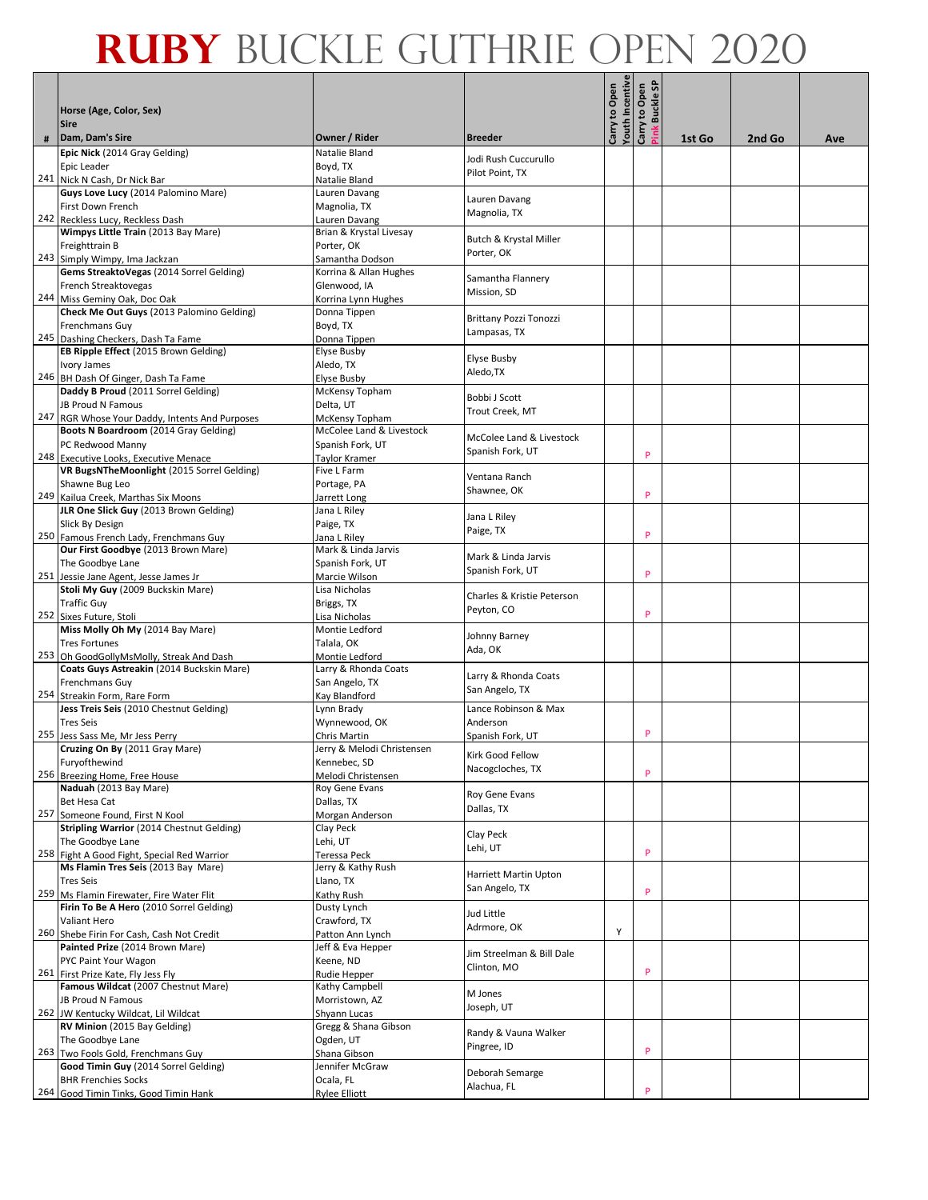|     | Horse (Age, Color, Sex)                                                                 |                                            |                                          | outh Incentive<br>Carry to Open | န္တ<br>Carry to Open<br><b>Buckle</b> |        |        |     |
|-----|-----------------------------------------------------------------------------------------|--------------------------------------------|------------------------------------------|---------------------------------|---------------------------------------|--------|--------|-----|
|     | <b>Sire</b>                                                                             |                                            |                                          |                                 |                                       |        |        |     |
| #   | Dam, Dam's Sire<br>Epic Nick (2014 Gray Gelding)                                        | Owner / Rider<br>Natalie Bland             | <b>Breeder</b>                           |                                 |                                       | 1st Go | 2nd Go | Ave |
|     | Epic Leader                                                                             | Boyd, TX                                   | Jodi Rush Cuccurullo                     |                                 |                                       |        |        |     |
|     | 241 Nick N Cash, Dr Nick Bar                                                            | Natalie Bland                              | Pilot Point. TX                          |                                 |                                       |        |        |     |
|     | Guys Love Lucy (2014 Palomino Mare)                                                     | Lauren Davang                              | Lauren Davang                            |                                 |                                       |        |        |     |
|     | First Down French                                                                       | Magnolia, TX                               | Magnolia, TX                             |                                 |                                       |        |        |     |
|     | 242 Reckless Lucy, Reckless Dash                                                        | Lauren Davang<br>Brian & Krystal Livesay   |                                          |                                 |                                       |        |        |     |
|     | Wimpys Little Train (2013 Bay Mare)<br>Freighttrain B                                   | Porter. OK                                 | Butch & Krystal Miller                   |                                 |                                       |        |        |     |
|     | 243 Simply Wimpy, Ima Jackzan                                                           | Samantha Dodson                            | Porter, OK                               |                                 |                                       |        |        |     |
|     | Gems StreaktoVegas (2014 Sorrel Gelding)                                                | Korrina & Allan Hughes                     |                                          |                                 |                                       |        |        |     |
|     | French Streaktovegas                                                                    | Glenwood. IA                               | Samantha Flannery<br>Mission, SD         |                                 |                                       |        |        |     |
|     | 244 Miss Geminy Oak, Doc Oak                                                            | Korrina Lynn Hughes                        |                                          |                                 |                                       |        |        |     |
|     | Check Me Out Guys (2013 Palomino Gelding)                                               | Donna Tippen                               | Brittany Pozzi Tonozzi                   |                                 |                                       |        |        |     |
|     | Frenchmans Guy<br>245 Dashing Checkers, Dash Ta Fame                                    | Boyd, TX<br>Donna Tippen                   | Lampasas, TX                             |                                 |                                       |        |        |     |
|     | EB Ripple Effect (2015 Brown Gelding)                                                   | <b>Elyse Busby</b>                         |                                          |                                 |                                       |        |        |     |
|     | Ivory James                                                                             | Aledo, TX                                  | <b>Elyse Busby</b>                       |                                 |                                       |        |        |     |
|     | 246 BH Dash Of Ginger, Dash Ta Fame                                                     | <b>Elyse Busby</b>                         | Aledo,TX                                 |                                 |                                       |        |        |     |
|     | Daddy B Proud (2011 Sorrel Gelding)                                                     | McKensy Topham                             | Bobbi J Scott                            |                                 |                                       |        |        |     |
|     | <b>JB Proud N Famous</b>                                                                | Delta, UT                                  | Trout Creek, MT                          |                                 |                                       |        |        |     |
|     | 247 RGR Whose Your Daddy, Intents And Purposes<br>Boots N Boardroom (2014 Gray Gelding) | McKensy Topham<br>McColee Land & Livestock |                                          |                                 |                                       |        |        |     |
|     | PC Redwood Manny                                                                        | Spanish Fork, UT                           | McColee Land & Livestock                 |                                 |                                       |        |        |     |
|     | 248 Executive Looks, Executive Menace                                                   | Taylor Kramer                              | Spanish Fork, UT                         |                                 | P                                     |        |        |     |
|     | VR BugsNTheMoonlight (2015 Sorrel Gelding)                                              | Five L Farm                                | Ventana Ranch                            |                                 |                                       |        |        |     |
|     | Shawne Bug Leo                                                                          | Portage, PA                                | Shawnee, OK                              |                                 | P                                     |        |        |     |
|     | 249 Kailua Creek, Marthas Six Moons<br>JLR One Slick Guy (2013 Brown Gelding)           | Jarrett Long<br>Jana L Riley               |                                          |                                 |                                       |        |        |     |
|     | Slick By Design                                                                         | Paige, TX                                  | Jana L Riley                             |                                 |                                       |        |        |     |
|     | 250 Famous French Lady, Frenchmans Guy                                                  | Jana L Riley                               | Paige, TX                                |                                 | P                                     |        |        |     |
|     | Our First Goodbye (2013 Brown Mare)                                                     | Mark & Linda Jarvis                        | Mark & Linda Jarvis                      |                                 |                                       |        |        |     |
|     | The Goodbye Lane                                                                        | Spanish Fork, UT                           | Spanish Fork, UT                         |                                 |                                       |        |        |     |
|     | 251 Jessie Jane Agent, Jesse James Jr                                                   | Marcie Wilson                              |                                          |                                 | P                                     |        |        |     |
|     | Stoli My Guy (2009 Buckskin Mare)<br><b>Traffic Guy</b>                                 | Lisa Nicholas<br>Briggs, TX                | Charles & Kristie Peterson               |                                 |                                       |        |        |     |
|     | 252 Sixes Future, Stoli                                                                 | Lisa Nicholas                              | Peyton, CO                               |                                 | P                                     |        |        |     |
|     | Miss Molly Oh My (2014 Bay Mare)                                                        | Montie Ledford                             |                                          |                                 |                                       |        |        |     |
|     | <b>Tres Fortunes</b>                                                                    | Talala, OK                                 | Johnny Barney<br>Ada, OK                 |                                 |                                       |        |        |     |
|     | 253 Oh GoodGollyMsMolly, Streak And Dash                                                | Montie Ledford                             |                                          |                                 |                                       |        |        |     |
|     | Coats Guys Astreakin (2014 Buckskin Mare)<br>Frenchmans Guy                             | Larry & Rhonda Coats<br>San Angelo, TX     | Larry & Rhonda Coats                     |                                 |                                       |        |        |     |
|     | 254 Streakin Form, Rare Form                                                            | Kay Blandford                              | San Angelo, TX                           |                                 |                                       |        |        |     |
|     | Jess Treis Seis (2010 Chestnut Gelding)                                                 | Lynn Brady                                 | Lance Robinson & Max                     |                                 |                                       |        |        |     |
|     | <b>Tres Seis</b>                                                                        | Wynnewood, OK                              | Anderson                                 |                                 |                                       |        |        |     |
| 255 | Jess Sass Me, Mr Jess Perry                                                             | Chris Martin                               | Spanish Fork, UT                         |                                 | P                                     |        |        |     |
|     | Cruzing On By (2011 Gray Mare)<br>Furyofthewind                                         | Jerry & Melodi Christensen<br>Kennebec, SD | Kirk Good Fellow                         |                                 |                                       |        |        |     |
|     | 256 Breezing Home, Free House                                                           | Melodi Christensen                         | Nacogcloches, TX                         |                                 | P                                     |        |        |     |
|     | Naduah (2013 Bay Mare)                                                                  | Roy Gene Evans                             |                                          |                                 |                                       |        |        |     |
|     | Bet Hesa Cat                                                                            | Dallas, TX                                 | Roy Gene Evans<br>Dallas, TX             |                                 |                                       |        |        |     |
|     | 257 Someone Found, First N Kool                                                         | Morgan Anderson                            |                                          |                                 |                                       |        |        |     |
|     | <b>Stripling Warrior (2014 Chestnut Gelding)</b><br>The Goodbye Lane                    | Clay Peck<br>Lehi, UT                      | Clay Peck                                |                                 |                                       |        |        |     |
|     | 258 Fight A Good Fight, Special Red Warrior                                             | Teressa Peck                               | Lehi, UT                                 |                                 | P                                     |        |        |     |
|     | Ms Flamin Tres Seis (2013 Bay Mare)                                                     | Jerry & Kathy Rush                         | Harriett Martin Upton                    |                                 |                                       |        |        |     |
|     | <b>Tres Seis</b>                                                                        | Llano, TX                                  | San Angelo, TX                           |                                 |                                       |        |        |     |
|     | 259 Ms Flamin Firewater, Fire Water Flit                                                | Kathy Rush                                 |                                          |                                 | P                                     |        |        |     |
|     | Firin To Be A Hero (2010 Sorrel Gelding)<br><b>Valiant Hero</b>                         | Dusty Lynch<br>Crawford, TX                | Jud Little                               |                                 |                                       |        |        |     |
|     | 260 Shebe Firin For Cash, Cash Not Credit                                               | Patton Ann Lynch                           | Adrmore, OK                              | Y                               |                                       |        |        |     |
|     | Painted Prize (2014 Brown Mare)                                                         | Jeff & Eva Hepper                          |                                          |                                 |                                       |        |        |     |
|     | PYC Paint Your Wagon                                                                    | Keene, ND                                  | Jim Streelman & Bill Dale<br>Clinton, MO |                                 |                                       |        |        |     |
|     | 261 First Prize Kate, Fly Jess Fly                                                      | Rudie Hepper                               |                                          |                                 | P                                     |        |        |     |
|     | Famous Wildcat (2007 Chestnut Mare)                                                     | Kathy Campbell                             | M Jones                                  |                                 |                                       |        |        |     |
|     | JB Proud N Famous<br>262 JW Kentucky Wildcat, Lil Wildcat                               | Morristown, AZ<br>Shyann Lucas             | Joseph, UT                               |                                 |                                       |        |        |     |
|     | RV Minion (2015 Bay Gelding)                                                            | Gregg & Shana Gibson                       |                                          |                                 |                                       |        |        |     |
|     | The Goodbye Lane                                                                        | Ogden, UT                                  | Randy & Vauna Walker<br>Pingree, ID      |                                 |                                       |        |        |     |
|     | 263 Two Fools Gold, Frenchmans Guy                                                      | Shana Gibson                               |                                          |                                 | P                                     |        |        |     |
|     | Good Timin Guy (2014 Sorrel Gelding)                                                    | Jennifer McGraw                            | Deborah Semarge                          |                                 |                                       |        |        |     |
|     | <b>BHR Frenchies Socks</b><br>264 Good Timin Tinks, Good Timin Hank                     | Ocala, FL<br><b>Rylee Elliott</b>          | Alachua, FL                              |                                 | P                                     |        |        |     |
|     |                                                                                         |                                            |                                          |                                 |                                       |        |        |     |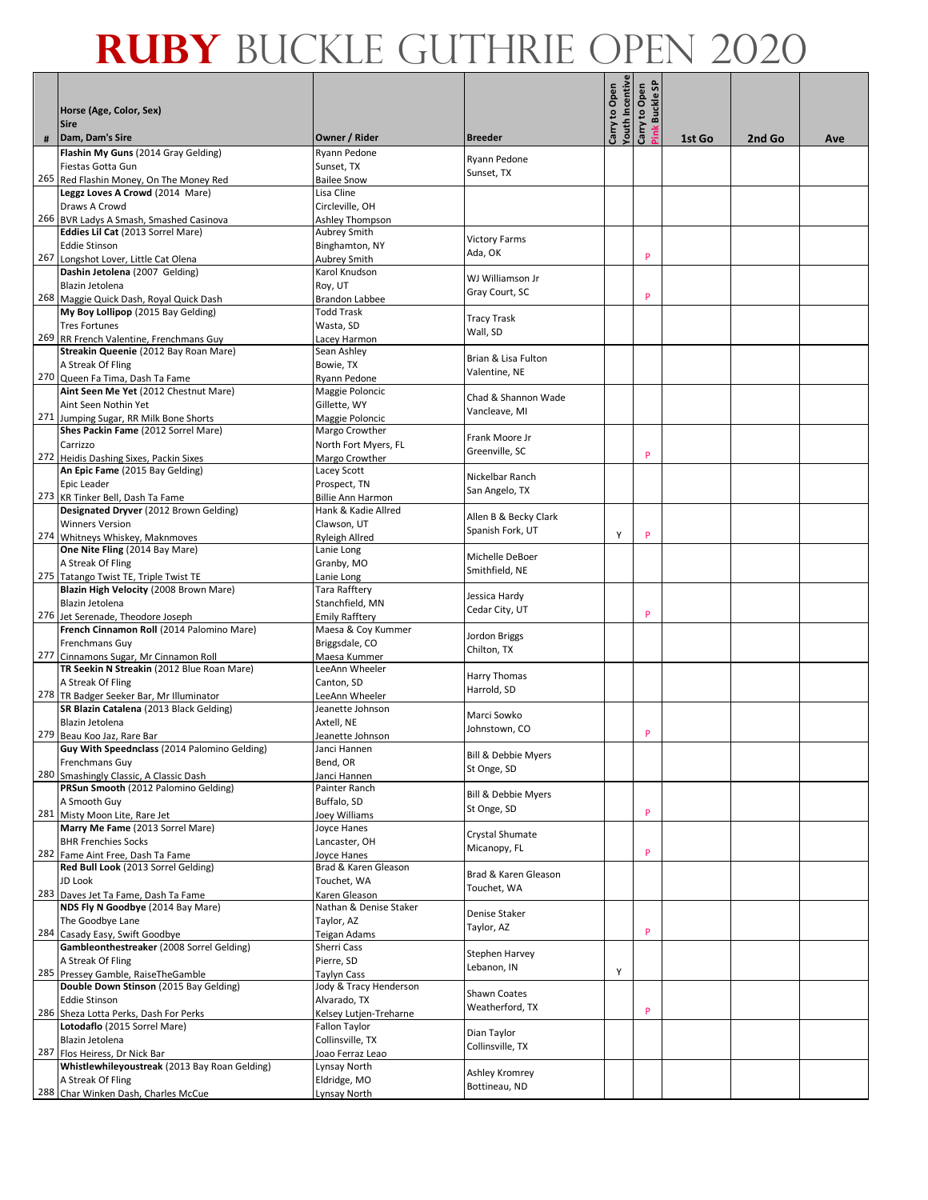|     | Horse (Age, Color, Sex)<br><b>Sire</b>                                              |                                    |                       | outh Incentive<br>Carry to Open | န္တ<br>Carry to Open<br><b>Buckle</b> |        |        |     |
|-----|-------------------------------------------------------------------------------------|------------------------------------|-----------------------|---------------------------------|---------------------------------------|--------|--------|-----|
| #   | Dam, Dam's Sire                                                                     | Owner / Rider                      | <b>Breeder</b>        |                                 |                                       | 1st Go | 2nd Go | Ave |
|     | Flashin My Guns (2014 Gray Gelding)                                                 | Ryann Pedone                       |                       |                                 |                                       |        |        |     |
|     | Fiestas Gotta Gun                                                                   | Sunset, TX                         | Ryann Pedone          |                                 |                                       |        |        |     |
|     | 265 Red Flashin Money, On The Money Red                                             | <b>Bailee Snow</b>                 | Sunset, TX            |                                 |                                       |        |        |     |
|     | Leggz Loves A Crowd (2014 Mare)                                                     | Lisa Cline                         |                       |                                 |                                       |        |        |     |
|     | Draws A Crowd                                                                       | Circleville, OH                    |                       |                                 |                                       |        |        |     |
|     | 266 BVR Ladys A Smash, Smashed Casinova                                             | Ashley Thompson                    |                       |                                 |                                       |        |        |     |
|     | Eddies Lil Cat (2013 Sorrel Mare)                                                   | Aubrey Smith                       | <b>Victory Farms</b>  |                                 |                                       |        |        |     |
| 267 | <b>Eddie Stinson</b>                                                                | Binghamton, NY                     | Ada, OK               |                                 | P                                     |        |        |     |
|     | Longshot Lover, Little Cat Olena<br>Dashin Jetolena (2007 Gelding)                  | Aubrey Smith<br>Karol Knudson      |                       |                                 |                                       |        |        |     |
|     | Blazin Jetolena                                                                     | Roy, UT                            | WJ Williamson Jr      |                                 |                                       |        |        |     |
|     | 268 Maggie Quick Dash, Royal Quick Dash                                             | <b>Brandon Labbee</b>              | Gray Court, SC        |                                 | P                                     |        |        |     |
|     | My Boy Lollipop (2015 Bay Gelding)                                                  | <b>Todd Trask</b>                  |                       |                                 |                                       |        |        |     |
|     | <b>Tres Fortunes</b>                                                                | Wasta, SD                          | <b>Tracy Trask</b>    |                                 |                                       |        |        |     |
|     | 269 RR French Valentine, Frenchmans Guy                                             | Lacey Harmon                       | Wall, SD              |                                 |                                       |        |        |     |
|     | Streakin Queenie (2012 Bay Roan Mare)                                               | Sean Ashley                        | Brian & Lisa Fulton   |                                 |                                       |        |        |     |
|     | A Streak Of Fling                                                                   | Bowie, TX                          | Valentine, NE         |                                 |                                       |        |        |     |
|     | 270 Queen Fa Tima, Dash Ta Fame                                                     | Ryann Pedone                       |                       |                                 |                                       |        |        |     |
|     | Aint Seen Me Yet (2012 Chestnut Mare)                                               | Maggie Poloncic                    | Chad & Shannon Wade   |                                 |                                       |        |        |     |
|     | Aint Seen Nothin Yet                                                                | Gillette, WY                       | Vancleave, MI         |                                 |                                       |        |        |     |
|     | 271 Jumping Sugar, RR Milk Bone Shorts<br>Shes Packin Fame (2012 Sorrel Mare)       | Maggie Poloncic<br>Margo Crowther  |                       |                                 |                                       |        |        |     |
|     | Carrizzo                                                                            | North Fort Myers, FL               | Frank Moore Jr        |                                 |                                       |        |        |     |
|     | 272 Heidis Dashing Sixes, Packin Sixes                                              | Margo Crowther                     | Greenville, SC        |                                 | P                                     |        |        |     |
|     | An Epic Fame (2015 Bay Gelding)                                                     | Lacey Scott                        | Nickelbar Ranch       |                                 |                                       |        |        |     |
|     | Epic Leader                                                                         | Prospect, TN                       |                       |                                 |                                       |        |        |     |
|     | 273 KR Tinker Bell, Dash Ta Fame                                                    | <b>Billie Ann Harmon</b>           | San Angelo, TX        |                                 |                                       |        |        |     |
|     | Designated Dryver (2012 Brown Gelding)                                              | Hank & Kadie Allred                | Allen B & Becky Clark |                                 |                                       |        |        |     |
|     | <b>Winners Version</b>                                                              | Clawson, UT                        | Spanish Fork, UT      |                                 | P                                     |        |        |     |
|     | 274 Whitneys Whiskey, Maknmoves                                                     | <b>Ryleigh Allred</b>              |                       | Υ                               |                                       |        |        |     |
|     | One Nite Fling (2014 Bay Mare)<br>A Streak Of Fling                                 | Lanie Long<br>Granby, MO           | Michelle DeBoer       |                                 |                                       |        |        |     |
| 275 | Tatango Twist TE, Triple Twist TE                                                   | Lanie Long                         | Smithfield, NE        |                                 |                                       |        |        |     |
|     | Blazin High Velocity (2008 Brown Mare)                                              | Tara Rafftery                      |                       |                                 |                                       |        |        |     |
|     | Blazin Jetolena                                                                     | Stanchfield, MN                    | Jessica Hardy         |                                 |                                       |        |        |     |
|     | 276 Jet Serenade, Theodore Joseph                                                   | <b>Emily Rafftery</b>              | Cedar City, UT        |                                 | P                                     |        |        |     |
|     | French Cinnamon Roll (2014 Palomino Mare)                                           | Maesa & Coy Kummer                 | Jordon Briggs         |                                 |                                       |        |        |     |
|     | <b>Frenchmans Guy</b>                                                               | Briggsdale, CO                     | Chilton, TX           |                                 |                                       |        |        |     |
|     | 277 Cinnamons Sugar, Mr Cinnamon Roll                                               | Maesa Kummer                       |                       |                                 |                                       |        |        |     |
|     | TR Seekin N Streakin (2012 Blue Roan Mare)                                          | LeeAnn Wheeler                     | Harry Thomas          |                                 |                                       |        |        |     |
|     | A Streak Of Fling                                                                   | Canton, SD                         | Harrold, SD           |                                 |                                       |        |        |     |
|     | 278 TR Badger Seeker Bar, Mr Illuminator<br>SR Blazin Catalena (2013 Black Gelding) | LeeAnn Wheeler<br>Jeanette Johnson |                       |                                 |                                       |        |        |     |
|     | Blazin Jetolena                                                                     | Axtell, NE                         | Marci Sowko           |                                 |                                       |        |        |     |
| 279 | Beau Koo Jaz, Rare Bar                                                              | Jeanette Johnson                   | Johnstown, CO         |                                 | P                                     |        |        |     |
|     | Guy With Speednclass (2014 Palomino Gelding)                                        | Janci Hannen                       | Bill & Debbie Myers   |                                 |                                       |        |        |     |
|     | Frenchmans Guy                                                                      | Bend, OR                           | St Onge, SD           |                                 |                                       |        |        |     |
|     | 280 Smashingly Classic, A Classic Dash                                              | Janci Hannen                       |                       |                                 |                                       |        |        |     |
|     | PRSun Smooth (2012 Palomino Gelding)                                                | Painter Ranch                      | Bill & Debbie Myers   |                                 |                                       |        |        |     |
|     | A Smooth Guy                                                                        | Buffalo, SD                        | St Onge, SD           |                                 | P                                     |        |        |     |
|     | 281 Misty Moon Lite, Rare Jet<br>Marry Me Fame (2013 Sorrel Mare)                   | Joey Williams<br>Joyce Hanes       |                       |                                 |                                       |        |        |     |
|     | <b>BHR Frenchies Socks</b>                                                          | Lancaster, OH                      | Crystal Shumate       |                                 |                                       |        |        |     |
|     | 282 Fame Aint Free, Dash Ta Fame                                                    | Joyce Hanes                        | Micanopy, FL          |                                 | P                                     |        |        |     |
|     | Red Bull Look (2013 Sorrel Gelding)                                                 | Brad & Karen Gleason               | Brad & Karen Gleason  |                                 |                                       |        |        |     |
|     | JD Look                                                                             | Touchet, WA                        | Touchet, WA           |                                 |                                       |        |        |     |
|     | 283 Daves Jet Ta Fame, Dash Ta Fame                                                 | Karen Gleason                      |                       |                                 |                                       |        |        |     |
|     | NDS Fly N Goodbye (2014 Bay Mare)                                                   | Nathan & Denise Staker             | Denise Staker         |                                 |                                       |        |        |     |
|     | The Goodbye Lane                                                                    | Taylor, AZ                         | Taylor, AZ            |                                 | P                                     |        |        |     |
|     | 284 Casady Easy, Swift Goodbye<br>Gambleonthestreaker (2008 Sorrel Gelding)         | <b>Teigan Adams</b>                |                       |                                 |                                       |        |        |     |
|     | A Streak Of Fling                                                                   | Sherri Cass<br>Pierre, SD          | Stephen Harvey        |                                 |                                       |        |        |     |
|     | 285 Pressey Gamble, RaiseTheGamble                                                  | <b>Taylyn Cass</b>                 | Lebanon, IN           | Υ                               |                                       |        |        |     |
|     | Double Down Stinson (2015 Bay Gelding)                                              | Jody & Tracy Henderson             |                       |                                 |                                       |        |        |     |
|     | <b>Eddie Stinson</b>                                                                | Alvarado, TX                       | <b>Shawn Coates</b>   |                                 |                                       |        |        |     |
|     | 286 Sheza Lotta Perks, Dash For Perks                                               | Kelsey Lutjen-Treharne             | Weatherford, TX       |                                 | P                                     |        |        |     |
|     | Lotodaflo (2015 Sorrel Mare)                                                        | Fallon Taylor                      | Dian Taylor           |                                 |                                       |        |        |     |
|     | Blazin Jetolena                                                                     | Collinsville, TX                   | Collinsville, TX      |                                 |                                       |        |        |     |
|     | 287 Flos Heiress, Dr Nick Bar                                                       | Joao Ferraz Leao                   |                       |                                 |                                       |        |        |     |
|     | Whistlewhileyoustreak (2013 Bay Roan Gelding)                                       | Lynsay North                       | Ashley Kromrey        |                                 |                                       |        |        |     |
|     | A Streak Of Fling<br>288 Char Winken Dash, Charles McCue                            | Eldridge, MO                       | Bottineau, ND         |                                 |                                       |        |        |     |
|     |                                                                                     | Lynsay North                       |                       |                                 |                                       |        |        |     |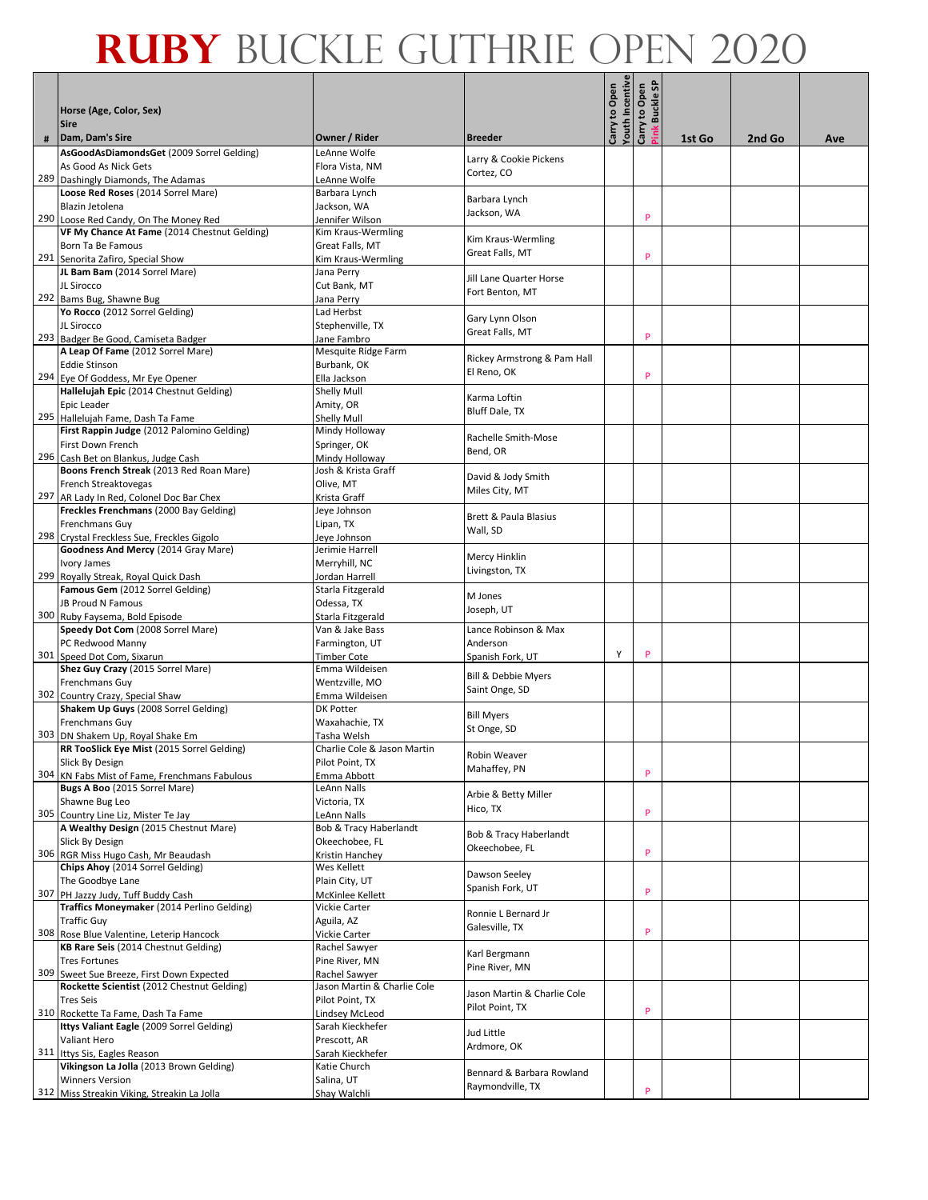|   |                                                                                  |                                       |                                          | outh Incentive<br>Carry to Open | န္တ<br>Carry to Open<br><b>Buckle</b> |        |        |     |
|---|----------------------------------------------------------------------------------|---------------------------------------|------------------------------------------|---------------------------------|---------------------------------------|--------|--------|-----|
|   | Horse (Age, Color, Sex)<br><b>Sire</b>                                           |                                       |                                          |                                 |                                       |        |        |     |
| # | Dam, Dam's Sire                                                                  | Owner / Rider                         | <b>Breeder</b>                           |                                 |                                       | 1st Go | 2nd Go | Ave |
|   | AsGoodAsDiamondsGet (2009 Sorrel Gelding)                                        | LeAnne Wolfe                          | Larry & Cookie Pickens                   |                                 |                                       |        |        |     |
|   | As Good As Nick Gets                                                             | Flora Vista, NM                       | Cortez, CO                               |                                 |                                       |        |        |     |
|   | 289 Dashingly Diamonds, The Adamas                                               | LeAnne Wolfe                          |                                          |                                 |                                       |        |        |     |
|   | Loose Red Roses (2014 Sorrel Mare)                                               | Barbara Lynch                         | Barbara Lynch                            |                                 |                                       |        |        |     |
|   | Blazin Jetolena<br>290 Loose Red Candy, On The Money Red                         | Jackson, WA                           | Jackson, WA                              |                                 | P                                     |        |        |     |
|   | VF My Chance At Fame (2014 Chestnut Gelding)                                     | Jennifer Wilson<br>Kim Kraus-Wermling |                                          |                                 |                                       |        |        |     |
|   | Born Ta Be Famous                                                                | Great Falls, MT                       | Kim Kraus-Wermling                       |                                 |                                       |        |        |     |
|   | 291 Senorita Zafiro, Special Show                                                | Kim Kraus-Wermling                    | Great Falls, MT                          |                                 | P                                     |        |        |     |
|   | JL Bam Bam (2014 Sorrel Mare)                                                    | Jana Perry                            |                                          |                                 |                                       |        |        |     |
|   | JL Sirocco                                                                       | Cut Bank, MT                          | Jill Lane Quarter Horse                  |                                 |                                       |        |        |     |
|   | 292 Bams Bug, Shawne Bug                                                         | Jana Perry                            | Fort Benton, MT                          |                                 |                                       |        |        |     |
|   | Yo Rocco (2012 Sorrel Gelding)                                                   | Lad Herbst                            | Gary Lynn Olson                          |                                 |                                       |        |        |     |
|   | JL Sirocco                                                                       | Stephenville, TX                      | Great Falls, MT                          |                                 |                                       |        |        |     |
|   | 293 Badger Be Good, Camiseta Badger                                              | Jane Fambro                           |                                          |                                 | P                                     |        |        |     |
|   | A Leap Of Fame (2012 Sorrel Mare)                                                | Mesquite Ridge Farm                   | Rickey Armstrong & Pam Hall              |                                 |                                       |        |        |     |
|   | <b>Eddie Stinson</b><br>294 Eye Of Goddess, Mr Eye Opener                        | Burbank, OK                           | El Reno, OK                              |                                 | P                                     |        |        |     |
|   | Hallelujah Epic (2014 Chestnut Gelding)                                          | Ella Jackson<br>Shelly Mull           |                                          |                                 |                                       |        |        |     |
|   | Epic Leader                                                                      | Amity, OR                             | Karma Loftin                             |                                 |                                       |        |        |     |
|   | 295 Hallelujah Fame, Dash Ta Fame                                                | <b>Shelly Mull</b>                    | <b>Bluff Dale, TX</b>                    |                                 |                                       |        |        |     |
|   | First Rappin Judge (2012 Palomino Gelding)                                       | Mindy Holloway                        | Rachelle Smith-Mose                      |                                 |                                       |        |        |     |
|   | First Down French                                                                | Springer, OK                          | Bend. OR                                 |                                 |                                       |        |        |     |
|   | 296 Cash Bet on Blankus, Judge Cash                                              | Mindy Holloway                        |                                          |                                 |                                       |        |        |     |
|   | Boons French Streak (2013 Red Roan Mare)                                         | Josh & Krista Graff                   | David & Jody Smith                       |                                 |                                       |        |        |     |
|   | French Streaktovegas                                                             | Olive, MT                             | Miles City, MT                           |                                 |                                       |        |        |     |
|   | 297 AR Lady In Red, Colonel Doc Bar Chex                                         | Krista Graff                          |                                          |                                 |                                       |        |        |     |
|   | Freckles Frenchmans (2000 Bay Gelding)<br>Frenchmans Guy                         | Jeye Johnson<br>Lipan, TX             | Brett & Paula Blasius                    |                                 |                                       |        |        |     |
|   | 298 Crystal Freckless Sue, Freckles Gigolo                                       | Jeye Johnson                          | Wall, SD                                 |                                 |                                       |        |        |     |
|   | Goodness And Mercy (2014 Gray Mare)                                              | Jerimie Harrell                       |                                          |                                 |                                       |        |        |     |
|   | Ivory James                                                                      | Merryhill, NC                         | Mercy Hinklin                            |                                 |                                       |        |        |     |
|   | 299 Royally Streak, Royal Quick Dash                                             | Jordan Harrell                        | Livingston, TX                           |                                 |                                       |        |        |     |
|   | Famous Gem (2012 Sorrel Gelding)                                                 | Starla Fitzgerald                     | M Jones                                  |                                 |                                       |        |        |     |
|   | JB Proud N Famous                                                                | Odessa, TX                            | Joseph, UT                               |                                 |                                       |        |        |     |
|   | 300 Ruby Faysema, Bold Episode                                                   | Starla Fitzgerald                     |                                          |                                 |                                       |        |        |     |
|   | Speedy Dot Com (2008 Sorrel Mare)                                                | Van & Jake Bass                       | Lance Robinson & Max                     |                                 |                                       |        |        |     |
|   | PC Redwood Manny                                                                 | Farmington, UT                        | Anderson                                 | Υ                               | P                                     |        |        |     |
|   | 301 Speed Dot Com, Sixarun<br>Shez Guy Crazy (2015 Sorrel Mare)                  | <b>Timber Cote</b><br>Emma Wildeisen  | Spanish Fork, UT                         |                                 |                                       |        |        |     |
|   | Frenchmans Guy                                                                   | Wentzville, MO                        | Bill & Debbie Myers                      |                                 |                                       |        |        |     |
|   | 302 Country Crazy, Special Shaw                                                  | Emma Wildeisen                        | Saint Onge, SD                           |                                 |                                       |        |        |     |
|   | Shakem Up Guys (2008 Sorrel Gelding)                                             | <b>DK Potter</b>                      |                                          |                                 |                                       |        |        |     |
|   | Frenchmans Guy                                                                   | Waxahachie, TX                        | <b>Bill Myers</b><br>St Onge, SD         |                                 |                                       |        |        |     |
|   | 303 DN Shakem Up, Royal Shake Em                                                 | Tasha Welsh                           |                                          |                                 |                                       |        |        |     |
|   | RR TooSlick Eye Mist (2015 Sorrel Gelding)                                       | Charlie Cole & Jason Martin           | Robin Weaver                             |                                 |                                       |        |        |     |
|   | Slick By Design                                                                  | Pilot Point, TX                       | Mahaffey, PN                             |                                 | P                                     |        |        |     |
|   | 304 KN Fabs Mist of Fame, Frenchmans Fabulous<br>Bugs A Boo (2015 Sorrel Mare)   | Emma Abbott<br>LeAnn Nalls            |                                          |                                 |                                       |        |        |     |
|   | Shawne Bug Leo                                                                   | Victoria, TX                          | Arbie & Betty Miller                     |                                 |                                       |        |        |     |
|   | 305 Country Line Liz, Mister Te Jay                                              | LeAnn Nalls                           | Hico, TX                                 |                                 | P                                     |        |        |     |
|   | A Wealthy Design (2015 Chestnut Mare)                                            | Bob & Tracy Haberlandt                |                                          |                                 |                                       |        |        |     |
|   | Slick By Design                                                                  | Okeechobee, FL                        | Bob & Tracy Haberlandt<br>Okeechobee, FL |                                 |                                       |        |        |     |
|   | 306 RGR Miss Hugo Cash, Mr Beaudash                                              | Kristin Hanchey                       |                                          |                                 | P                                     |        |        |     |
|   | Chips Ahoy (2014 Sorrel Gelding)                                                 | Wes Kellett                           | Dawson Seeley                            |                                 |                                       |        |        |     |
|   | The Goodbye Lane                                                                 | Plain City, UT                        | Spanish Fork, UT                         |                                 | P                                     |        |        |     |
|   | 307 PH Jazzy Judy, Tuff Buddy Cash<br>Traffics Moneymaker (2014 Perlino Gelding) | McKinlee Kellett<br>Vickie Carter     |                                          |                                 |                                       |        |        |     |
|   | <b>Traffic Guy</b>                                                               | Aguila, AZ                            | Ronnie L Bernard Jr                      |                                 |                                       |        |        |     |
|   | 308 Rose Blue Valentine, Leterip Hancock                                         | Vickie Carter                         | Galesville, TX                           |                                 | P                                     |        |        |     |
|   | KB Rare Seis (2014 Chestnut Gelding)                                             | Rachel Sawyer                         |                                          |                                 |                                       |        |        |     |
|   | <b>Tres Fortunes</b>                                                             | Pine River, MN                        | Karl Bergmann                            |                                 |                                       |        |        |     |
|   | 309 Sweet Sue Breeze, First Down Expected                                        | Rachel Sawyer                         | Pine River, MN                           |                                 |                                       |        |        |     |
|   | Rockette Scientist (2012 Chestnut Gelding)                                       | Jason Martin & Charlie Cole           | Jason Martin & Charlie Cole              |                                 |                                       |        |        |     |
|   | <b>Tres Seis</b>                                                                 | Pilot Point, TX                       | Pilot Point, TX                          |                                 |                                       |        |        |     |
|   | 310 Rockette Ta Fame, Dash Ta Fame                                               | Lindsey McLeod                        |                                          |                                 | P                                     |        |        |     |
|   | Ittys Valiant Eagle (2009 Sorrel Gelding)                                        | Sarah Kieckhefer                      | Jud Little                               |                                 |                                       |        |        |     |
|   | Valiant Hero<br>311 Ittys Sis, Eagles Reason                                     | Prescott, AR<br>Sarah Kieckhefer      | Ardmore, OK                              |                                 |                                       |        |        |     |
|   | Vikingson La Jolla (2013 Brown Gelding)                                          | Katie Church                          |                                          |                                 |                                       |        |        |     |
|   | <b>Winners Version</b>                                                           | Salina, UT                            | Bennard & Barbara Rowland                |                                 |                                       |        |        |     |
|   | 312 Miss Streakin Viking, Streakin La Jolla                                      | Shay Walchli                          | Raymondville, TX                         |                                 | P                                     |        |        |     |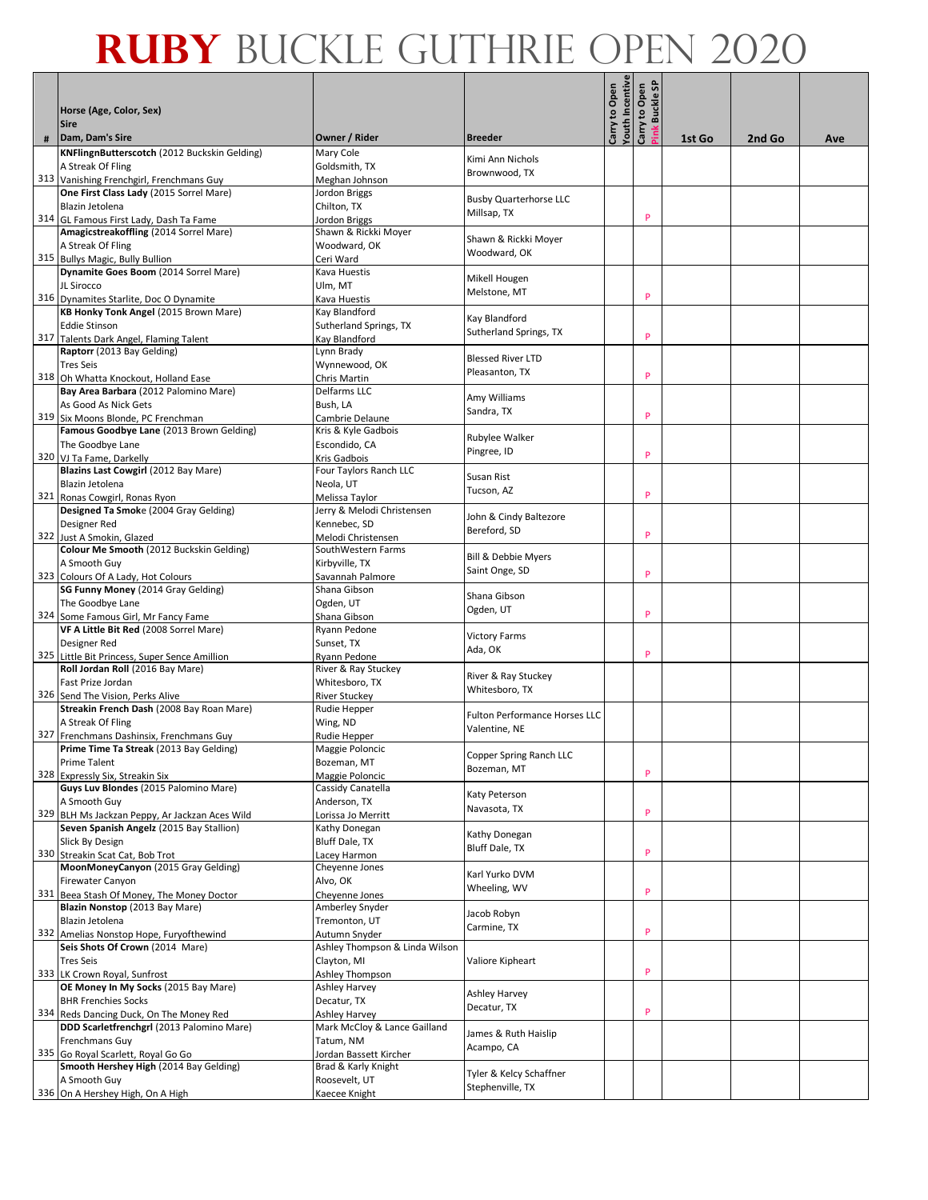|   |                                                                                     |                                               |                                      | <b>Touth Incentive</b><br>Carry to Open | န္တ<br>Carry to Open<br><b>Buckle</b> |        |        |     |
|---|-------------------------------------------------------------------------------------|-----------------------------------------------|--------------------------------------|-----------------------------------------|---------------------------------------|--------|--------|-----|
|   | Horse (Age, Color, Sex)<br><b>Sire</b>                                              |                                               |                                      |                                         |                                       |        |        |     |
| # | Dam, Dam's Sire                                                                     | Owner / Rider                                 | <b>Breeder</b>                       |                                         |                                       | 1st Go | 2nd Go | Ave |
|   | KNFlingnButterscotch (2012 Buckskin Gelding)                                        | Mary Cole                                     | Kimi Ann Nichols                     |                                         |                                       |        |        |     |
|   | A Streak Of Fling                                                                   | Goldsmith, TX                                 | Brownwood, TX                        |                                         |                                       |        |        |     |
|   | 313 Vanishing Frenchgirl, Frenchmans Guy<br>One First Class Lady (2015 Sorrel Mare) | Meghan Johnson                                |                                      |                                         |                                       |        |        |     |
|   | Blazin Jetolena                                                                     | Jordon Briggs<br>Chilton, TX                  | <b>Busby Quarterhorse LLC</b>        |                                         |                                       |        |        |     |
|   | 314 GL Famous First Lady, Dash Ta Fame                                              | Jordon Briggs                                 | Millsap, TX                          |                                         | P                                     |        |        |     |
|   | Amagicstreakoffling (2014 Sorrel Mare)                                              | Shawn & Rickki Moyer                          |                                      |                                         |                                       |        |        |     |
|   | A Streak Of Fling                                                                   | Woodward, OK                                  | Shawn & Rickki Moyer                 |                                         |                                       |        |        |     |
|   | 315 Bullys Magic, Bully Bullion                                                     | Ceri Ward                                     | Woodward, OK                         |                                         |                                       |        |        |     |
|   | Dynamite Goes Boom (2014 Sorrel Mare)                                               | Kava Huestis                                  |                                      |                                         |                                       |        |        |     |
|   | JL Sirocco                                                                          | Ulm, MT                                       | Mikell Hougen<br>Melstone, MT        |                                         |                                       |        |        |     |
|   | 316 Dynamites Starlite, Doc O Dynamite                                              | Kava Huestis                                  |                                      |                                         | P                                     |        |        |     |
|   | KB Honky Tonk Angel (2015 Brown Mare)                                               | Kay Blandford                                 | Kay Blandford                        |                                         |                                       |        |        |     |
|   | <b>Eddie Stinson</b>                                                                | Sutherland Springs, TX                        | Sutherland Springs, TX               |                                         | P                                     |        |        |     |
|   | 317 Talents Dark Angel, Flaming Talent                                              | Kay Blandford                                 |                                      |                                         |                                       |        |        |     |
|   | Raptorr (2013 Bay Gelding)                                                          | Lynn Brady                                    | <b>Blessed River LTD</b>             |                                         |                                       |        |        |     |
|   | <b>Tres Seis</b><br>318 Oh Whatta Knockout, Holland Ease                            | Wynnewood, OK<br>Chris Martin                 | Pleasanton, TX                       |                                         | P                                     |        |        |     |
|   | Bay Area Barbara (2012 Palomino Mare)                                               | Delfarms LLC                                  |                                      |                                         |                                       |        |        |     |
|   | As Good As Nick Gets                                                                | Bush, LA                                      | Amy Williams                         |                                         |                                       |        |        |     |
|   | 319 Six Moons Blonde, PC Frenchman                                                  | Cambrie Delaune                               | Sandra, TX                           |                                         | P                                     |        |        |     |
|   | Famous Goodbye Lane (2013 Brown Gelding)                                            | Kris & Kyle Gadbois                           |                                      |                                         |                                       |        |        |     |
|   | The Goodbye Lane                                                                    | Escondido, CA                                 | Rubylee Walker<br>Pingree, ID        |                                         |                                       |        |        |     |
|   | 320 VJ Ta Fame, Darkelly                                                            | Kris Gadbois                                  |                                      |                                         | P                                     |        |        |     |
|   | Blazins Last Cowgirl (2012 Bay Mare)                                                | Four Taylors Ranch LLC                        | Susan Rist                           |                                         |                                       |        |        |     |
|   | Blazin Jetolena                                                                     | Neola, UT                                     | Tucson, AZ                           |                                         | P                                     |        |        |     |
|   | 321 Ronas Cowgirl, Ronas Ryon                                                       | Melissa Taylor                                |                                      |                                         |                                       |        |        |     |
|   | Designed Ta Smoke (2004 Gray Gelding)<br>Designer Red                               | Jerry & Melodi Christensen<br>Kennebec, SD    | John & Cindy Baltezore               |                                         |                                       |        |        |     |
|   | 322 Just A Smokin, Glazed                                                           | Melodi Christensen                            | Bereford, SD                         |                                         | P                                     |        |        |     |
|   | Colour Me Smooth (2012 Buckskin Gelding)                                            | SouthWestern Farms                            |                                      |                                         |                                       |        |        |     |
|   | A Smooth Guy                                                                        | Kirbyville, TX                                | Bill & Debbie Myers                  |                                         |                                       |        |        |     |
|   | 323 Colours Of A Lady, Hot Colours                                                  | Savannah Palmore                              | Saint Onge, SD                       |                                         | P                                     |        |        |     |
|   | SG Funny Money (2014 Gray Gelding)                                                  | Shana Gibson                                  | Shana Gibson                         |                                         |                                       |        |        |     |
|   | The Goodbye Lane                                                                    | Ogden, UT                                     | Ogden, UT                            |                                         |                                       |        |        |     |
|   | 324 Some Famous Girl, Mr Fancy Fame                                                 | Shana Gibson                                  |                                      |                                         | P                                     |        |        |     |
|   | VF A Little Bit Red (2008 Sorrel Mare)                                              | Ryann Pedone                                  | Victory Farms                        |                                         |                                       |        |        |     |
|   | Designer Red<br>325 Little Bit Princess, Super Sence Amillion                       | Sunset, TX                                    | Ada, OK                              |                                         | P                                     |        |        |     |
|   | Roll Jordan Roll (2016 Bay Mare)                                                    | Ryann Pedone<br>River & Ray Stuckey           |                                      |                                         |                                       |        |        |     |
|   | Fast Prize Jordan                                                                   | Whitesboro, TX                                | River & Ray Stuckey                  |                                         |                                       |        |        |     |
|   | 326 Send The Vision, Perks Alive                                                    | <b>River Stuckey</b>                          | Whitesboro, TX                       |                                         |                                       |        |        |     |
|   | Streakin French Dash (2008 Bay Roan Mare)                                           | Rudie Hepper                                  | <b>Fulton Performance Horses LLC</b> |                                         |                                       |        |        |     |
|   | A Streak Of Fling                                                                   | Wing, ND                                      | Valentine, NE                        |                                         |                                       |        |        |     |
|   | 327 Frenchmans Dashinsix, Frenchmans Guy                                            | Rudie Hepper                                  |                                      |                                         |                                       |        |        |     |
|   | Prime Time Ta Streak (2013 Bay Gelding)                                             | Maggie Poloncic                               | Copper Spring Ranch LLC              |                                         |                                       |        |        |     |
|   | <b>Prime Talent</b>                                                                 | Bozeman, MT                                   | Bozeman, MT                          |                                         | P                                     |        |        |     |
|   | 328 Expressly Six, Streakin Six<br>Guys Luv Blondes (2015 Palomino Mare)            | Maggie Poloncic<br>Cassidy Canatella          |                                      |                                         |                                       |        |        |     |
|   | A Smooth Guy                                                                        | Anderson, TX                                  | Katy Peterson                        |                                         |                                       |        |        |     |
|   | 329 BLH Ms Jackzan Peppy, Ar Jackzan Aces Wild                                      | Lorissa Jo Merritt                            | Navasota, TX                         |                                         | P                                     |        |        |     |
|   | Seven Spanish Angelz (2015 Bay Stallion)                                            | Kathy Donegan                                 |                                      |                                         |                                       |        |        |     |
|   | Slick By Design                                                                     | Bluff Dale, TX                                | Kathy Donegan<br>Bluff Dale, TX      |                                         |                                       |        |        |     |
|   | 330 Streakin Scat Cat, Bob Trot                                                     | Lacey Harmon                                  |                                      |                                         | P                                     |        |        |     |
|   | MoonMoneyCanyon (2015 Gray Gelding)                                                 | Cheyenne Jones                                | Karl Yurko DVM                       |                                         |                                       |        |        |     |
|   | Firewater Canyon                                                                    | Alvo, OK                                      | Wheeling, WV                         |                                         | P                                     |        |        |     |
|   | 331 Beea Stash Of Money, The Money Doctor<br>Blazin Nonstop (2013 Bay Mare)         | Cheyenne Jones<br>Amberley Snyder             |                                      |                                         |                                       |        |        |     |
|   | Blazin Jetolena                                                                     | Tremonton, UT                                 | Jacob Robyn                          |                                         |                                       |        |        |     |
|   | 332 Amelias Nonstop Hope, Furyofthewind                                             | Autumn Snyder                                 | Carmine, TX                          |                                         | P                                     |        |        |     |
|   | Seis Shots Of Crown (2014 Mare)                                                     | Ashley Thompson & Linda Wilson                |                                      |                                         |                                       |        |        |     |
|   | <b>Tres Seis</b>                                                                    | Clayton, MI                                   | Valiore Kipheart                     |                                         |                                       |        |        |     |
|   | 333 LK Crown Royal, Sunfrost                                                        | Ashley Thompson                               |                                      |                                         | P                                     |        |        |     |
|   | OE Money In My Socks (2015 Bay Mare)                                                | <b>Ashley Harvey</b>                          | Ashley Harvey                        |                                         |                                       |        |        |     |
|   | <b>BHR Frenchies Socks</b>                                                          | Decatur, TX                                   | Decatur, TX                          |                                         |                                       |        |        |     |
|   | 334 Reds Dancing Duck, On The Money Red                                             | <b>Ashley Harvey</b>                          |                                      |                                         | P                                     |        |        |     |
|   | DDD Scarletfrenchgrl (2013 Palomino Mare)                                           | Mark McCloy & Lance Gailland                  | James & Ruth Haislip                 |                                         |                                       |        |        |     |
|   | Frenchmans Guy<br>335 Go Royal Scarlett, Royal Go Go                                | Tatum, NM                                     | Acampo, CA                           |                                         |                                       |        |        |     |
|   | Smooth Hershey High (2014 Bay Gelding)                                              | Jordan Bassett Kircher<br>Brad & Karly Knight |                                      |                                         |                                       |        |        |     |
|   | A Smooth Guy                                                                        | Roosevelt, UT                                 | Tyler & Kelcy Schaffner              |                                         |                                       |        |        |     |
|   | 336 On A Hershey High, On A High                                                    | Kaecee Knight                                 | Stephenville, TX                     |                                         |                                       |        |        |     |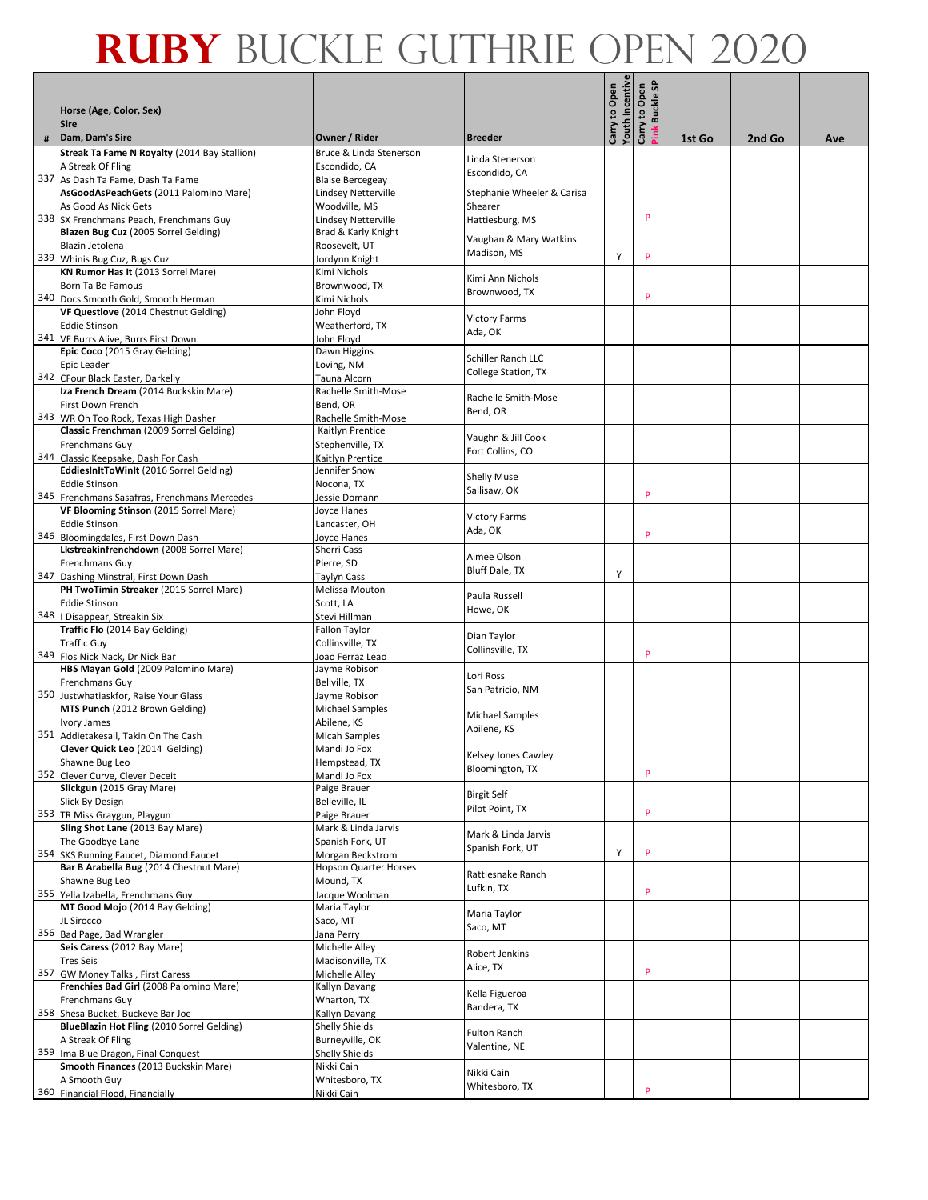|     | Horse (Age, Color, Sex)<br><b>Sire</b>                                         |                                      |                                           | outh Incentive<br>Carry to Open | န္တ<br>Carry to Open<br><b>Buckle</b> |        |        |     |
|-----|--------------------------------------------------------------------------------|--------------------------------------|-------------------------------------------|---------------------------------|---------------------------------------|--------|--------|-----|
| #   | Dam, Dam's Sire                                                                | Owner / Rider                        | <b>Breeder</b>                            |                                 |                                       | 1st Go | 2nd Go | Ave |
|     | Streak Ta Fame N Royalty (2014 Bay Stallion)                                   | Bruce & Linda Stenerson              |                                           |                                 |                                       |        |        |     |
|     | A Streak Of Fling                                                              | Escondido, CA                        | Linda Stenerson                           |                                 |                                       |        |        |     |
|     | 337 As Dash Ta Fame, Dash Ta Fame                                              | <b>Blaise Bercegeay</b>              | Escondido, CA                             |                                 |                                       |        |        |     |
|     | AsGoodAsPeachGets (2011 Palomino Mare)                                         | Lindsey Netterville                  | Stephanie Wheeler & Carisa                |                                 |                                       |        |        |     |
|     | As Good As Nick Gets                                                           | Woodville, MS                        | Shearer                                   |                                 |                                       |        |        |     |
|     | 338 SX Frenchmans Peach, Frenchmans Guy                                        | Lindsey Netterville                  | Hattiesburg, MS                           |                                 | P                                     |        |        |     |
|     | Blazen Bug Cuz (2005 Sorrel Gelding)                                           | Brad & Karly Knight                  | Vaughan & Mary Watkins                    |                                 |                                       |        |        |     |
|     | Blazin Jetolena                                                                | Roosevelt. UT                        | Madison, MS                               | Υ                               | P                                     |        |        |     |
|     | 339 Whinis Bug Cuz, Bugs Cuz                                                   | Jordynn Knight                       |                                           |                                 |                                       |        |        |     |
|     | KN Rumor Has It (2013 Sorrel Mare)<br>Born Ta Be Famous                        | Kimi Nichols<br>Brownwood, TX        | Kimi Ann Nichols                          |                                 |                                       |        |        |     |
|     | 340 Docs Smooth Gold, Smooth Herman                                            | Kimi Nichols                         | Brownwood, TX                             |                                 | P                                     |        |        |     |
|     | VF Questlove (2014 Chestnut Gelding)                                           | John Floyd                           |                                           |                                 |                                       |        |        |     |
|     | <b>Eddie Stinson</b>                                                           | Weatherford, TX                      | <b>Victory Farms</b>                      |                                 |                                       |        |        |     |
|     | 341 VF Burrs Alive, Burrs First Down                                           | John Floyd                           | Ada, OK                                   |                                 |                                       |        |        |     |
|     | Epic Coco (2015 Gray Gelding)                                                  | Dawn Higgins                         |                                           |                                 |                                       |        |        |     |
|     | Epic Leader                                                                    | Loving, NM                           | Schiller Ranch LLC<br>College Station, TX |                                 |                                       |        |        |     |
|     | 342 CFour Black Easter, Darkelly                                               | Tauna Alcorn                         |                                           |                                 |                                       |        |        |     |
|     | Iza French Dream (2014 Buckskin Mare)                                          | Rachelle Smith-Mose                  | Rachelle Smith-Mose                       |                                 |                                       |        |        |     |
|     | First Down French                                                              | Bend, OR                             | Bend, OR                                  |                                 |                                       |        |        |     |
|     | 343 WR Oh Too Rock, Texas High Dasher                                          | Rachelle Smith-Mose                  |                                           |                                 |                                       |        |        |     |
|     | Classic Frenchman (2009 Sorrel Gelding)                                        | Kaitlyn Prentice                     | Vaughn & Jill Cook                        |                                 |                                       |        |        |     |
|     | Frenchmans Guy                                                                 | Stephenville, TX                     | Fort Collins, CO                          |                                 |                                       |        |        |     |
|     | 344 Classic Keepsake, Dash For Cash<br>EddiesInItToWinIt (2016 Sorrel Gelding) | Kaitlyn Prentice<br>Jennifer Snow    |                                           |                                 |                                       |        |        |     |
|     | <b>Eddie Stinson</b>                                                           | Nocona. TX                           | <b>Shelly Muse</b>                        |                                 |                                       |        |        |     |
|     | 345 Frenchmans Sasafras, Frenchmans Mercedes                                   | Jessie Domann                        | Sallisaw, OK                              |                                 | P                                     |        |        |     |
|     | VF Blooming Stinson (2015 Sorrel Mare)                                         | Joyce Hanes                          |                                           |                                 |                                       |        |        |     |
|     | <b>Eddie Stinson</b>                                                           | Lancaster, OH                        | <b>Victory Farms</b>                      |                                 |                                       |        |        |     |
|     | 346 Bloomingdales, First Down Dash                                             | Joyce Hanes                          | Ada, OK                                   |                                 | P                                     |        |        |     |
|     | Lkstreakinfrenchdown (2008 Sorrel Mare)                                        | Sherri Cass                          | Aimee Olson                               |                                 |                                       |        |        |     |
|     | Frenchmans Guy                                                                 | Pierre, SD                           | <b>Bluff Dale, TX</b>                     |                                 |                                       |        |        |     |
| 347 | Dashing Minstral, First Down Dash                                              | Taylyn Cass                          |                                           | Y                               |                                       |        |        |     |
|     | PH TwoTimin Streaker (2015 Sorrel Mare)                                        | Melissa Mouton                       | Paula Russell                             |                                 |                                       |        |        |     |
|     | <b>Eddie Stinson</b>                                                           | Scott, LA                            | Howe, OK                                  |                                 |                                       |        |        |     |
|     | 348   Disappear, Streakin Six                                                  | Stevi Hillman                        |                                           |                                 |                                       |        |        |     |
|     | Traffic Flo (2014 Bay Gelding)                                                 | Fallon Taylor                        | Dian Taylor                               |                                 |                                       |        |        |     |
|     | <b>Traffic Guy</b><br>349 Flos Nick Nack, Dr Nick Bar                          | Collinsville, TX<br>Joao Ferraz Leao | Collinsville, TX                          |                                 | P                                     |        |        |     |
|     | HBS Mayan Gold (2009 Palomino Mare)                                            | Jayme Robison                        |                                           |                                 |                                       |        |        |     |
|     | Frenchmans Guy                                                                 | Bellville, TX                        | Lori Ross                                 |                                 |                                       |        |        |     |
|     | 350 Justwhatiaskfor, Raise Your Glass                                          | Jayme Robison                        | San Patricio, NM                          |                                 |                                       |        |        |     |
|     | MTS Punch (2012 Brown Gelding)                                                 | Michael Samples                      |                                           |                                 |                                       |        |        |     |
|     | Ivory James                                                                    | Abilene, KS                          | Michael Samples                           |                                 |                                       |        |        |     |
|     | 351 Addietakesall, Takin On The Cash                                           | <b>Micah Samples</b>                 | Abilene, KS                               |                                 |                                       |        |        |     |
|     | Clever Quick Leo (2014 Gelding)                                                | Mandi Jo Fox                         | Kelsey Jones Cawley                       |                                 |                                       |        |        |     |
|     | Shawne Bug Leo                                                                 | Hempstead, TX                        | Bloomington, TX                           |                                 |                                       |        |        |     |
|     | 352 Clever Curve, Clever Deceit                                                | Mandi Jo Fox                         |                                           |                                 | P                                     |        |        |     |
|     | Slickgun (2015 Gray Mare)                                                      | Paige Brauer                         | <b>Birgit Self</b>                        |                                 |                                       |        |        |     |
|     | Slick By Design<br>353 TR Miss Graygun, Playgun                                | Belleville, IL<br>Paige Brauer       | Pilot Point, TX                           |                                 | P                                     |        |        |     |
|     | Sling Shot Lane (2013 Bay Mare)                                                | Mark & Linda Jarvis                  |                                           |                                 |                                       |        |        |     |
|     | The Goodbye Lane                                                               | Spanish Fork, UT                     | Mark & Linda Jarvis                       |                                 |                                       |        |        |     |
|     | 354 SKS Running Faucet, Diamond Faucet                                         | Morgan Beckstrom                     | Spanish Fork, UT                          | Y                               | P                                     |        |        |     |
|     | Bar B Arabella Bug (2014 Chestnut Mare)                                        | <b>Hopson Quarter Horses</b>         |                                           |                                 |                                       |        |        |     |
|     | Shawne Bug Leo                                                                 | Mound, TX                            | Rattlesnake Ranch<br>Lufkin, TX           |                                 |                                       |        |        |     |
|     | 355 Yella Izabella, Frenchmans Guy                                             | Jacque Woolman                       |                                           |                                 | P                                     |        |        |     |
|     | MT Good Mojo (2014 Bay Gelding)                                                | Maria Taylor                         | Maria Taylor                              |                                 |                                       |        |        |     |
|     | JL Sirocco                                                                     | Saco, MT                             | Saco, MT                                  |                                 |                                       |        |        |     |
|     | 356 Bad Page, Bad Wrangler                                                     | Jana Perry                           |                                           |                                 |                                       |        |        |     |
|     | Seis Caress (2012 Bay Mare)                                                    | Michelle Alley                       | Robert Jenkins                            |                                 |                                       |        |        |     |
|     | <b>Tres Seis</b><br>357 GW Money Talks, First Caress                           | Madisonville, TX<br>Michelle Alley   | Alice, TX                                 |                                 | P                                     |        |        |     |
|     | Frenchies Bad Girl (2008 Palomino Mare)                                        | Kallyn Davang                        |                                           |                                 |                                       |        |        |     |
|     | Frenchmans Guy                                                                 | Wharton, TX                          | Kella Figueroa                            |                                 |                                       |        |        |     |
|     | 358 Shesa Bucket, Buckeye Bar Joe                                              | Kallyn Davang                        | Bandera, TX                               |                                 |                                       |        |        |     |
|     | BlueBlazin Hot Fling (2010 Sorrel Gelding)                                     | Shelly Shields                       |                                           |                                 |                                       |        |        |     |
|     | A Streak Of Fling                                                              | Burneyville, OK                      | <b>Fulton Ranch</b>                       |                                 |                                       |        |        |     |
|     | 359 Ima Blue Dragon, Final Conquest                                            | Shelly Shields                       | Valentine, NE                             |                                 |                                       |        |        |     |
|     | Smooth Finances (2013 Buckskin Mare)                                           | Nikki Cain                           | Nikki Cain                                |                                 |                                       |        |        |     |
|     | A Smooth Guy                                                                   | Whitesboro, TX                       | Whitesboro, TX                            |                                 |                                       |        |        |     |
|     | 360 Financial Flood, Financially                                               | Nikki Cain                           |                                           |                                 | P                                     |        |        |     |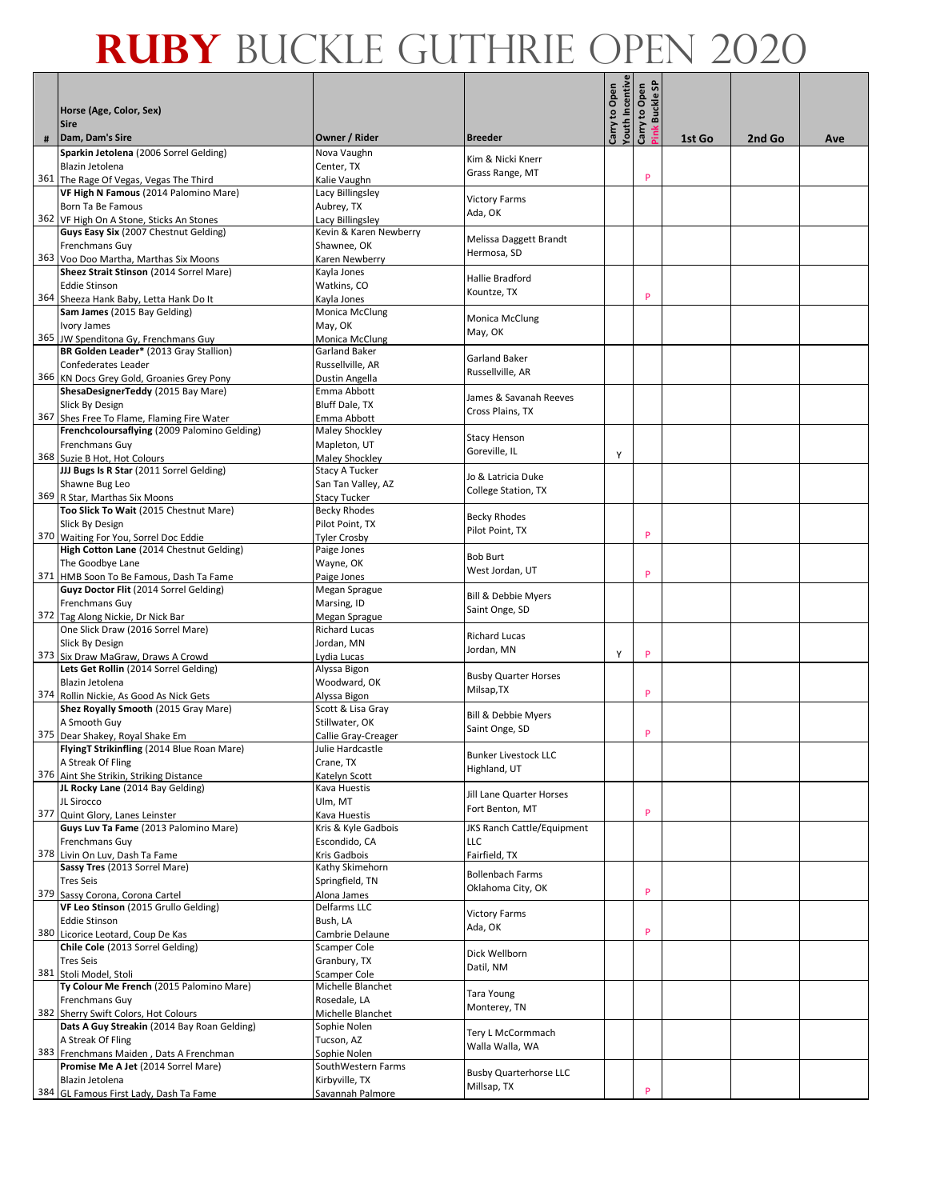|     |                                                                                   |                                                |                                            | outh Incentive<br>Carry to Open | န္တ<br>Carry to Open<br><b>Buckle</b> |        |        |     |
|-----|-----------------------------------------------------------------------------------|------------------------------------------------|--------------------------------------------|---------------------------------|---------------------------------------|--------|--------|-----|
|     | Horse (Age, Color, Sex)<br><b>Sire</b>                                            |                                                |                                            |                                 |                                       |        |        |     |
| #   | Dam, Dam's Sire                                                                   | Owner / Rider                                  | <b>Breeder</b>                             |                                 |                                       | 1st Go | 2nd Go | Ave |
|     | Sparkin Jetolena (2006 Sorrel Gelding)                                            | Nova Vaughn                                    | Kim & Nicki Knerr                          |                                 |                                       |        |        |     |
|     | Blazin Jetolena                                                                   | Center, TX                                     | Grass Range, MT                            |                                 | P                                     |        |        |     |
|     | 361 The Rage Of Vegas, Vegas The Third<br>VF High N Famous (2014 Palomino Mare)   | Kalie Vaughn<br>Lacy Billingsley               |                                            |                                 |                                       |        |        |     |
|     | Born Ta Be Famous                                                                 | Aubrey, TX                                     | <b>Victory Farms</b>                       |                                 |                                       |        |        |     |
|     | 362 VF High On A Stone, Sticks An Stones                                          | Lacy Billingsley                               | Ada, OK                                    |                                 |                                       |        |        |     |
|     | Guys Easy Six (2007 Chestnut Gelding)                                             | Kevin & Karen Newberry                         | Melissa Daggett Brandt                     |                                 |                                       |        |        |     |
|     | Frenchmans Guy                                                                    | Shawnee, OK                                    | Hermosa, SD                                |                                 |                                       |        |        |     |
|     | 363 Voo Doo Martha, Marthas Six Moons<br>Sheez Strait Stinson (2014 Sorrel Mare)  | Karen Newberry<br>Kayla Jones                  |                                            |                                 |                                       |        |        |     |
|     | <b>Eddie Stinson</b>                                                              | Watkins, CO                                    | Hallie Bradford                            |                                 |                                       |        |        |     |
|     | 364 Sheeza Hank Baby, Letta Hank Do It                                            | Kayla Jones                                    | Kountze, TX                                |                                 | P                                     |        |        |     |
|     | Sam James (2015 Bay Gelding)                                                      | Monica McClung                                 |                                            |                                 |                                       |        |        |     |
|     | Ivory James                                                                       | May, OK                                        | Monica McClung<br>May, OK                  |                                 |                                       |        |        |     |
|     | 365 JW Spenditona Gy, Frenchmans Guy                                              | Monica McClung                                 |                                            |                                 |                                       |        |        |     |
|     | BR Golden Leader* (2013 Gray Stallion)                                            | <b>Garland Baker</b>                           | Garland Baker                              |                                 |                                       |        |        |     |
|     | Confederates Leader<br>366 KN Docs Grey Gold, Groanies Grey Pony                  | Russellville, AR<br>Dustin Angella             | Russellville, AR                           |                                 |                                       |        |        |     |
|     | ShesaDesignerTeddy (2015 Bay Mare)                                                | Emma Abbott                                    |                                            |                                 |                                       |        |        |     |
|     | Slick By Design                                                                   | Bluff Dale, TX                                 | James & Savanah Reeves<br>Cross Plains, TX |                                 |                                       |        |        |     |
|     | 367 Shes Free To Flame, Flaming Fire Water                                        | Emma Abbott                                    |                                            |                                 |                                       |        |        |     |
|     | Frenchcoloursaflying (2009 Palomino Gelding)                                      | Maley Shockley                                 | <b>Stacy Henson</b>                        |                                 |                                       |        |        |     |
|     | Frenchmans Guy                                                                    | Mapleton, UT                                   | Goreville, IL                              | Y                               |                                       |        |        |     |
|     | 368 Suzie B Hot, Hot Colours<br>JJJ Bugs Is R Star (2011 Sorrel Gelding)          | <b>Maley Shockley</b><br><b>Stacy A Tucker</b> |                                            |                                 |                                       |        |        |     |
|     | Shawne Bug Leo                                                                    | San Tan Valley, AZ                             | Jo & Latricia Duke                         |                                 |                                       |        |        |     |
|     | 369 R Star, Marthas Six Moons                                                     | <b>Stacy Tucker</b>                            | College Station, TX                        |                                 |                                       |        |        |     |
|     | Too Slick To Wait (2015 Chestnut Mare)                                            | <b>Becky Rhodes</b>                            | <b>Becky Rhodes</b>                        |                                 |                                       |        |        |     |
|     | Slick By Design                                                                   | Pilot Point, TX                                | Pilot Point, TX                            |                                 | P                                     |        |        |     |
|     | 370 Waiting For You, Sorrel Doc Eddie<br>High Cotton Lane (2014 Chestnut Gelding) | <b>Tyler Crosby</b>                            |                                            |                                 |                                       |        |        |     |
|     | The Goodbye Lane                                                                  | Paige Jones<br>Wayne, OK                       | <b>Bob Burt</b>                            |                                 |                                       |        |        |     |
|     | 371 HMB Soon To Be Famous, Dash Ta Fame                                           | Paige Jones                                    | West Jordan, UT                            |                                 | P                                     |        |        |     |
|     | Guyz Doctor Flit (2014 Sorrel Gelding)                                            | Megan Sprague                                  |                                            |                                 |                                       |        |        |     |
|     | Frenchmans Guy                                                                    | Marsing, ID                                    | Bill & Debbie Myers<br>Saint Onge, SD      |                                 |                                       |        |        |     |
|     | 372 Tag Along Nickie, Dr Nick Bar                                                 | Megan Sprague                                  |                                            |                                 |                                       |        |        |     |
|     | One Slick Draw (2016 Sorrel Mare)                                                 | <b>Richard Lucas</b>                           | <b>Richard Lucas</b>                       |                                 |                                       |        |        |     |
|     | Slick By Design<br>373 Six Draw MaGraw, Draws A Crowd                             | Jordan, MN<br>Lydia Lucas                      | Jordan, MN                                 | Υ                               | P                                     |        |        |     |
|     | Lets Get Rollin (2014 Sorrel Gelding)                                             | Alyssa Bigon                                   |                                            |                                 |                                       |        |        |     |
|     | Blazin Jetolena                                                                   | Woodward, OK                                   | <b>Busby Quarter Horses</b>                |                                 |                                       |        |        |     |
|     | 374 Rollin Nickie, As Good As Nick Gets                                           | Alyssa Bigon                                   | Milsap, TX                                 |                                 | P                                     |        |        |     |
|     | Shez Royally Smooth (2015 Gray Mare)                                              | Scott & Lisa Gray                              | Bill & Debbie Myers                        |                                 |                                       |        |        |     |
|     | A Smooth Guy                                                                      | Stillwater, OK                                 | Saint Onge, SD                             |                                 | P                                     |        |        |     |
|     | 375 Dear Shakey, Royal Shake Em<br>FlyingT Strikinfling (2014 Blue Roan Mare)     | Callie Gray-Creager<br>Julie Hardcastle        |                                            |                                 |                                       |        |        |     |
|     | A Streak Of Fling                                                                 | Crane, TX                                      | Bunker Livestock LLC                       |                                 |                                       |        |        |     |
|     | 376 Aint She Strikin, Striking Distance                                           | Katelyn Scott                                  | Highland, UT                               |                                 |                                       |        |        |     |
|     | JL Rocky Lane (2014 Bay Gelding)                                                  | Kava Huestis                                   | Jill Lane Quarter Horses                   |                                 |                                       |        |        |     |
|     | JL Sirocco                                                                        | Ulm, MT                                        | Fort Benton, MT                            |                                 | P                                     |        |        |     |
|     | 377 Quint Glory, Lanes Leinster<br>Guys Luv Ta Fame (2013 Palomino Mare)          | Kava Huestis<br>Kris & Kyle Gadbois            | JKS Ranch Cattle/Equipment                 |                                 |                                       |        |        |     |
|     | Frenchmans Guy                                                                    | Escondido, CA                                  | LLC                                        |                                 |                                       |        |        |     |
|     | 378 Livin On Luv, Dash Ta Fame                                                    | Kris Gadbois                                   | Fairfield, TX                              |                                 |                                       |        |        |     |
|     | Sassy Tres (2013 Sorrel Mare)                                                     | Kathy Skimehorn                                | <b>Bollenbach Farms</b>                    |                                 |                                       |        |        |     |
|     | <b>Tres Seis</b>                                                                  | Springfield, TN                                | Oklahoma City, OK                          |                                 | P                                     |        |        |     |
|     | 379 Sassy Corona, Corona Cartel<br>VF Leo Stinson (2015 Grullo Gelding)           | Alona James<br>Delfarms LLC                    |                                            |                                 |                                       |        |        |     |
|     | <b>Eddie Stinson</b>                                                              | Bush, LA                                       | <b>Victory Farms</b>                       |                                 |                                       |        |        |     |
| 380 | Licorice Leotard, Coup De Kas                                                     | Cambrie Delaune                                | Ada, OK                                    |                                 | P                                     |        |        |     |
|     | Chile Cole (2013 Sorrel Gelding)                                                  | Scamper Cole                                   |                                            |                                 |                                       |        |        |     |
|     | <b>Tres Seis</b>                                                                  | Granbury, TX                                   | Dick Wellborn<br>Datil, NM                 |                                 |                                       |        |        |     |
|     | 381 Stoli Model, Stoli                                                            | Scamper Cole                                   |                                            |                                 |                                       |        |        |     |
|     | Ty Colour Me French (2015 Palomino Mare)                                          | Michelle Blanchet                              | <b>Tara Young</b>                          |                                 |                                       |        |        |     |
|     | Frenchmans Guy<br>382 Sherry Swift Colors, Hot Colours                            | Rosedale, LA<br>Michelle Blanchet              | Monterey, TN                               |                                 |                                       |        |        |     |
|     | Dats A Guy Streakin (2014 Bay Roan Gelding)                                       | Sophie Nolen                                   |                                            |                                 |                                       |        |        |     |
|     | A Streak Of Fling                                                                 | Tucson, AZ                                     | Tery L McCormmach<br>Walla Walla, WA       |                                 |                                       |        |        |     |
|     | 383 Frenchmans Maiden, Dats A Frenchman                                           | Sophie Nolen                                   |                                            |                                 |                                       |        |        |     |
|     | Promise Me A Jet (2014 Sorrel Mare)                                               | SouthWestern Farms                             | <b>Busby Quarterhorse LLC</b>              |                                 |                                       |        |        |     |
|     | Blazin Jetolena<br>384 GL Famous First Lady, Dash Ta Fame                         | Kirbyville, TX<br>Savannah Palmore             | Millsap, TX                                |                                 | P                                     |        |        |     |
|     |                                                                                   |                                                |                                            |                                 |                                       |        |        |     |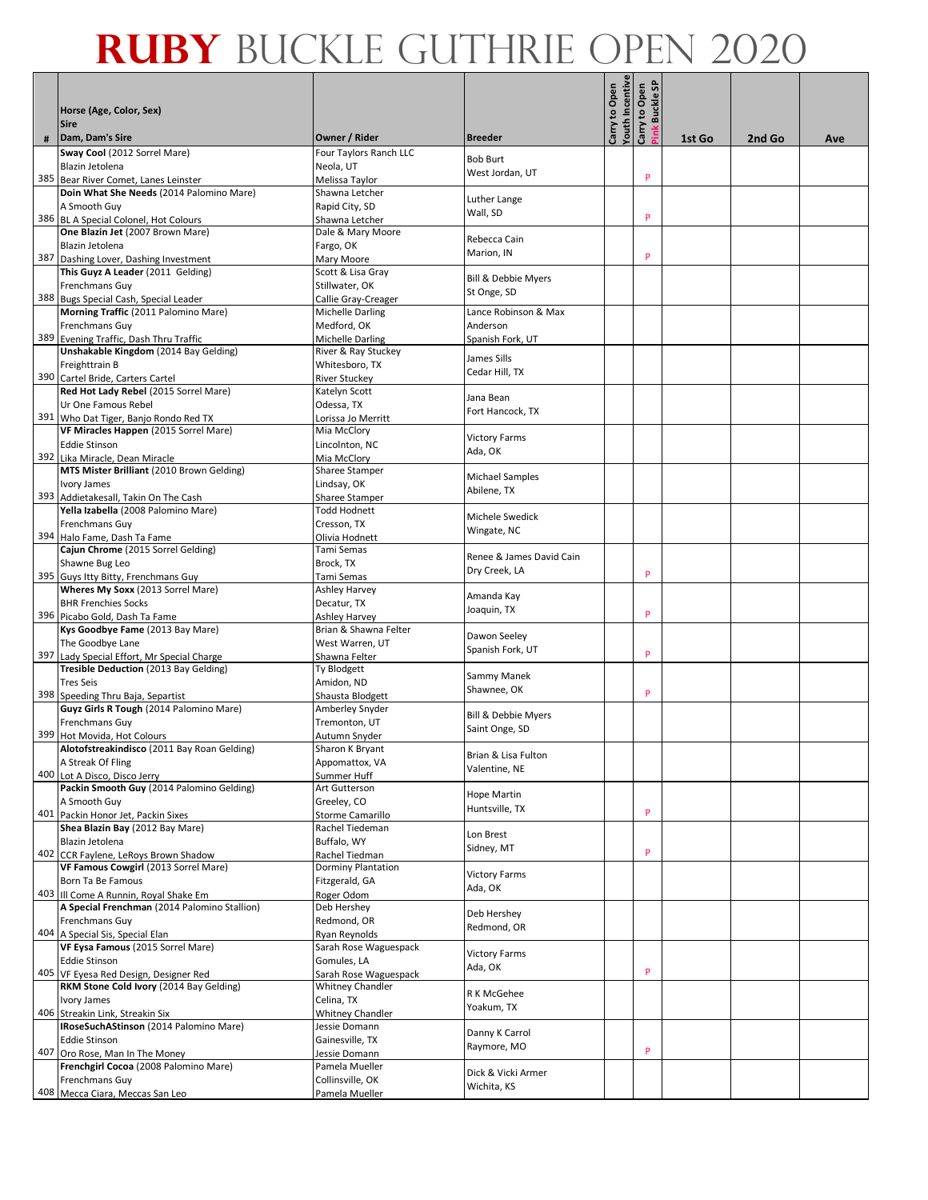|   |                                                                                  |                                               |                                      | outh Incentive<br>Carry to Open | န<br>Carry to Open |        |        |     |
|---|----------------------------------------------------------------------------------|-----------------------------------------------|--------------------------------------|---------------------------------|--------------------|--------|--------|-----|
|   | Horse (Age, Color, Sex)<br><b>Sire</b>                                           |                                               |                                      |                                 | <b>Buckle</b>      |        |        |     |
| # | Dam, Dam's Sire                                                                  | Owner / Rider                                 | <b>Breeder</b>                       |                                 | ink                | 1st Go | 2nd Go | Ave |
|   | Sway Cool (2012 Sorrel Mare)                                                     | Four Taylors Ranch LLC                        | <b>Bob Burt</b>                      |                                 |                    |        |        |     |
|   | Blazin Jetolena                                                                  | Neola, UT                                     | West Jordan, UT                      |                                 | P                  |        |        |     |
|   | 385 Bear River Comet, Lanes Leinster<br>Doin What She Needs (2014 Palomino Mare) | Melissa Taylor<br>Shawna Letcher              |                                      |                                 |                    |        |        |     |
|   | A Smooth Guy                                                                     | Rapid City, SD                                | Luther Lange                         |                                 |                    |        |        |     |
|   | 386 BL A Special Colonel, Hot Colours                                            | Shawna Letcher                                | Wall, SD                             |                                 | P                  |        |        |     |
|   | One Blazin Jet (2007 Brown Mare)                                                 | Dale & Mary Moore                             |                                      |                                 |                    |        |        |     |
|   | Blazin Jetolena                                                                  | Fargo, OK                                     | Rebecca Cain                         |                                 |                    |        |        |     |
|   | 387 Dashing Lover, Dashing Investment                                            | Mary Moore                                    | Marion, IN                           |                                 | P                  |        |        |     |
|   | This Guyz A Leader (2011 Gelding)                                                | Scott & Lisa Gray                             | <b>Bill &amp; Debbie Myers</b>       |                                 |                    |        |        |     |
|   | Frenchmans Guy                                                                   | Stillwater, OK                                | St Onge, SD                          |                                 |                    |        |        |     |
|   | 388 Bugs Special Cash, Special Leader                                            | Callie Gray-Creager                           |                                      |                                 |                    |        |        |     |
|   | Morning Traffic (2011 Palomino Mare)                                             | Michelle Darling                              | Lance Robinson & Max<br>Anderson     |                                 |                    |        |        |     |
|   | <b>Frenchmans Guy</b><br>389 Evening Traffic, Dash Thru Traffic                  | Medford, OK<br>Michelle Darling               | Spanish Fork, UT                     |                                 |                    |        |        |     |
|   | Unshakable Kingdom (2014 Bay Gelding)                                            | River & Ray Stuckey                           |                                      |                                 |                    |        |        |     |
|   | Freighttrain B                                                                   | Whitesboro, TX                                | James Sills                          |                                 |                    |        |        |     |
|   | 390 Cartel Bride, Carters Cartel                                                 | <b>River Stuckey</b>                          | Cedar Hill, TX                       |                                 |                    |        |        |     |
|   | Red Hot Lady Rebel (2015 Sorrel Mare)                                            | Katelyn Scott                                 | Jana Bean                            |                                 |                    |        |        |     |
|   | Ur One Famous Rebel                                                              | Odessa, TX                                    | Fort Hancock, TX                     |                                 |                    |        |        |     |
|   | 391 Who Dat Tiger, Banjo Rondo Red TX                                            | Lorissa Jo Merritt                            |                                      |                                 |                    |        |        |     |
|   | VF Miracles Happen (2015 Sorrel Mare)<br><b>Eddie Stinson</b>                    | Mia McClory<br>Lincolnton, NC                 | <b>Victory Farms</b>                 |                                 |                    |        |        |     |
|   | 392 Lika Miracle, Dean Miracle                                                   | Mia McClory                                   | Ada, OK                              |                                 |                    |        |        |     |
|   | MTS Mister Brilliant (2010 Brown Gelding)                                        | <b>Sharee Stamper</b>                         |                                      |                                 |                    |        |        |     |
|   | Ivory James                                                                      | Lindsay, OK                                   | Michael Samples                      |                                 |                    |        |        |     |
|   | 393 Addietakesall, Takin On The Cash                                             | Sharee Stamper                                | Abilene, TX                          |                                 |                    |        |        |     |
|   | Yella Izabella (2008 Palomino Mare)                                              | <b>Todd Hodnett</b>                           | Michele Swedick                      |                                 |                    |        |        |     |
|   | <b>Frenchmans Guy</b><br>394 Halo Fame, Dash Ta Fame                             | Cresson, TX<br>Olivia Hodnett                 | Wingate, NC                          |                                 |                    |        |        |     |
|   | Cajun Chrome (2015 Sorrel Gelding)                                               | Tami Semas                                    |                                      |                                 |                    |        |        |     |
|   | Shawne Bug Leo                                                                   | Brock, TX                                     | Renee & James David Cain             |                                 |                    |        |        |     |
|   | 395 Guys Itty Bitty, Frenchmans Guy                                              | Tami Semas                                    | Dry Creek, LA                        |                                 | P                  |        |        |     |
|   | Wheres My Soxx (2013 Sorrel Mare)                                                | Ashley Harvey                                 | Amanda Kay                           |                                 |                    |        |        |     |
|   | <b>BHR Frenchies Socks</b>                                                       | Decatur, TX                                   | Joaquin, TX                          |                                 | P                  |        |        |     |
|   | 396 Picabo Gold, Dash Ta Fame<br>Kys Goodbye Fame (2013 Bay Mare)                | <b>Ashley Harvey</b><br>Brian & Shawna Felter |                                      |                                 |                    |        |        |     |
|   | The Goodbye Lane                                                                 | West Warren, UT                               | Dawon Seeley                         |                                 |                    |        |        |     |
|   | 397 Lady Special Effort, Mr Special Charge                                       | Shawna Felter                                 | Spanish Fork, UT                     |                                 | P                  |        |        |     |
|   | Tresible Deduction (2013 Bay Gelding)                                            | Ty Blodgett                                   | Sammy Manek                          |                                 |                    |        |        |     |
|   | <b>Tres Seis</b>                                                                 | Amidon, ND                                    | Shawnee, OK                          |                                 |                    |        |        |     |
|   | 398 Speeding Thru Baja, Separtist                                                | Shausta Blodgett                              |                                      |                                 | P                  |        |        |     |
|   | Guyz Girls R Tough (2014 Palomino Mare)<br>Frenchmans Guy                        | Amberley Snyder<br>Tremonton, UT              | <b>Bill &amp; Debbie Myers</b>       |                                 |                    |        |        |     |
|   | 399 Hot Movida, Hot Colours                                                      | Autumn Snyder                                 | Saint Onge, SD                       |                                 |                    |        |        |     |
|   | Alotofstreakindisco (2011 Bay Roan Gelding)                                      | Sharon K Bryant                               |                                      |                                 |                    |        |        |     |
|   | A Streak Of Fling                                                                | Appomattox, VA                                | Brian & Lisa Fulton<br>Valentine, NE |                                 |                    |        |        |     |
|   | 400 Lot A Disco, Disco Jerry                                                     | Summer Huff                                   |                                      |                                 |                    |        |        |     |
|   | Packin Smooth Guy (2014 Palomino Gelding)<br>A Smooth Guy                        | Art Gutterson<br>Greeley, CO                  | Hope Martin                          |                                 |                    |        |        |     |
|   | 401 Packin Honor Jet, Packin Sixes                                               | Storme Camarillo                              | Huntsville, TX                       |                                 | P                  |        |        |     |
|   | Shea Blazin Bay (2012 Bay Mare)                                                  | Rachel Tiedeman                               |                                      |                                 |                    |        |        |     |
|   | Blazin Jetolena                                                                  | Buffalo, WY                                   | Lon Brest<br>Sidney, MT              |                                 |                    |        |        |     |
|   | 402 CCR Faylene, LeRoys Brown Shadow                                             | Rachel Tiedman                                |                                      |                                 | P                  |        |        |     |
|   | VF Famous Cowgirl (2013 Sorrel Mare)<br>Born Ta Be Famous                        | Dorminy Plantation                            | <b>Victory Farms</b>                 |                                 |                    |        |        |     |
|   | 403 III Come A Runnin, Royal Shake Em                                            | Fitzgerald, GA<br>Roger Odom                  | Ada, OK                              |                                 |                    |        |        |     |
|   | A Special Frenchman (2014 Palomino Stallion)                                     | Deb Hershey                                   |                                      |                                 |                    |        |        |     |
|   | Frenchmans Guy                                                                   | Redmond, OR                                   | Deb Hershey<br>Redmond, OR           |                                 |                    |        |        |     |
|   | 404 A Special Sis, Special Elan                                                  | Ryan Reynolds                                 |                                      |                                 |                    |        |        |     |
|   | VF Eysa Famous (2015 Sorrel Mare)                                                | Sarah Rose Waguespack                         | <b>Victory Farms</b>                 |                                 |                    |        |        |     |
|   | <b>Eddie Stinson</b><br>405 VF Eyesa Red Design, Designer Red                    | Gomules, LA<br>Sarah Rose Waguespack          | Ada, OK                              |                                 | P                  |        |        |     |
|   | RKM Stone Cold Ivory (2014 Bay Gelding)                                          | <b>Whitney Chandler</b>                       |                                      |                                 |                    |        |        |     |
|   | Ivory James                                                                      | Celina, TX                                    | R K McGehee                          |                                 |                    |        |        |     |
|   | 406 Streakin Link, Streakin Six                                                  | <b>Whitney Chandler</b>                       | Yoakum, TX                           |                                 |                    |        |        |     |
|   | IRoseSuchAStinson (2014 Palomino Mare)                                           | Jessie Domann                                 | Danny K Carrol                       |                                 |                    |        |        |     |
|   | <b>Eddie Stinson</b>                                                             | Gainesville, TX                               | Raymore, MO                          |                                 | P                  |        |        |     |
|   | 407 Oro Rose, Man In The Money<br>Frenchgirl Cocoa (2008 Palomino Mare)          | Jessie Domann<br>Pamela Mueller               |                                      |                                 |                    |        |        |     |
|   | Frenchmans Guy                                                                   | Collinsville, OK                              | Dick & Vicki Armer                   |                                 |                    |        |        |     |
|   | 408 Mecca Ciara, Meccas San Leo                                                  | Pamela Mueller                                | Wichita, KS                          |                                 |                    |        |        |     |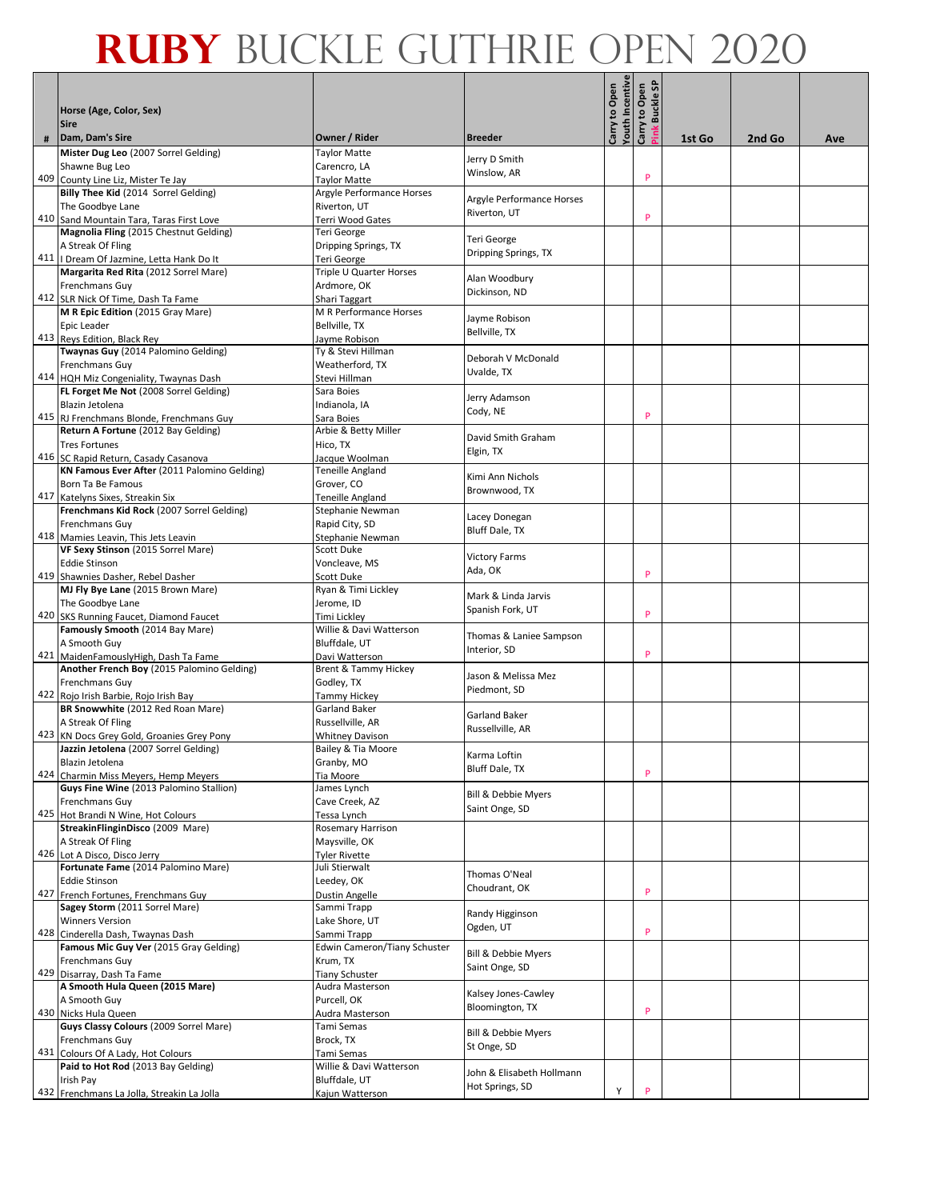|   | Horse (Age, Color, Sex)<br><b>Sire</b>                                             |                                                    |                           | outh Incentive<br>Carry to Open | ္တ<br>Carry to Open<br><b>Buckle</b> |        |        |     |
|---|------------------------------------------------------------------------------------|----------------------------------------------------|---------------------------|---------------------------------|--------------------------------------|--------|--------|-----|
| # | Dam, Dam's Sire                                                                    | Owner / Rider                                      | <b>Breeder</b>            |                                 | ink                                  | 1st Go | 2nd Go | Ave |
|   | Mister Dug Leo (2007 Sorrel Gelding)                                               | Taylor Matte                                       |                           |                                 |                                      |        |        |     |
|   | Shawne Bug Leo                                                                     | Carencro, LA                                       | Jerry D Smith             |                                 |                                      |        |        |     |
|   | 409 County Line Liz, Mister Te Jay                                                 | <b>Taylor Matte</b>                                | Winslow, AR               |                                 | P                                    |        |        |     |
|   | Billy Thee Kid (2014 Sorrel Gelding)                                               | Argyle Performance Horses                          | Argyle Performance Horses |                                 |                                      |        |        |     |
|   | The Goodbye Lane                                                                   | Riverton, UT                                       | Riverton, UT              |                                 |                                      |        |        |     |
|   | 410 Sand Mountain Tara, Taras First Love                                           | Terri Wood Gates                                   |                           |                                 | P                                    |        |        |     |
|   | Magnolia Fling (2015 Chestnut Gelding)                                             | Teri George                                        | Teri George               |                                 |                                      |        |        |     |
|   | A Streak Of Fling                                                                  | Dripping Springs, TX                               | Dripping Springs, TX      |                                 |                                      |        |        |     |
|   | 411   Dream Of Jazmine, Letta Hank Do It                                           | Teri George                                        |                           |                                 |                                      |        |        |     |
|   | Margarita Red Rita (2012 Sorrel Mare)                                              | Triple U Quarter Horses                            | Alan Woodbury             |                                 |                                      |        |        |     |
|   | Frenchmans Guy                                                                     | Ardmore, OK                                        | Dickinson, ND             |                                 |                                      |        |        |     |
|   | 412 SLR Nick Of Time, Dash Ta Fame<br>M R Epic Edition (2015 Gray Mare)            | Shari Taggart<br>M R Performance Horses            |                           |                                 |                                      |        |        |     |
|   | Epic Leader                                                                        | Bellville, TX                                      | Jayme Robison             |                                 |                                      |        |        |     |
|   | 413 Reys Edition, Black Rey                                                        | Jayme Robison                                      | Bellville, TX             |                                 |                                      |        |        |     |
|   | Twaynas Guy (2014 Palomino Gelding)                                                | Ty & Stevi Hillman                                 |                           |                                 |                                      |        |        |     |
|   | <b>Frenchmans Guy</b>                                                              | Weatherford, TX                                    | Deborah V McDonald        |                                 |                                      |        |        |     |
|   | 414 HQH Miz Congeniality, Twaynas Dash                                             | Stevi Hillman                                      | Uvalde, TX                |                                 |                                      |        |        |     |
|   | FL Forget Me Not (2008 Sorrel Gelding)                                             | Sara Boies                                         |                           |                                 |                                      |        |        |     |
|   | Blazin Jetolena                                                                    | Indianola, IA                                      | Jerry Adamson<br>Cody, NE |                                 |                                      |        |        |     |
|   | 415 RJ Frenchmans Blonde, Frenchmans Guy                                           | Sara Boies                                         |                           |                                 | P                                    |        |        |     |
|   | Return A Fortune (2012 Bay Gelding)                                                | Arbie & Betty Miller                               | David Smith Graham        |                                 |                                      |        |        |     |
|   | <b>Tres Fortunes</b>                                                               | Hico, TX                                           | Elgin, TX                 |                                 |                                      |        |        |     |
|   | 416 SC Rapid Return, Casady Casanova                                               | Jacque Woolman                                     |                           |                                 |                                      |        |        |     |
|   | KN Famous Ever After (2011 Palomino Gelding)                                       | Teneille Angland                                   | Kimi Ann Nichols          |                                 |                                      |        |        |     |
|   | Born Ta Be Famous                                                                  | Grover, CO                                         | Brownwood, TX             |                                 |                                      |        |        |     |
|   | 417 Katelyns Sixes, Streakin Six                                                   | Teneille Angland                                   |                           |                                 |                                      |        |        |     |
|   | Frenchmans Kid Rock (2007 Sorrel Gelding)<br><b>Frenchmans Guy</b>                 | Stephanie Newman<br>Rapid City, SD                 | Lacey Donegan             |                                 |                                      |        |        |     |
|   | 418 Mamies Leavin, This Jets Leavin                                                | Stephanie Newman                                   | Bluff Dale, TX            |                                 |                                      |        |        |     |
|   | VF Sexy Stinson (2015 Sorrel Mare)                                                 | Scott Duke                                         |                           |                                 |                                      |        |        |     |
|   | <b>Eddie Stinson</b>                                                               | Voncleave, MS                                      | <b>Victory Farms</b>      |                                 |                                      |        |        |     |
|   | 419 Shawnies Dasher, Rebel Dasher                                                  | Scott Duke                                         | Ada, OK                   |                                 | P                                    |        |        |     |
|   | MJ Fly Bye Lane (2015 Brown Mare)                                                  | Ryan & Timi Lickley                                |                           |                                 |                                      |        |        |     |
|   | The Goodbye Lane                                                                   | Jerome, ID                                         | Mark & Linda Jarvis       |                                 |                                      |        |        |     |
|   | 420 SKS Running Faucet, Diamond Faucet                                             | Timi Lickley                                       | Spanish Fork, UT          |                                 | P                                    |        |        |     |
|   | Famously Smooth (2014 Bay Mare)                                                    | Willie & Davi Watterson                            | Thomas & Laniee Sampson   |                                 |                                      |        |        |     |
|   | A Smooth Guy                                                                       | Bluffdale, UT                                      | Interior, SD              |                                 |                                      |        |        |     |
|   | 421 MaidenFamouslyHigh, Dash Ta Fame                                               | Davi Watterson                                     |                           |                                 | P                                    |        |        |     |
|   | Another French Boy (2015 Palomino Gelding)                                         | Brent & Tammy Hickey                               | Jason & Melissa Mez       |                                 |                                      |        |        |     |
|   | <b>Frenchmans Guy</b>                                                              | Godley, TX                                         | Piedmont, SD              |                                 |                                      |        |        |     |
|   | 422 Rojo Irish Barbie, Rojo Irish Bay                                              | <b>Tammy Hickey</b>                                |                           |                                 |                                      |        |        |     |
|   | BR Snowwhite (2012 Red Roan Mare)                                                  | <b>Garland Baker</b>                               | <b>Garland Baker</b>      |                                 |                                      |        |        |     |
|   | A Streak Of Fling                                                                  | Russellville, AR                                   | Russellville, AR          |                                 |                                      |        |        |     |
|   | 423 KN Docs Grey Gold, Groanies Grey Pony<br>Jazzin Jetolena (2007 Sorrel Gelding) | <b>Whitney Davison</b><br>Bailey & Tia Moore       |                           |                                 |                                      |        |        |     |
|   | Blazin Jetolena                                                                    | Granby, MO                                         | Karma Loftin              |                                 |                                      |        |        |     |
|   | 424 Charmin Miss Meyers, Hemp Meyers                                               | Tia Moore                                          | Bluff Dale, TX            |                                 | P                                    |        |        |     |
|   | Guys Fine Wine (2013 Palomino Stallion)                                            | James Lynch                                        |                           |                                 |                                      |        |        |     |
|   | Frenchmans Guy                                                                     | Cave Creek, AZ                                     | Bill & Debbie Myers       |                                 |                                      |        |        |     |
|   | 425 Hot Brandi N Wine, Hot Colours                                                 | Tessa Lynch                                        | Saint Onge, SD            |                                 |                                      |        |        |     |
|   | StreakinFlinginDisco (2009 Mare)                                                   | <b>Rosemary Harrison</b>                           |                           |                                 |                                      |        |        |     |
|   | A Streak Of Fling                                                                  | Maysville, OK                                      |                           |                                 |                                      |        |        |     |
|   | 426 Lot A Disco, Disco Jerry                                                       | <b>Tyler Rivette</b>                               |                           |                                 |                                      |        |        |     |
|   | Fortunate Fame (2014 Palomino Mare)                                                | Juli Stierwalt                                     | Thomas O'Neal             |                                 |                                      |        |        |     |
|   | <b>Eddie Stinson</b>                                                               | Leedey, OK                                         | Choudrant, OK             |                                 | P                                    |        |        |     |
|   | 427 French Fortunes, Frenchmans Guy                                                | Dustin Angelle                                     |                           |                                 |                                      |        |        |     |
|   | Sagey Storm (2011 Sorrel Mare)                                                     | Sammi Trapp                                        | Randy Higginson           |                                 |                                      |        |        |     |
|   | <b>Winners Version</b>                                                             | Lake Shore, UT                                     | Ogden, UT                 |                                 | P                                    |        |        |     |
|   | 428 Cinderella Dash, Twaynas Dash<br>Famous Mic Guy Ver (2015 Gray Gelding)        | Sammi Trapp<br><b>Edwin Cameron/Tiany Schuster</b> |                           |                                 |                                      |        |        |     |
|   | Frenchmans Guy                                                                     | Krum, TX                                           | Bill & Debbie Myers       |                                 |                                      |        |        |     |
|   | 429 Disarray, Dash Ta Fame                                                         | <b>Tiany Schuster</b>                              | Saint Onge, SD            |                                 |                                      |        |        |     |
|   | A Smooth Hula Queen (2015 Mare)                                                    | Audra Masterson                                    |                           |                                 |                                      |        |        |     |
|   | A Smooth Guy                                                                       | Purcell, OK                                        | Kalsey Jones-Cawley       |                                 |                                      |        |        |     |
|   | 430 Nicks Hula Queen                                                               | Audra Masterson                                    | Bloomington, TX           |                                 | P                                    |        |        |     |
|   | Guys Classy Colours (2009 Sorrel Mare)                                             | Tami Semas                                         |                           |                                 |                                      |        |        |     |
|   | Frenchmans Guy                                                                     | Brock, TX                                          | Bill & Debbie Myers       |                                 |                                      |        |        |     |
|   | 431 Colours Of A Lady, Hot Colours                                                 | Tami Semas                                         | St Onge, SD               |                                 |                                      |        |        |     |
|   | Paid to Hot Rod (2013 Bay Gelding)                                                 | Willie & Davi Watterson                            | John & Elisabeth Hollmann |                                 |                                      |        |        |     |
|   | Irish Pay                                                                          | Bluffdale, UT                                      | Hot Springs, SD           |                                 |                                      |        |        |     |
|   | 432 Frenchmans La Jolla, Streakin La Jolla                                         | Kajun Watterson                                    |                           | Υ                               | P                                    |        |        |     |